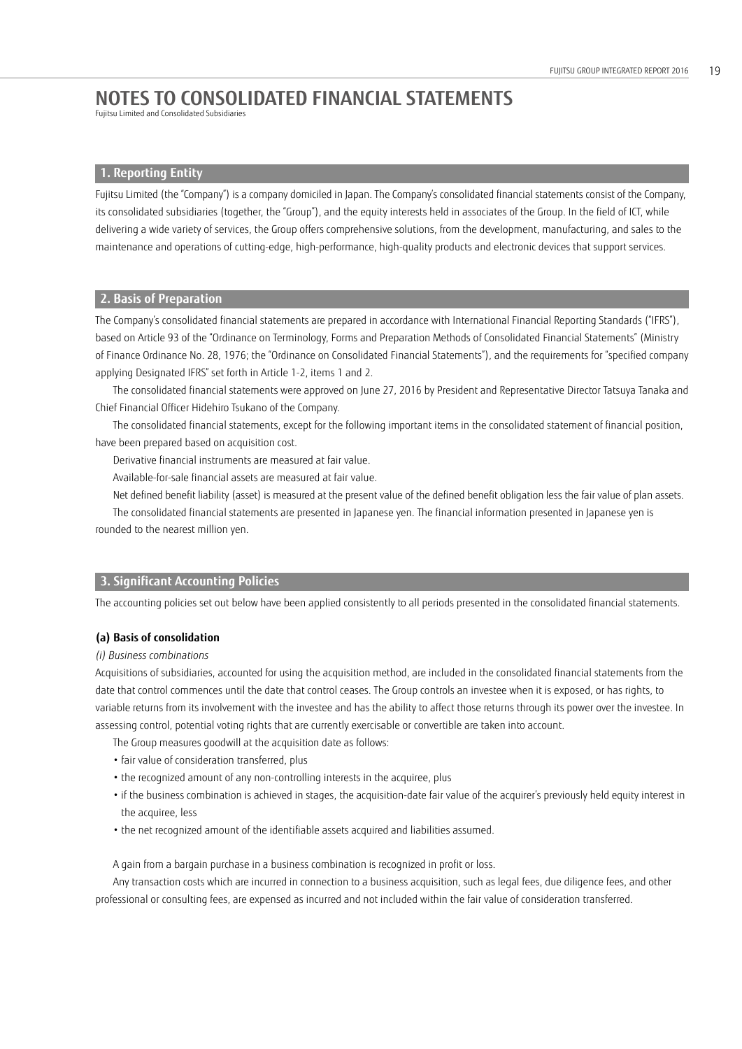Fujitsu Limited and Consolidated Subsidiaries

# **1. Reporting Entity**

 Fujitsu Limited (the "Company") is a company domiciled in Japan. The Company's consolidated financial statements consist of the Company, its consolidated subsidiaries (together, the "Group"), and the equity interests held in associates of the Group. In the field of ICT, while delivering a wide variety of services, the Group offers comprehensive solutions, from the development, manufacturing, and sales to the maintenance and operations of cutting-edge, high-performance, high-quality products and electronic devices that support services.

# **2. Basis of Preparation**

The Company's consolidated financial statements are prepared in accordance with International Financial Reporting Standards ("IFRS"), based on Article 93 of the "Ordinance on Terminology, Forms and Preparation Methods of Consolidated Financial Statements" (Ministry of Finance Ordinance No. 28, 1976; the "Ordinance on Consolidated Financial Statements"), and the requirements for "specified company applying Designated IFRS" set forth in Article 1-2, items 1 and 2.

The consolidated financial statements were approved on June 27, 2016 by President and Representative Director Tatsuya Tanaka and Chief Financial Officer Hidehiro Tsukano of the Company.

The consolidated financial statements, except for the following important items in the consolidated statement of financial position, have been prepared based on acquisition cost.

Derivative financial instruments are measured at fair value.

Available-for-sale financial assets are measured at fair value.

Net defined benefit liability (asset) is measured at the present value of the defined benefit obligation less the fair value of plan assets. The consolidated financial statements are presented in Japanese yen. The financial information presented in Japanese yen is rounded to the nearest million yen.

# **3. Significant Accounting Policies**

The accounting policies set out below have been applied consistently to all periods presented in the consolidated financial statements.

### **(a) Basis of consolidation**

## *(i) Business combinations*

Acquisitions of subsidiaries, accounted for using the acquisition method, are included in the consolidated financial statements from the date that control commences until the date that control ceases. The Group controls an investee when it is exposed, or has rights, to variable returns from its involvement with the investee and has the ability to affect those returns through its power over the investee. In assessing control, potential voting rights that are currently exercisable or convertible are taken into account.

- The Group measures goodwill at the acquisition date as follows:
- fair value of consideration transferred, plus
- the recognized amount of any non-controlling interests in the acquiree, plus
- if the business combination is achieved in stages, the acquisition-date fair value of the acquirer's previously held equity interest in the acquiree, less
- the net recognized amount of the identifiable assets acquired and liabilities assumed.

A gain from a bargain purchase in a business combination is recognized in profit or loss. Any transaction costs which are incurred in connection to a business acquisition, such as legal fees, due diligence fees, and other professional or consulting fees, are expensed as incurred and not included within the fair value of consideration transferred.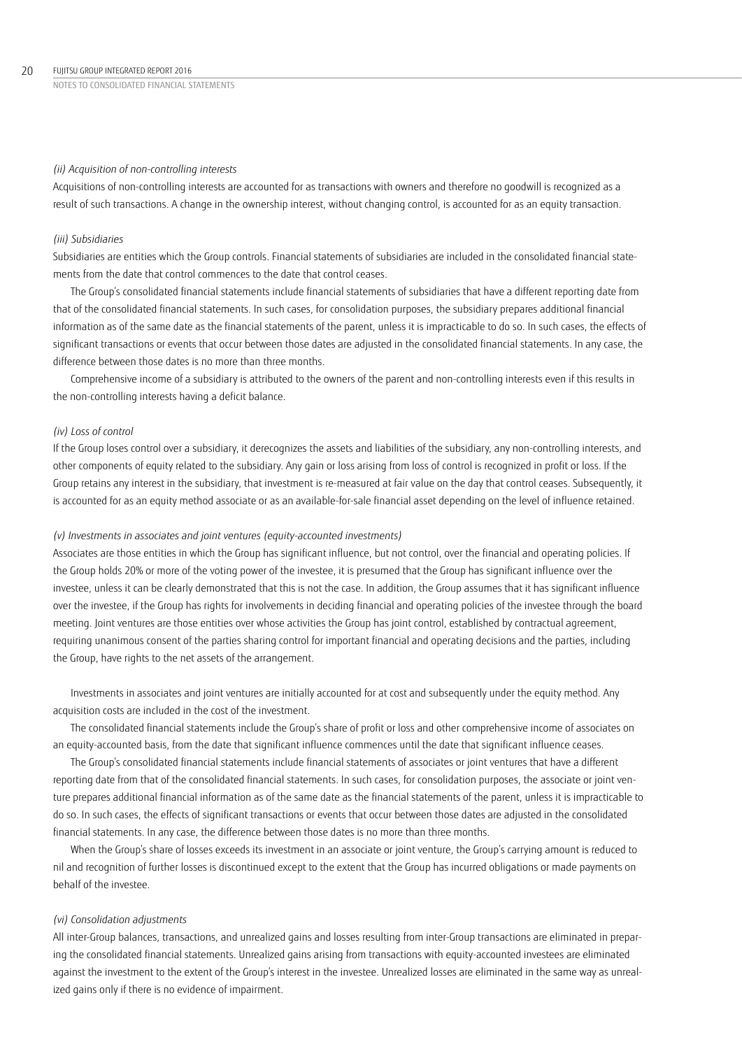### *(ii) Acquisition of non-controlling interests*

Acquisitions of non-controlling interests are accounted for as transactions with owners and therefore no goodwill is recognized as a result of such transactions. A change in the ownership interest, without changing control, is accounted for as an equity transaction.

## *(iii) Subsidiaries*

Subsidiaries are entities which the Group controls. Financial statements of subsidiaries are included in the consolidated financial statements from the date that control commences to the date that control ceases.

The Group's consolidated financial statements include financial statements of subsidiaries that have a different reporting date from that of the consolidated financial statements. In such cases, for consolidation purposes, the subsidiary prepares additional financial information as of the same date as the financial statements of the parent, unless it is impracticable to do so. In such cases, the effects of significant transactions or events that occur between those dates are adjusted in the consolidated financial statements. In any case, the difference between those dates is no more than three months.

Comprehensive income of a subsidiary is attributed to the owners of the parent and non-controlling interests even if this results in the non-controlling interests having a deficit balance.

# *(iv) Loss of control*

If the Group loses control over a subsidiary, it derecognizes the assets and liabilities of the subsidiary, any non-controlling interests, and other components of equity related to the subsidiary. Any gain or loss arising from loss of control is recognized in profit or loss. If the Group retains any interest in the subsidiary, that investment is re-measured at fair value on the day that control ceases. Subsequently, it is accounted for as an equity method associate or as an available-for-sale financial asset depending on the level of influence retained.

### *(v) Investments in associates and joint ventures (equity-accounted investments)*

Associates are those entities in which the Group has significant influence, but not control, over the financial and operating policies. If the Group holds 20% or more of the voting power of the investee, it is presumed that the Group has significant influence over the investee, unless it can be clearly demonstrated that this is not the case. In addition, the Group assumes that it has significant influence over the investee, if the Group has rights for involvements in deciding financial and operating policies of the investee through the board meeting. Joint ventures are those entities over whose activities the Group has joint control, established by contractual agreement, requiring unanimous consent of the parties sharing control for important financial and operating decisions and the parties, including the Group, have rights to the net assets of the arrangement.

Investments in associates and joint ventures are initially accounted for at cost and subsequently under the equity method. Any acquisition costs are included in the cost of the investment.

The consolidated financial statements include the Group's share of profit or loss and other comprehensive income of associates on an equity-accounted basis, from the date that significant influence commences until the date that significant influence ceases.

The Group's consolidated financial statements include financial statements of associates or joint ventures that have a different reporting date from that of the consolidated financial statements. In such cases, for consolidation purposes, the associate or joint venture prepares additional financial information as of the same date as the financial statements of the parent, unless it is impracticable to do so. In such cases, the effects of significant transactions or events that occur between those dates are adjusted in the consolidated financial statements. In any case, the difference between those dates is no more than three months.

When the Group's share of losses exceeds its investment in an associate or joint venture, the Group's carrying amount is reduced to nil and recognition of further losses is discontinued except to the extent that the Group has incurred obligations or made payments on behalf of the investee.

# *(vi) Consolidation adjustments*

All inter-Group balances, transactions, and unrealized gains and losses resulting from inter-Group transactions are eliminated in preparing the consolidated financial statements. Unrealized gains arising from transactions with equity-accounted investees are eliminated against the investment to the extent of the Group's interest in the investee. Unrealized losses are eliminated in the same way as unrealized gains only if there is no evidence of impairment.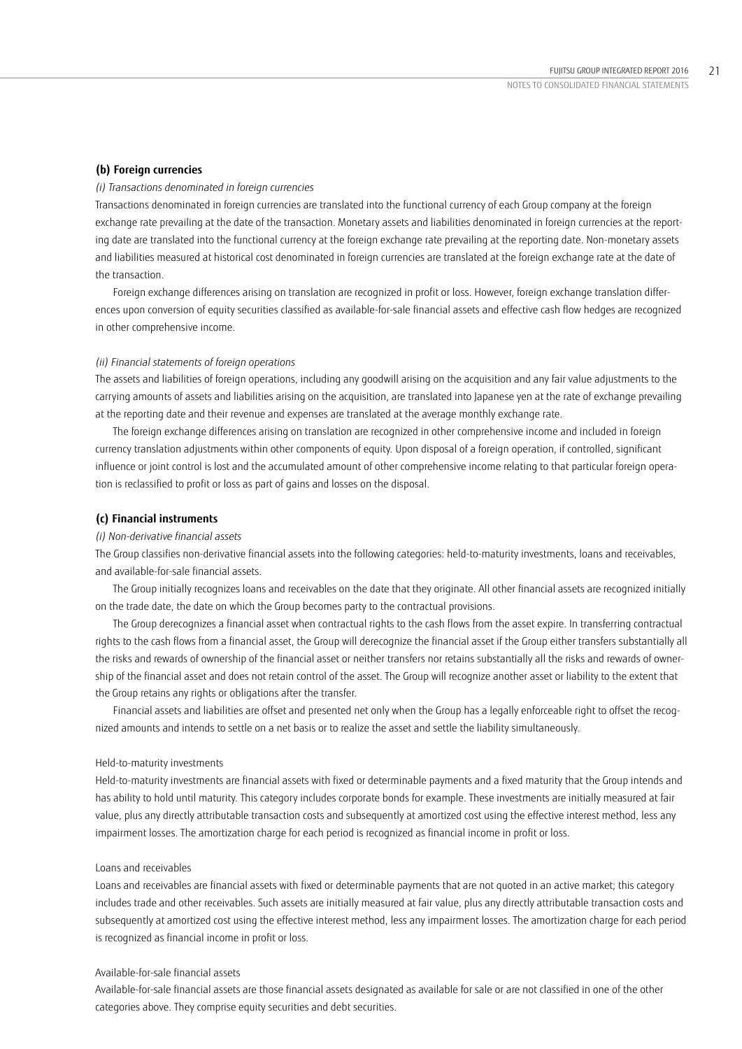### **(b) Foreign currencies**

### *(i) Transactions denominated in foreign currencies*

Transactions denominated in foreign currencies are translated into the functional currency of each Group company at the foreign exchange rate prevailing at the date of the transaction. Monetary assets and liabilities denominated in foreign currencies at the reporting date are translated into the functional currency at the foreign exchange rate prevailing at the reporting date. Non-monetary assets and liabilities measured at historical cost denominated in foreign currencies are translated at the foreign exchange rate at the date of the transaction.

Foreign exchange differences arising on translation are recognized in profit or loss. However, foreign exchange translation differences upon conversion of equity securities classified as available-for-sale financial assets and effective cash flow hedges are recognized in other comprehensive income.

### *(ii) Financial statements of foreign operations*

The assets and liabilities of foreign operations, including any goodwill arising on the acquisition and any fair value adjustments to the carrying amounts of assets and liabilities arising on the acquisition, are translated into Japanese yen at the rate of exchange prevailing at the reporting date and their revenue and expenses are translated at the average monthly exchange rate.

The foreign exchange differences arising on translation are recognized in other comprehensive income and included in foreign currency translation adjustments within other components of equity. Upon disposal of a foreign operation, if controlled, significant influence or joint control is lost and the accumulated amount of other comprehensive income relating to that particular foreign operation is reclassified to profit or loss as part of gains and losses on the disposal.

### **(c) Financial instruments**

### *(i) Non-derivative financial assets*

The Group classifies non-derivative financial assets into the following categories: held-to-maturity investments, loans and receivables, and available-for-sale financial assets.

The Group initially recognizes loans and receivables on the date that they originate. All other financial assets are recognized initially on the trade date, the date on which the Group becomes party to the contractual provisions.

The Group derecognizes a financial asset when contractual rights to the cash flows from the asset expire. In transferring contractual rights to the cash flows from a financial asset, the Group will derecognize the financial asset if the Group either transfers substantially all the risks and rewards of ownership of the financial asset or neither transfers nor retains substantially all the risks and rewards of ownership of the financial asset and does not retain control of the asset. The Group will recognize another asset or liability to the extent that the Group retains any rights or obligations after the transfer.

Financial assets and liabilities are offset and presented net only when the Group has a legally enforceable right to offset the recognized amounts and intends to settle on a net basis or to realize the asset and settle the liability simultaneously.

### Held-to-maturity investments

Held-to-maturity investments are financial assets with fixed or determinable payments and a fixed maturity that the Group intends and has ability to hold until maturity. This category includes corporate bonds for example. These investments are initially measured at fair value, plus any directly attributable transaction costs and subsequently at amortized cost using the effective interest method, less any impairment losses. The amortization charge for each period is recognized as financial income in profit or loss.

### Loans and receivables

Loans and receivables are financial assets with fixed or determinable payments that are not quoted in an active market; this category includes trade and other receivables. Such assets are initially measured at fair value, plus any directly attributable transaction costs and subsequently at amortized cost using the effective interest method, less any impairment losses. The amortization charge for each period is recognized as financial income in profit or loss.

### Available-for-sale financial assets

Available-for-sale financial assets are those financial assets designated as available for sale or are not classified in one of the other categories above. They comprise equity securities and debt securities.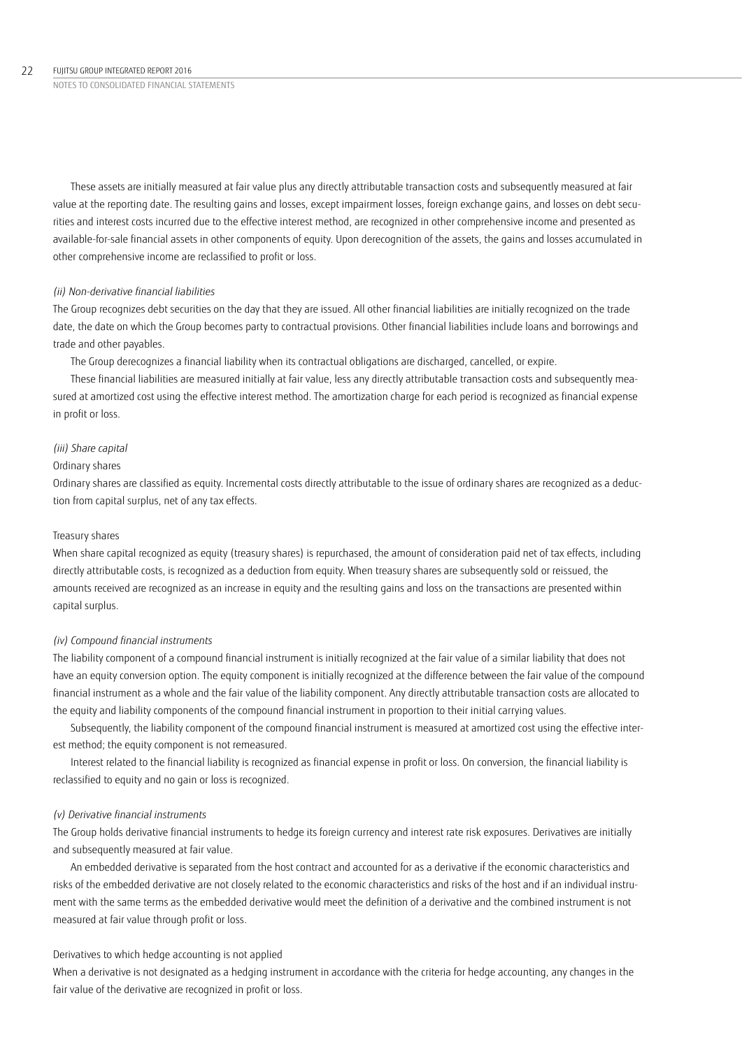These assets are initially measured at fair value plus any directly attributable transaction costs and subsequently measured at fair value at the reporting date. The resulting gains and losses, except impairment losses, foreign exchange gains, and losses on debt securities and interest costs incurred due to the effective interest method, are recognized in other comprehensive income and presented as available-for-sale financial assets in other components of equity. Upon derecognition of the assets, the gains and losses accumulated in other comprehensive income are reclassified to profit or loss.

### *(ii) Non-derivative financial liabilities*

The Group recognizes debt securities on the day that they are issued. All other financial liabilities are initially recognized on the trade date, the date on which the Group becomes party to contractual provisions. Other financial liabilities include loans and borrowings and trade and other payables.

The Group derecognizes a financial liability when its contractual obligations are discharged, cancelled, or expire.

These financial liabilities are measured initially at fair value, less any directly attributable transaction costs and subsequently measured at amortized cost using the effective interest method. The amortization charge for each period is recognized as financial expense in profit or loss.

### *(iii) Share capital*

### Ordinary shares

Ordinary shares are classified as equity. Incremental costs directly attributable to the issue of ordinary shares are recognized as a deduction from capital surplus, net of any tax effects.

### Treasury shares

When share capital recognized as equity (treasury shares) is repurchased, the amount of consideration paid net of tax effects, including directly attributable costs, is recognized as a deduction from equity. When treasury shares are subsequently sold or reissued, the amounts received are recognized as an increase in equity and the resulting gains and loss on the transactions are presented within capital surplus.

### *(iv) Compound financial instruments*

The liability component of a compound financial instrument is initially recognized at the fair value of a similar liability that does not have an equity conversion option. The equity component is initially recognized at the difference between the fair value of the compound financial instrument as a whole and the fair value of the liability component. Any directly attributable transaction costs are allocated to the equity and liability components of the compound financial instrument in proportion to their initial carrying values.

Subsequently, the liability component of the compound financial instrument is measured at amortized cost using the effective interest method; the equity component is not remeasured.

Interest related to the financial liability is recognized as financial expense in profit or loss. On conversion, the financial liability is reclassified to equity and no gain or loss is recognized.

### *(v) Derivative financial instruments*

The Group holds derivative financial instruments to hedge its foreign currency and interest rate risk exposures. Derivatives are initially and subsequently measured at fair value.

An embedded derivative is separated from the host contract and accounted for as a derivative if the economic characteristics and risks of the embedded derivative are not closely related to the economic characteristics and risks of the host and if an individual instrument with the same terms as the embedded derivative would meet the definition of a derivative and the combined instrument is not measured at fair value through profit or loss.

# Derivatives to which hedge accounting is not applied

When a derivative is not designated as a hedging instrument in accordance with the criteria for hedge accounting, any changes in the fair value of the derivative are recognized in profit or loss.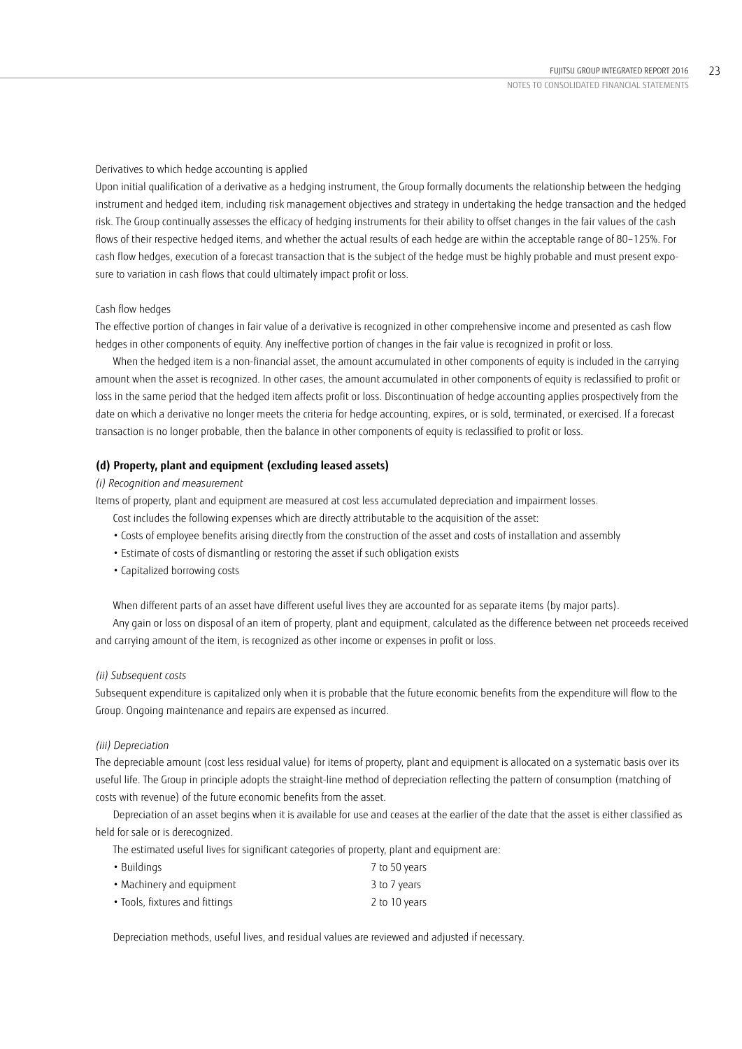Derivatives to which hedge accounting is applied

Upon initial qualification of a derivative as a hedging instrument, the Group formally documents the relationship between the hedging instrument and hedged item, including risk management objectives and strategy in undertaking the hedge transaction and the hedged risk. The Group continually assesses the efficacy of hedging instruments for their ability to offset changes in the fair values of the cash flows of their respective hedged items, and whether the actual results of each hedge are within the acceptable range of 80–125%. For cash flow hedges, execution of a forecast transaction that is the subject of the hedge must be highly probable and must present exposure to variation in cash flows that could ultimately impact profit or loss.

### Cash flow hedges

The effective portion of changes in fair value of a derivative is recognized in other comprehensive income and presented as cash flow hedges in other components of equity. Any ineffective portion of changes in the fair value is recognized in profit or loss.

When the hedged item is a non-financial asset, the amount accumulated in other components of equity is included in the carrying amount when the asset is recognized. In other cases, the amount accumulated in other components of equity is reclassified to profit or loss in the same period that the hedged item affects profit or loss. Discontinuation of hedge accounting applies prospectively from the date on which a derivative no longer meets the criteria for hedge accounting, expires, or is sold, terminated, or exercised. If a forecast transaction is no longer probable, then the balance in other components of equity is reclassified to profit or loss.

## **(d) Property, plant and equipment (excluding leased assets)**

# *(i) Recognition and measurement*

Items of property, plant and equipment are measured at cost less accumulated depreciation and impairment losses.

- Cost includes the following expenses which are directly attributable to the acquisition of the asset:
- Costs of employee benefits arising directly from the construction of the asset and costs of installation and assembly
- Estimate of costs of dismantling or restoring the asset if such obligation exists
- Capitalized borrowing costs

When different parts of an asset have different useful lives they are accounted for as separate items (by major parts).

Any gain or loss on disposal of an item of property, plant and equipment, calculated as the difference between net proceeds received and carrying amount of the item, is recognized as other income or expenses in profit or loss.

### *(ii) Subsequent costs*

Subsequent expenditure is capitalized only when it is probable that the future economic benefits from the expenditure will flow to the Group. Ongoing maintenance and repairs are expensed as incurred.

### *(iii) Depreciation*

The depreciable amount (cost less residual value) for items of property, plant and equipment is allocated on a systematic basis over its useful life. The Group in principle adopts the straight-line method of depreciation reflecting the pattern of consumption (matching of costs with revenue) of the future economic benefits from the asset.

Depreciation of an asset begins when it is available for use and ceases at the earlier of the date that the asset is either classified as held for sale or is derecognized.

The estimated useful lives for significant categories of property, plant and equipment are:

| • Buildings                    | 7 to 50 years |
|--------------------------------|---------------|
| • Machinery and equipment      | 3 to 7 years  |
| • Tools, fixtures and fittings | 2 to 10 years |

Depreciation methods, useful lives, and residual values are reviewed and adjusted if necessary.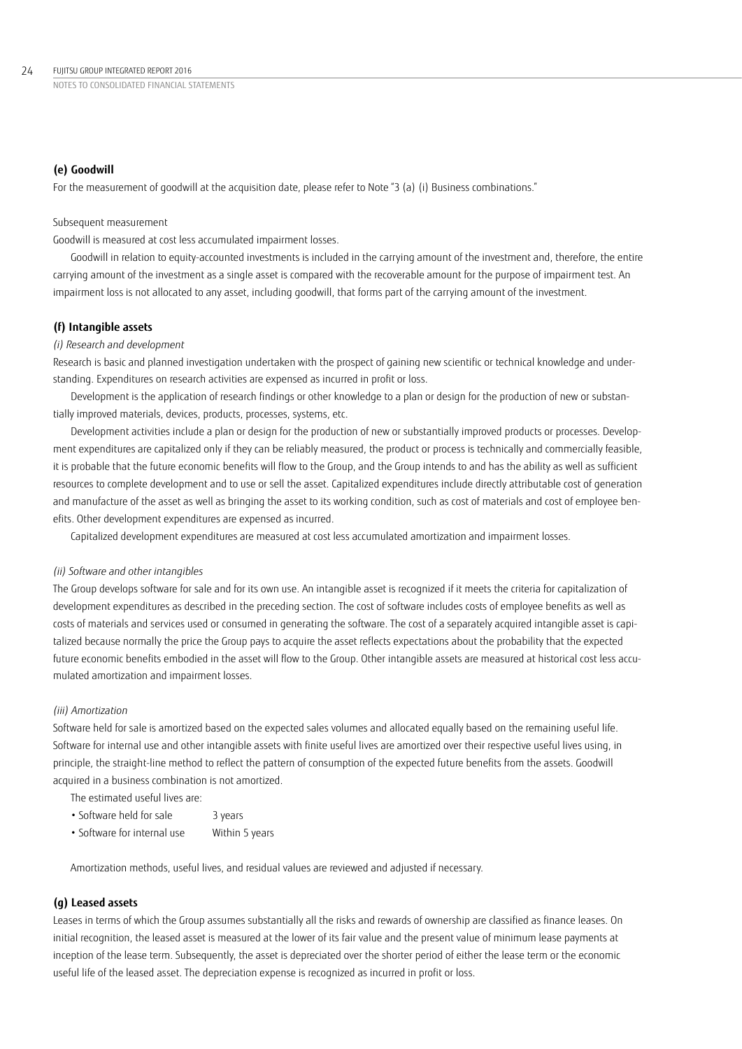# **(e) Goodwill**

For the measurement of goodwill at the acquisition date, please refer to Note "3 (a) (i) Business combinations."

### Subsequent measurement

Goodwill is measured at cost less accumulated impairment losses.

Goodwill in relation to equity-accounted investments is included in the carrying amount of the investment and, therefore, the entire carrying amount of the investment as a single asset is compared with the recoverable amount for the purpose of impairment test. An impairment loss is not allocated to any asset, including goodwill, that forms part of the carrying amount of the investment.

### **(f) Intangible assets**

### *(i) Research and development*

Research is basic and planned investigation undertaken with the prospect of gaining new scientific or technical knowledge and understanding. Expenditures on research activities are expensed as incurred in profit or loss.

Development is the application of research findings or other knowledge to a plan or design for the production of new or substantially improved materials, devices, products, processes, systems, etc.

Development activities include a plan or design for the production of new or substantially improved products or processes. Development expenditures are capitalized only if they can be reliably measured, the product or process is technically and commercially feasible, it is probable that the future economic benefits will flow to the Group, and the Group intends to and has the ability as well as sufficient resources to complete development and to use or sell the asset. Capitalized expenditures include directly attributable cost of generation and manufacture of the asset as well as bringing the asset to its working condition, such as cost of materials and cost of employee benefits. Other development expenditures are expensed as incurred.

Capitalized development expenditures are measured at cost less accumulated amortization and impairment losses.

### *(ii) Software and other intangibles*

The Group develops software for sale and for its own use. An intangible asset is recognized if it meets the criteria for capitalization of development expenditures as described in the preceding section. The cost of software includes costs of employee benefits as well as costs of materials and services used or consumed in generating the software. The cost of a separately acquired intangible asset is capitalized because normally the price the Group pays to acquire the asset reflects expectations about the probability that the expected future economic benefits embodied in the asset will flow to the Group. Other intangible assets are measured at historical cost less accumulated amortization and impairment losses.

# *(iii) Amortization*

Software held for sale is amortized based on the expected sales volumes and allocated equally based on the remaining useful life. Software for internal use and other intangible assets with finite useful lives are amortized over their respective useful lives using, in principle, the straight-line method to reflect the pattern of consumption of the expected future benefits from the assets. Goodwill acquired in a business combination is not amortized.

The estimated useful lives are:

- Software held for sale 3 years
- Software for internal use Within 5 years

Amortization methods, useful lives, and residual values are reviewed and adjusted if necessary.

### **(g) Leased assets**

Leases in terms of which the Group assumes substantially all the risks and rewards of ownership are classified as finance leases. On initial recognition, the leased asset is measured at the lower of its fair value and the present value of minimum lease payments at inception of the lease term. Subsequently, the asset is depreciated over the shorter period of either the lease term or the economic useful life of the leased asset. The depreciation expense is recognized as incurred in profit or loss.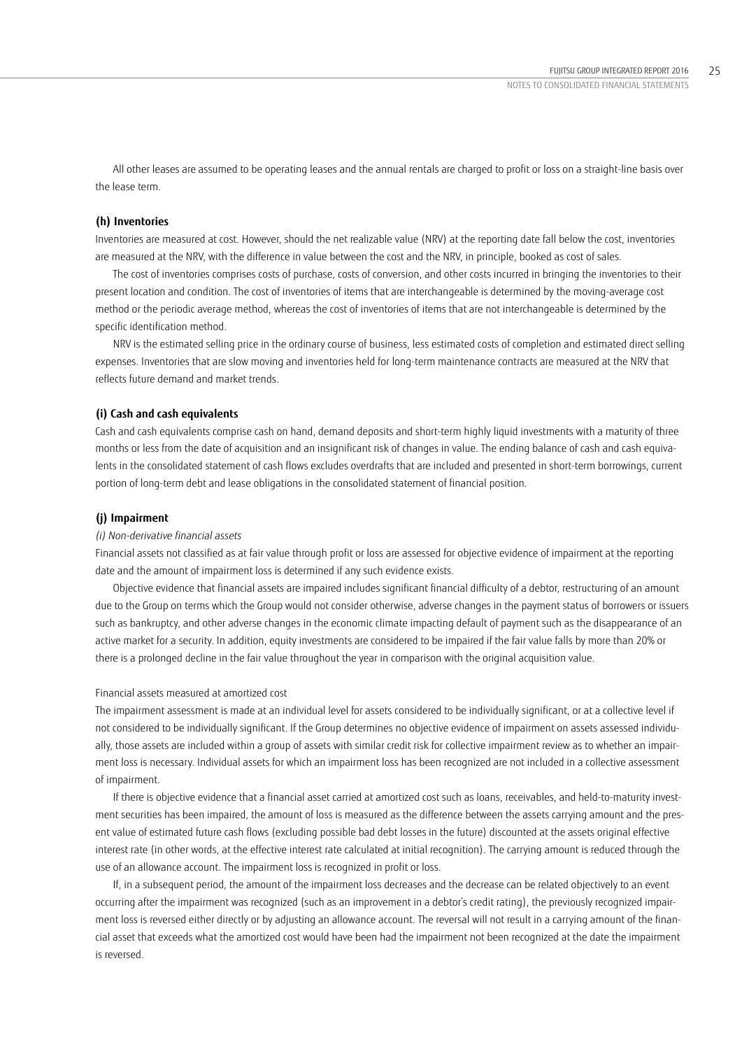All other leases are assumed to be operating leases and the annual rentals are charged to profit or loss on a straight-line basis over the lease term.

### **(h) Inventories**

Inventories are measured at cost. However, should the net realizable value (NRV) at the reporting date fall below the cost, inventories are measured at the NRV, with the difference in value between the cost and the NRV, in principle, booked as cost of sales.

The cost of inventories comprises costs of purchase, costs of conversion, and other costs incurred in bringing the inventories to their present location and condition. The cost of inventories of items that are interchangeable is determined by the moving-average cost method or the periodic average method, whereas the cost of inventories of items that are not interchangeable is determined by the specific identification method.

NRV is the estimated selling price in the ordinary course of business, less estimated costs of completion and estimated direct selling expenses. Inventories that are slow moving and inventories held for long-term maintenance contracts are measured at the NRV that reflects future demand and market trends.

### **(i) Cash and cash equivalents**

Cash and cash equivalents comprise cash on hand, demand deposits and short-term highly liquid investments with a maturity of three months or less from the date of acquisition and an insignificant risk of changes in value. The ending balance of cash and cash equivalents in the consolidated statement of cash flows excludes overdrafts that are included and presented in short-term borrowings, current portion of long-term debt and lease obligations in the consolidated statement of financial position.

### **(j) Impairment**

### *(i) Non-derivative financial assets*

Financial assets not classified as at fair value through profit or loss are assessed for objective evidence of impairment at the reporting date and the amount of impairment loss is determined if any such evidence exists.

Objective evidence that financial assets are impaired includes significant financial difficulty of a debtor, restructuring of an amount due to the Group on terms which the Group would not consider otherwise, adverse changes in the payment status of borrowers or issuers such as bankruptcy, and other adverse changes in the economic climate impacting default of payment such as the disappearance of an active market for a security. In addition, equity investments are considered to be impaired if the fair value falls by more than 20% or there is a prolonged decline in the fair value throughout the year in comparison with the original acquisition value.

### Financial assets measured at amortized cost

The impairment assessment is made at an individual level for assets considered to be individually significant, or at a collective level if not considered to be individually significant. If the Group determines no objective evidence of impairment on assets assessed individually, those assets are included within a group of assets with similar credit risk for collective impairment review as to whether an impairment loss is necessary. Individual assets for which an impairment loss has been recognized are not included in a collective assessment of impairment.

If there is objective evidence that a financial asset carried at amortized cost such as loans, receivables, and held-to-maturity investment securities has been impaired, the amount of loss is measured as the difference between the assets carrying amount and the present value of estimated future cash flows (excluding possible bad debt losses in the future) discounted at the assets original effective interest rate (in other words, at the effective interest rate calculated at initial recognition). The carrying amount is reduced through the use of an allowance account. The impairment loss is recognized in profit or loss.

If, in a subsequent period, the amount of the impairment loss decreases and the decrease can be related objectively to an event occurring after the impairment was recognized (such as an improvement in a debtor's credit rating), the previously recognized impairment loss is reversed either directly or by adjusting an allowance account. The reversal will not result in a carrying amount of the financial asset that exceeds what the amortized cost would have been had the impairment not been recognized at the date the impairment is reversed. '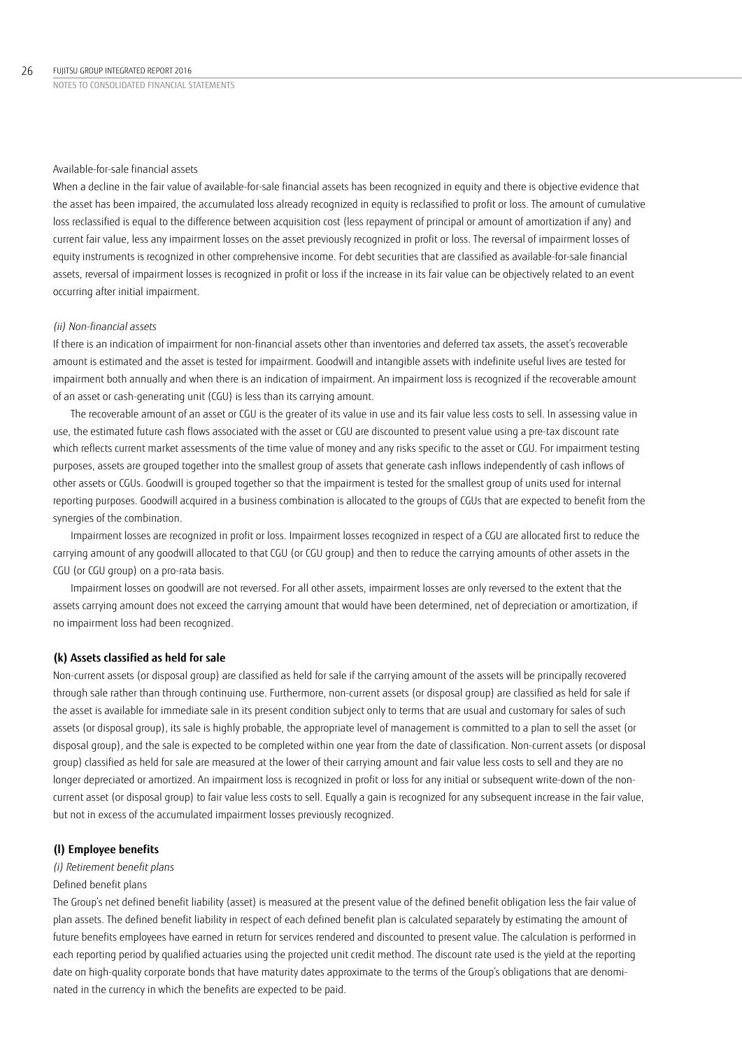### Available-for-sale financial assets

When a decline in the fair value of available-for-sale financial assets has been recognized in equity and there is objective evidence that the asset has been impaired, the accumulated loss already recognized in equity is reclassified to profit or loss. The amount of cumulative loss reclassified is equal to the difference between acquisition cost (less repayment of principal or amount of amortization if any) and current fair value, less any impairment losses on the asset previously recognized in profit or loss. The reversal of impairment losses of equity instruments is recognized in other comprehensive income. For debt securities that are classified as available-for-sale financial assets, reversal of impairment losses is recognized in profit or loss if the increase in its fair value can be objectively related to an event occurring after initial impairment.

### *(ii) Non-financial assets*

If there is an indication of impairment for non-financial assets other than inventories and deferred tax assets, the asset's recoverable amount is estimated and the asset is tested for impairment. Goodwill and intangible assets with indefinite useful lives are tested for impairment both annually and when there is an indication of impairment. An impairment loss is recognized if the recoverable amount of an asset or cash-generating unit (CGU) is less than its carrying amount. '

The recoverable amount of an asset or CGU is the greater of its value in use and its fair value less costs to sell. In assessing value in use, the estimated future cash flows associated with the asset or CGU are discounted to present value using a pre-tax discount rate which reflects current market assessments of the time value of money and any risks specific to the asset or CGU. For impairment testing purposes, assets are grouped together into the smallest group of assets that generate cash inflows independently of cash inflows of other assets or CGUs. Goodwill is grouped together so that the impairment is tested for the smallest group of units used for internal reporting purposes. Goodwill acquired in a business combination is allocated to the groups of CGUs that are expected to benefit from the synergies of the combination.

Impairment losses are recognized in profit or loss. Impairment losses recognized in respect of a CGU are allocated first to reduce the carrying amount of any goodwill allocated to that CGU (or CGU group) and then to reduce the carrying amounts of other assets in the CGU (or CGU group) on a pro-rata basis.

Impairment losses on goodwill are not reversed. For all other assets, impairment losses are only reversed to the extent that the assets carrying amount does not exceed the carrying amount that would have been determined, net of depreciation or amortization, if no impairment loss had been recognized.

### **(k) Assets classified as held for sale**

Non-current assets (or disposal group) are classified as held for sale if the carrying amount of the assets will be principally recovered through sale rather than through continuing use. Furthermore, non-current assets (or disposal group) are classified as held for sale if the asset is available for immediate sale in its present condition subject only to terms that are usual and customary for sales of such assets (or disposal group), its sale is highly probable, the appropriate level of management is committed to a plan to sell the asset (or disposal group), and the sale is expected to be completed within one year from the date of classification. Non-current assets (or disposal group) classified as held for sale are measured at the lower of their carrying amount and fair value less costs to sell and they are no longer depreciated or amortized. An impairment loss is recognized in profit or loss for any initial or subsequent write-down of the noncurrent asset (or disposal group) to fair value less costs to sell. Equally a gain is recognized for any subsequent increase in the fair value, but not in excess of the accumulated impairment losses previously recognized.

### **(l) Employee benefits**

# *(i) Retirement benefit plans*

### Defined benefit plans

The Group's net defined benefit liability (asset) is measured at the present value of the defined benefit obligation less the fair value of plan assets. The defined benefit liability in respect of each defined benefit plan is calculated separately by estimating the amount of future benefits employees have earned in return for services rendered and discounted to present value. The calculation is performed in each reporting period by qualified actuaries using the projected unit credit method. The discount rate used is the yield at the reporting date on high-quality corporate bonds that have maturity dates approximate to the terms of the Group's obligations that are denominated in the currency in which the benefits are expected to be paid.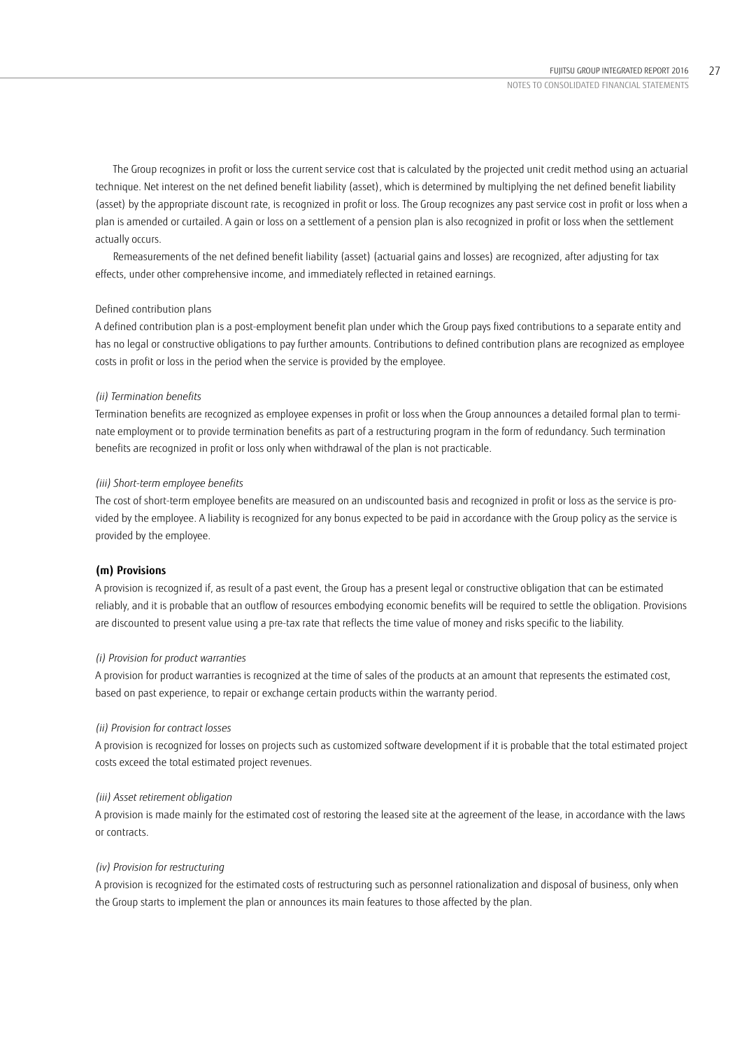The Group recognizes in profit or loss the current service cost that is calculated by the projected unit credit method using an actuarial technique. Net interest on the net defined benefit liability (asset), which is determined by multiplying the net defined benefit liability (asset) by the appropriate discount rate, is recognized in profit or loss. The Group recognizes any past service cost in profit or loss when a plan is amended or curtailed. A gain or loss on a settlement of a pension plan is also recognized in profit or loss when the settlement actually occurs.

Remeasurements of the net defined benefit liability (asset) (actuarial gains and losses) are recognized, after adjusting for tax effects, under other comprehensive income, and immediately reflected in retained earnings.

# Defined contribution plans

A defined contribution plan is a post-employment benefit plan under which the Group pays fixed contributions to a separate entity and has no legal or constructive obligations to pay further amounts. Contributions to defined contribution plans are recognized as employee costs in profit or loss in the period when the service is provided by the employee.

# *(ii) Termination benefits*

Termination benefits are recognized as employee expenses in profit or loss when the Group announces a detailed formal plan to terminate employment or to provide termination benefits as part of a restructuring program in the form of redundancy. Such termination benefits are recognized in profit or loss only when withdrawal of the plan is not practicable.

### *(iii) Short-term employee benefits*

The cost of short-term employee benefits are measured on an undiscounted basis and recognized in profit or loss as the service is provided by the employee. A liability is recognized for any bonus expected to be paid in accordance with the Group policy as the service is provided by the employee.

# **(m) Provisions**

A provision is recognized if, as result of a past event, the Group has a present legal or constructive obligation that can be estimated reliably, and it is probable that an outflow of resources embodying economic benefits will be required to settle the obligation. Provisions are discounted to present value using a pre-tax rate that reflects the time value of money and risks specific to the liability.

### *(i) Provision for product warranties*

A provision for product warranties is recognized at the time of sales of the products at an amount that represents the estimated cost, based on past experience, to repair or exchange certain products within the warranty period.

### *(ii) Provision for contract losses*

A provision is recognized for losses on projects such as customized software development if it is probable that the total estimated project costs exceed the total estimated project revenues.

# *(iii) Asset retirement obligation*

A provision is made mainly for the estimated cost of restoring the leased site at the agreement of the lease, in accordance with the laws or contracts.

### *(iv) Provision for restructuring*

A provision is recognized for the estimated costs of restructuring such as personnel rationalization and disposal of business, only when the Group starts to implement the plan or announces its main features to those affected by the plan.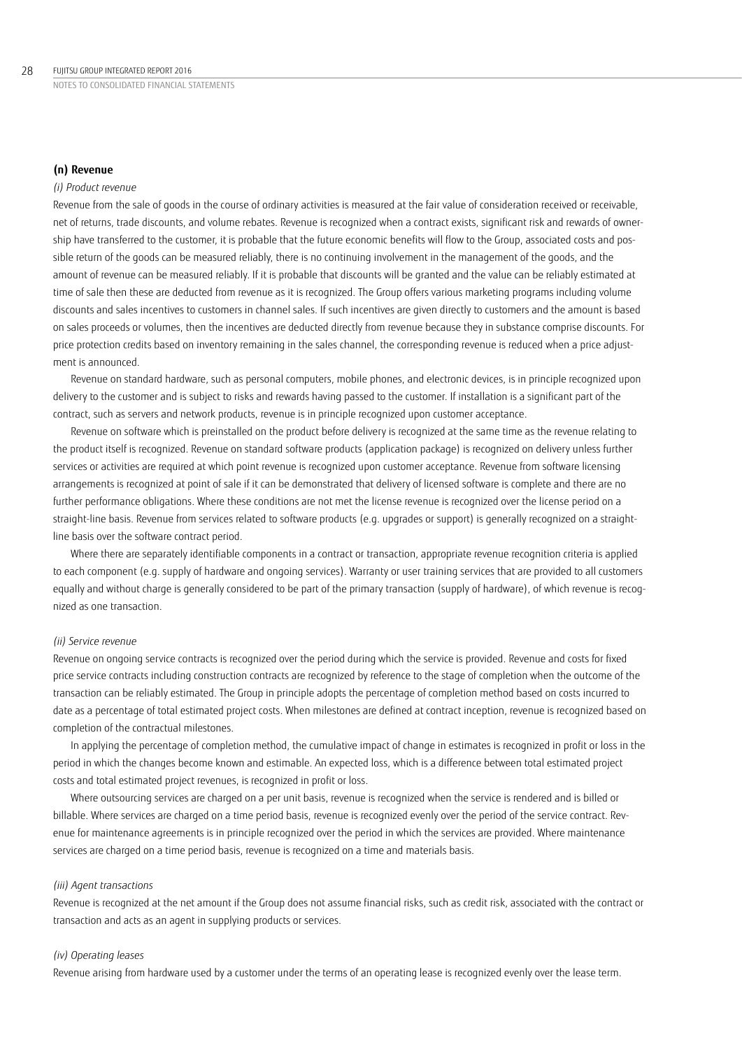## **(n) Revenue**

### *(i) Product revenue*

Revenue from the sale of goods in the course of ordinary activities is measured at the fair value of consideration received or receivable, net of returns, trade discounts, and volume rebates. Revenue is recognized when a contract exists, significant risk and rewards of ownership have transferred to the customer, it is probable that the future economic benefits will flow to the Group, associated costs and possible return of the goods can be measured reliably, there is no continuing involvement in the management of the goods, and the amount of revenue can be measured reliably. If it is probable that discounts will be granted and the value can be reliably estimated at time of sale then these are deducted from revenue as it is recognized. The Group offers various marketing programs including volume discounts and sales incentives to customers in channel sales. If such incentives are given directly to customers and the amount is based on sales proceeds or volumes, then the incentives are deducted directly from revenue because they in substance comprise discounts. For price protection credits based on inventory remaining in the sales channel, the corresponding revenue is reduced when a price adjustment is announced.

Revenue on standard hardware, such as personal computers, mobile phones, and electronic devices, is in principle recognized upon delivery to the customer and is subject to risks and rewards having passed to the customer. If installation is a significant part of the contract, such as servers and network products, revenue is in principle recognized upon customer acceptance.

Revenue on software which is preinstalled on the product before delivery is recognized at the same time as the revenue relating to the product itself is recognized. Revenue on standard software products (application package) is recognized on delivery unless further services or activities are required at which point revenue is recognized upon customer acceptance. Revenue from software licensing arrangements is recognized at point of sale if it can be demonstrated that delivery of licensed software is complete and there are no further performance obligations. Where these conditions are not met the license revenue is recognized over the license period on a straight-line basis. Revenue from services related to software products (e.g. upgrades or support) is generally recognized on a straightline basis over the software contract period.

Where there are separately identifiable components in a contract or transaction, appropriate revenue recognition criteria is applied to each component (e.g. supply of hardware and ongoing services). Warranty or user training services that are provided to all customers equally and without charge is generally considered to be part of the primary transaction (supply of hardware), of which revenue is recognized as one transaction.

## *(ii) Service revenue*

Revenue on ongoing service contracts is recognized over the period during which the service is provided. Revenue and costs for fixed price service contracts including construction contracts are recognized by reference to the stage of completion when the outcome of the transaction can be reliably estimated. The Group in principle adopts the percentage of completion method based on costs incurred to date as a percentage of total estimated project costs. When milestones are defined at contract inception, revenue is recognized based on completion of the contractual milestones.

In applying the percentage of completion method, the cumulative impact of change in estimates is recognized in profit or loss in the period in which the changes become known and estimable. An expected loss, which is a difference between total estimated project costs and total estimated project revenues, is recognized in profit or loss.

Where outsourcing services are charged on a per unit basis, revenue is recognized when the service is rendered and is billed or billable. Where services are charged on a time period basis, revenue is recognized evenly over the period of the service contract. Revenue for maintenance agreements is in principle recognized over the period in which the services are provided. Where maintenance services are charged on a time period basis, revenue is recognized on a time and materials basis.

### *(iii) Agent transactions*

Revenue is recognized at the net amount if the Group does not assume financial risks, such as credit risk, associated with the contract or transaction and acts as an agent in supplying products or services.

# *(iv) Operating leases*

Revenue arising from hardware used by a customer under the terms of an operating lease is recognized evenly over the lease term.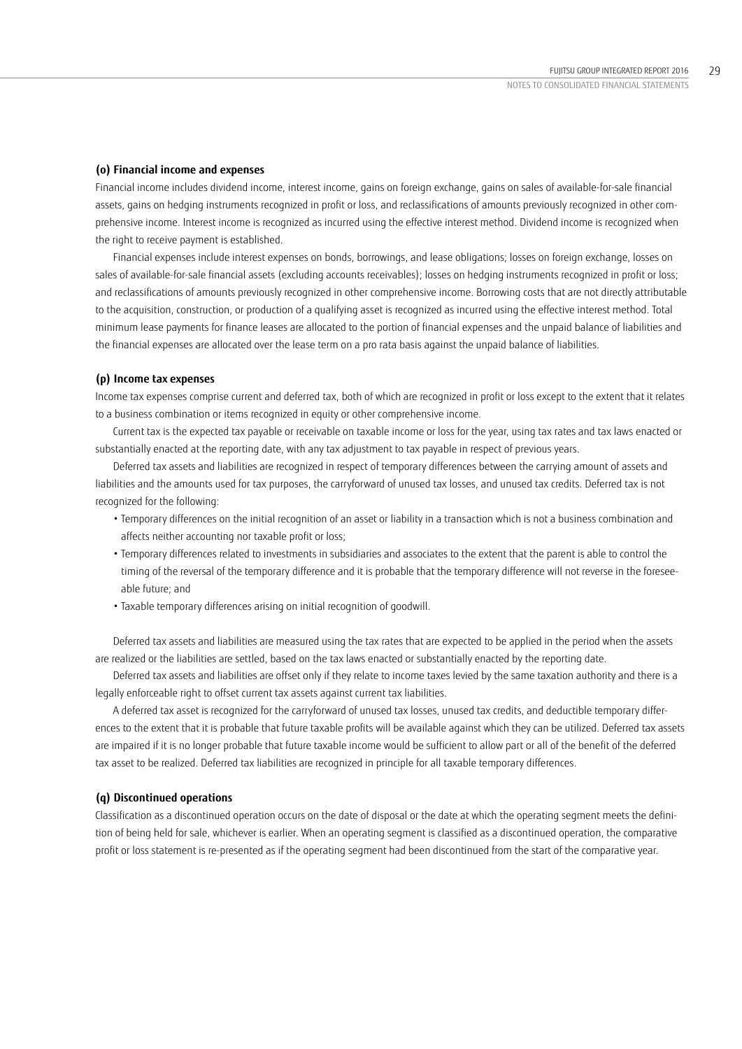### **(o) Financial income and expenses**

Financial income includes dividend income, interest income, gains on foreign exchange, gains on sales of available-for-sale financial assets, gains on hedging instruments recognized in profit or loss, and reclassifications of amounts previously recognized in other comprehensive income. Interest income is recognized as incurred using the effective interest method. Dividend income is recognized when the right to receive payment is established.

Financial expenses include interest expenses on bonds, borrowings, and lease obligations; losses on foreign exchange, losses on sales of available-for-sale financial assets (excluding accounts receivables); losses on hedging instruments recognized in profit or loss; and reclassifications of amounts previously recognized in other comprehensive income. Borrowing costs that are not directly attributable to the acquisition, construction, or production of a qualifying asset is recognized as incurred using the effective interest method. Total minimum lease payments for finance leases are allocated to the portion of financial expenses and the unpaid balance of liabilities and the financial expenses are allocated over the lease term on a pro rata basis against the unpaid balance of liabilities.

### **(p) Income tax expenses**

Income tax expenses comprise current and deferred tax, both of which are recognized in profit or loss except to the extent that it relates to a business combination or items recognized in equity or other comprehensive income.

Current tax is the expected tax payable or receivable on taxable income or loss for the year, using tax rates and tax laws enacted or substantially enacted at the reporting date, with any tax adjustment to tax payable in respect of previous years.

Deferred tax assets and liabilities are recognized in respect of temporary differences between the carrying amount of assets and liabilities and the amounts used for tax purposes, the carryforward of unused tax losses, and unused tax credits. Deferred tax is not recognized for the following:

- Temporary differences on the initial recognition of an asset or liability in a transaction which is not a business combination and affects neither accounting nor taxable profit or loss;
- Temporary differences related to investments in subsidiaries and associates to the extent that the parent is able to control the timing of the reversal of the temporary difference and it is probable that the temporary difference will not reverse in the foreseeable future; and
- Taxable temporary differences arising on initial recognition of goodwill.

Deferred tax assets and liabilities are measured using the tax rates that are expected to be applied in the period when the assets are realized or the liabilities are settled, based on the tax laws enacted or substantially enacted by the reporting date.

Deferred tax assets and liabilities are offset only if they relate to income taxes levied by the same taxation authority and there is a legally enforceable right to offset current tax assets against current tax liabilities.

A deferred tax asset is recognized for the carryforward of unused tax losses, unused tax credits, and deductible temporary differences to the extent that it is probable that future taxable profits will be available against which they can be utilized. Deferred tax assets are impaired if it is no longer probable that future taxable income would be sufficient to allow part or all of the benefit of the deferred tax asset to be realized. Deferred tax liabilities are recognized in principle for all taxable temporary differences.

# **(q) Discontinued operations**

Classification as a discontinued operation occurs on the date of disposal or the date at which the operating segment meets the definition of being held for sale, whichever is earlier. When an operating segment is classified as a discontinued operation, the comparative profit or loss statement is re-presented as if the operating segment had been discontinued from the start of the comparative year.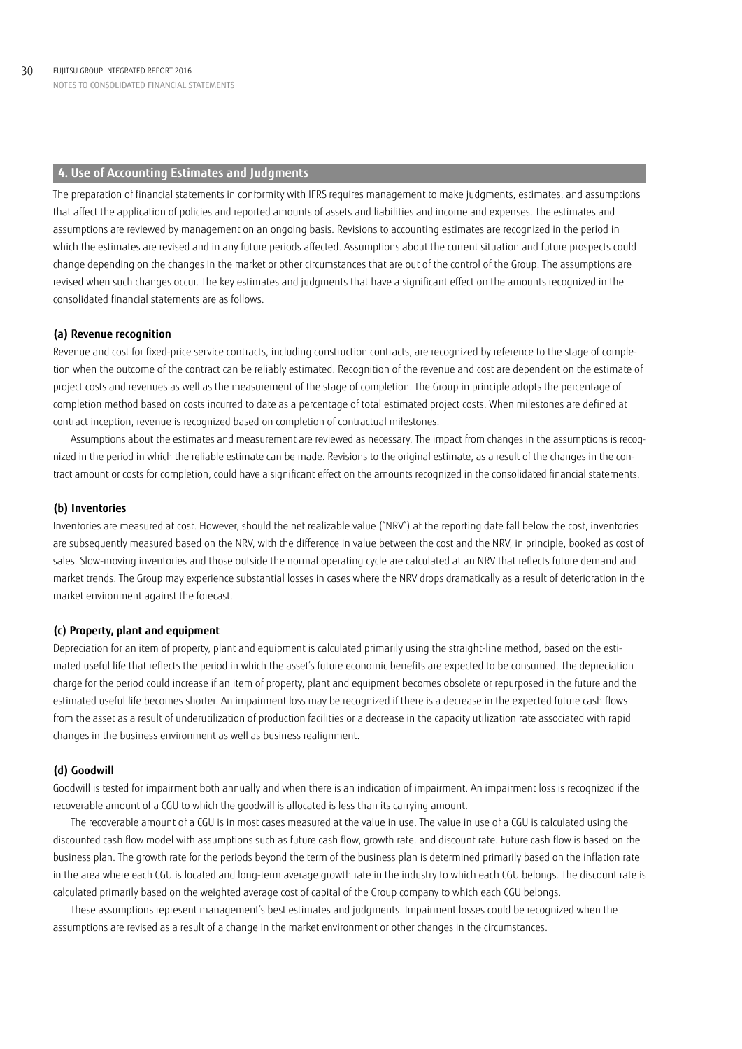# **4. Use of Accounting Estimates and Judgments**

The preparation of financial statements in conformity with IFRS requires management to make judgments, estimates, and assumptions that affect the application of policies and reported amounts of assets and liabilities and income and expenses. The estimates and assumptions are reviewed by management on an ongoing basis. Revisions to accounting estimates are recognized in the period in which the estimates are revised and in any future periods affected. Assumptions about the current situation and future prospects could change depending on the changes in the market or other circumstances that are out of the control of the Group. The assumptions are revised when such changes occur. The key estimates and judgments that have a significant effect on the amounts recognized in the consolidated financial statements are as follows.

## **(a) Revenue recognition**

Revenue and cost for fixed-price service contracts, including construction contracts, are recognized by reference to the stage of completion when the outcome of the contract can be reliably estimated. Recognition of the revenue and cost are dependent on the estimate of project costs and revenues as well as the measurement of the stage of completion. The Group in principle adopts the percentage of completion method based on costs incurred to date as a percentage of total estimated project costs. When milestones are defined at contract inception, revenue is recognized based on completion of contractual milestones.

Assumptions about the estimates and measurement are reviewed as necessary. The impact from changes in the assumptions is recognized in the period in which the reliable estimate can be made. Revisions to the original estimate, as a result of the changes in the contract amount or costs for completion, could have a significant effect on the amounts recognized in the consolidated financial statements.

### **(b) Inventories**

Inventories are measured at cost. However, should the net realizable value ("NRV") at the reporting date fall below the cost, inventories are subsequently measured based on the NRV, with the difference in value between the cost and the NRV, in principle, booked as cost of sales. Slow-moving inventories and those outside the normal operating cycle are calculated at an NRV that reflects future demand and market trends. The Group may experience substantial losses in cases where the NRV drops dramatically as a result of deterioration in the market environment against the forecast.

### **(c) Property, plant and equipment**

Depreciation for an item of property, plant and equipment is calculated primarily using the straight-line method, based on the estimated useful life that reflects the period in which the asset's future economic benefits are expected to be consumed. The depreciation charge for the period could increase if an item of property, plant and equipment becomes obsolete or repurposed in the future and the estimated useful life becomes shorter. An impairment loss may be recognized if there is a decrease in the expected future cash flows from the asset as a result of underutilization of production facilities or a decrease in the capacity utilization rate associated with rapid changes in the business environment as well as business realignment.

# **(d) Goodwill**

Goodwill is tested for impairment both annually and when there is an indication of impairment. An impairment loss is recognized if the recoverable amount of a CGU to which the goodwill is allocated is less than its carrying amount.

The recoverable amount of a CGU is in most cases measured at the value in use. The value in use of a CGU is calculated using the discounted cash flow model with assumptions such as future cash flow, growth rate, and discount rate. Future cash flow is based on the business plan. The growth rate for the periods beyond the term of the business plan is determined primarily based on the inflation rate in the area where each CGU is located and long-term average growth rate in the industry to which each CGU belongs. The discount rate is calculated primarily based on the weighted average cost of capital of the Group company to which each CGU belongs.

These assumptions represent management's best estimates and judgments. Impairment losses could be recognized when the assumptions are revised as a result of a change in the market environment or other changes in the circumstances.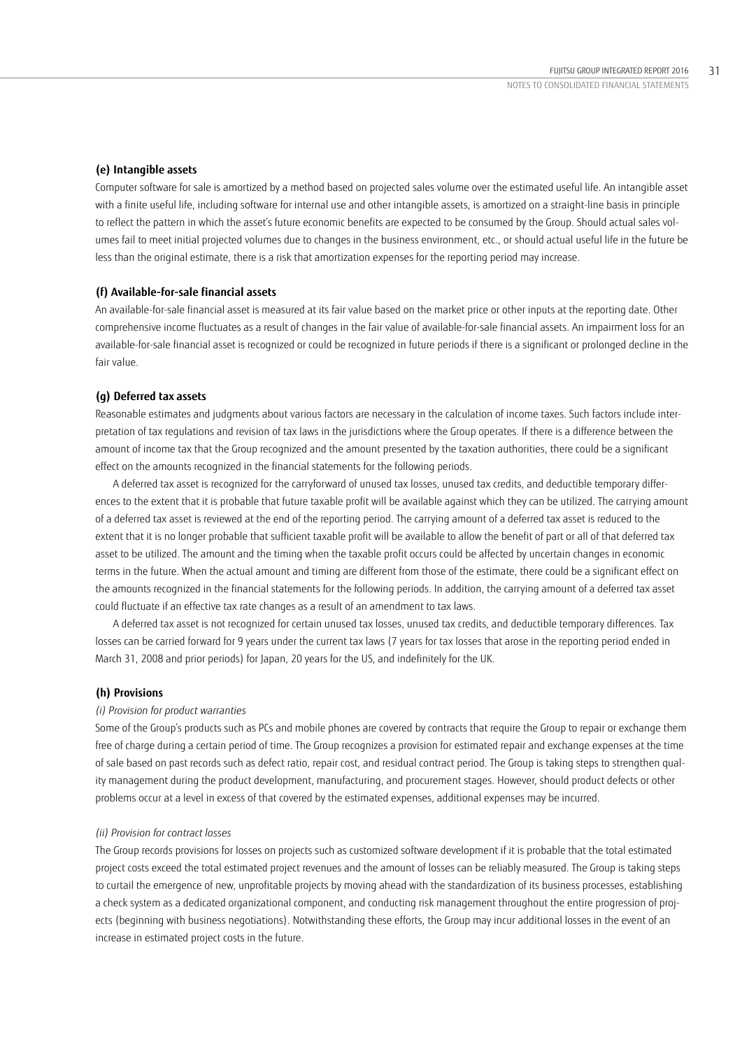### **(e) Intangible assets**

Computer software for sale is amortized by a method based on projected sales volume over the estimated useful life. An intangible asset with a finite useful life, including software for internal use and other intangible assets, is amortized on a straight-line basis in principle to reflect the pattern in which the asset's future economic benefits are expected to be consumed by the Group. Should actual sales volumes fail to meet initial projected volumes due to changes in the business environment, etc., or should actual useful life in the future be less than the original estimate, there is a risk that amortization expenses for the reporting period may increase. '

### **(f) Available-for-sale financial assets**

An available-for-sale financial asset is measured at its fair value based on the market price or other inputs at the reporting date. Other comprehensive income fluctuates as a result of changes in the fair value of available-for-sale financial assets. An impairment loss for an available-for-sale financial asset is recognized or could be recognized in future periods if there is a significant or prolonged decline in the fair value.

### **(g) Deferred tax assets**

Reasonable estimates and judgments about various factors are necessary in the calculation of income taxes. Such factors include interpretation of tax regulations and revision of tax laws in the jurisdictions where the Group operates. If there is a difference between the amount of income tax that the Group recognized and the amount presented by the taxation authorities, there could be a significant effect on the amounts recognized in the financial statements for the following periods.

A deferred tax asset is recognized for the carryforward of unused tax losses, unused tax credits, and deductible temporary differences to the extent that it is probable that future taxable profit will be available against which they can be utilized. The carrying amount of a deferred tax asset is reviewed at the end of the reporting period. The carrying amount of a deferred tax asset is reduced to the extent that it is no longer probable that sufficient taxable profit will be available to allow the benefit of part or all of that deferred tax asset to be utilized. The amount and the timing when the taxable profit occurs could be affected by uncertain changes in economic terms in the future. When the actual amount and timing are different from those of the estimate, there could be a significant effect on the amounts recognized in the financial statements for the following periods. In addition, the carrying amount of a deferred tax asset could fluctuate if an effective tax rate changes as a result of an amendment to tax laws.

A deferred tax asset is not recognized for certain unused tax losses, unused tax credits, and deductible temporary differences. Tax losses can be carried forward for 9 years under the current tax laws (7 years for tax losses that arose in the reporting period ended in March 31, 2008 and prior periods) for Japan, 20 years for the US, and indefinitely for the UK.

### **(h) Provisions**

### *(i) Provision for product warranties*

Some of the Group's products such as PCs and mobile phones are covered by contracts that require the Group to repair or exchange them free of charge during a certain period of time. The Group recognizes a provision for estimated repair and exchange expenses at the time of sale based on past records such as defect ratio, repair cost, and residual contract period. The Group is taking steps to strengthen quality management during the product development, manufacturing, and procurement stages. However, should product defects or other problems occur at a level in excess of that covered by the estimated expenses, additional expenses may be incurred.

### *(ii) Provision for contract losses*

The Group records provisions for losses on projects such as customized software development if it is probable that the total estimated project costs exceed the total estimated project revenues and the amount of losses can be reliably measured. The Group is taking steps to curtail the emergence of new, unprofitable projects by moving ahead with the standardization of its business processes, establishing a check system as a dedicated organizational component, and conducting risk management throughout the entire progression of projects (beginning with business negotiations). Notwithstanding these efforts, the Group may incur additional losses in the event of an increase in estimated project costs in the future.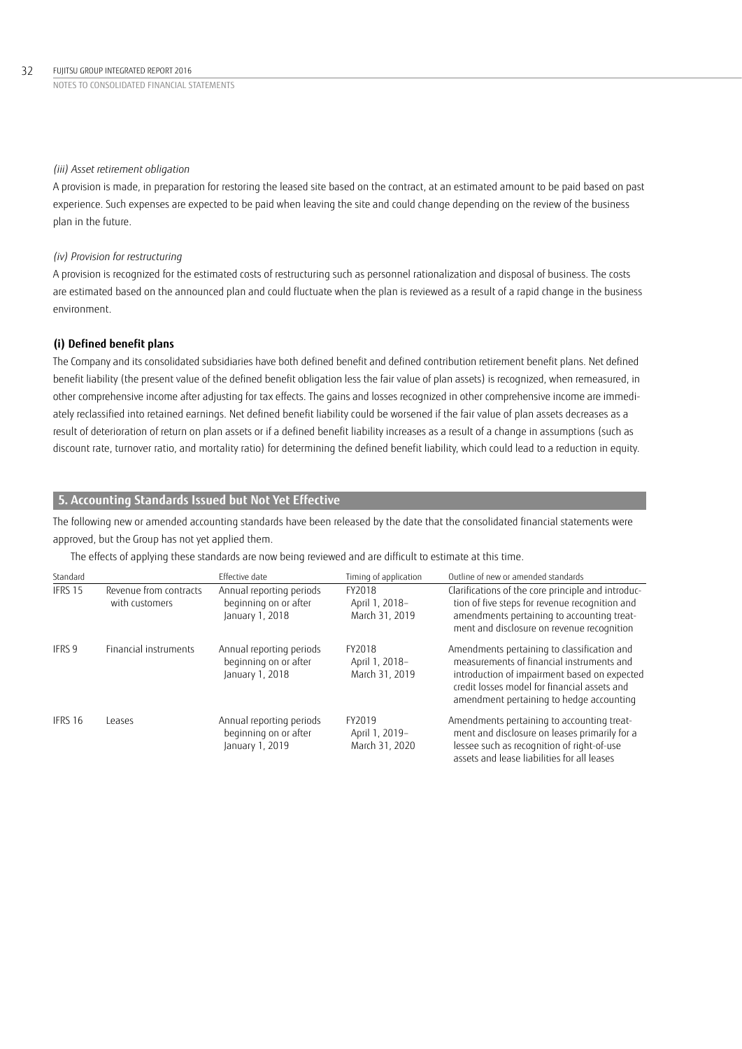### *(iii) Asset retirement obligation*

A provision is made, in preparation for restoring the leased site based on the contract, at an estimated amount to be paid based on past experience. Such expenses are expected to be paid when leaving the site and could change depending on the review of the business plan in the future.

### *(iv) Provision for restructuring*

A provision is recognized for the estimated costs of restructuring such as personnel rationalization and disposal of business. The costs are estimated based on the announced plan and could fluctuate when the plan is reviewed as a result of a rapid change in the business environment.

### **(i) Defined benefit plans**

The Company and its consolidated subsidiaries have both defined benefit and defined contribution retirement benefit plans. Net defined benefit liability (the present value of the defined benefit obligation less the fair value of plan assets) is recognized, when remeasured, in other comprehensive income after adjusting for tax effects. The gains and losses recognized in other comprehensive income are immediately reclassified into retained earnings. Net defined benefit liability could be worsened if the fair value of plan assets decreases as a result of deterioration of return on plan assets or if a defined benefit liability increases as a result of a change in assumptions (such as discount rate, turnover ratio, and mortality ratio) for determining the defined benefit liability, which could lead to a reduction in equity.

# **5. Accounting Standards Issued but Not Yet Effective**

The following new or amended accounting standards have been released by the date that the consolidated financial statements were approved, but the Group has not yet applied them.

The effects of applying these standards are now being reviewed and are difficult to estimate at this time.

| Standard |                                          | Effective date                                                       | Timing of application                      | Outline of new or amended standards                                                                                                                                                                                                  |
|----------|------------------------------------------|----------------------------------------------------------------------|--------------------------------------------|--------------------------------------------------------------------------------------------------------------------------------------------------------------------------------------------------------------------------------------|
| IFRS 15  | Revenue from contracts<br>with customers | Annual reporting periods<br>beginning on or after<br>January 1, 2018 | FY2018<br>April 1, 2018-<br>March 31, 2019 | Clarifications of the core principle and introduc-<br>tion of five steps for revenue recognition and<br>amendments pertaining to accounting treat-<br>ment and disclosure on revenue recognition                                     |
| IFRS 9   | Financial instruments                    | Annual reporting periods<br>beginning on or after<br>January 1, 2018 | FY2018<br>April 1, 2018-<br>March 31, 2019 | Amendments pertaining to classification and<br>measurements of financial instruments and<br>introduction of impairment based on expected<br>credit losses model for financial assets and<br>amendment pertaining to hedge accounting |
| IFRS 16  | Leases                                   | Annual reporting periods<br>beginning on or after<br>January 1, 2019 | FY2019<br>April 1, 2019-<br>March 31, 2020 | Amendments pertaining to accounting treat-<br>ment and disclosure on leases primarily for a<br>lessee such as recognition of right-of-use<br>assets and lease liabilities for all leases                                             |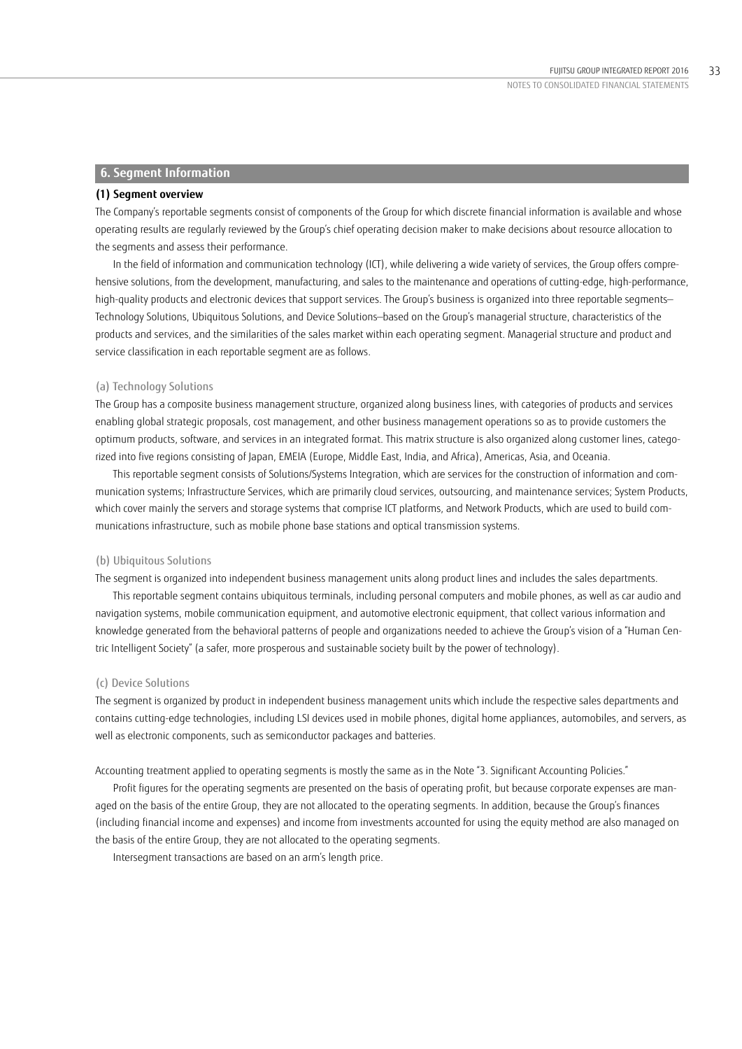### **6. Segment Information**

### **(1) Segment overview**

The Company's reportable segments consist of components of the Group for which discrete financial information is available and whose operating results are regularly reviewed by the Group's chief operating decision maker to make decisions about resource allocation to the segments and assess their performance.

In the field of information and communication technology (ICT), while delivering a wide variety of services, the Group offers comprehensive solutions, from the development, manufacturing, and sales to the maintenance and operations of cutting-edge, high-performance, high-quality products and electronic devices that support services. The Group's business is organized into three reportable segments— Technology Solutions, Ubiquitous Solutions, and Device Solutions—based on the Group's managerial structure, characteristics of the products and services, and the similarities of the sales market within each operating segment. Managerial structure and product and service classification in each reportable segment are as follows.

### (a) Technology Solutions

The Group has a composite business management structure, organized along business lines, with categories of products and services enabling global strategic proposals, cost management, and other business management operations so as to provide customers the optimum products, software, and services in an integrated format. This matrix structure is also organized along customer lines, categorized into five regions consisting of Japan, EMEIA (Europe, Middle East, India, and Africa), Americas, Asia, and Oceania.

This reportable segment consists of Solutions/Systems Integration, which are services for the construction of information and communication systems; Infrastructure Services, which are primarily cloud services, outsourcing, and maintenance services; System Products, which cover mainly the servers and storage systems that comprise ICT platforms, and Network Products, which are used to build communications infrastructure, such as mobile phone base stations and optical transmission systems.

### (b) Ubiquitous Solutions

The segment is organized into independent business management units along product lines and includes the sales departments.

This reportable segment contains ubiquitous terminals, including personal computers and mobile phones, as well as car audio and navigation systems, mobile communication equipment, and automotive electronic equipment, that collect various information and knowledge generated from the behavioral patterns of people and organizations needed to achieve the Group's vision of a "Human Centric Intelligent Society" (a safer, more prosperous and sustainable society built by the power of technology).

### (c) Device Solutions

The segment is organized by product in independent business management units which include the respective sales departments and contains cutting-edge technologies, including LSI devices used in mobile phones, digital home appliances, automobiles, and servers, as well as electronic components, such as semiconductor packages and batteries.

Accounting treatment applied to operating segments is mostly the same as in the Note "3. Significant Accounting Policies."

Profit figures for the operating segments are presented on the basis of operating profit, but because corporate expenses are managed on the basis of the entire Group, they are not allocated to the operating segments. In addition, because the Group's finances (including financial income and expenses) and income from investments accounted for using the equity method are also managed on the basis of the entire Group, they are not allocated to the operating segments.

Intersegment transactions are based on an arm's length price.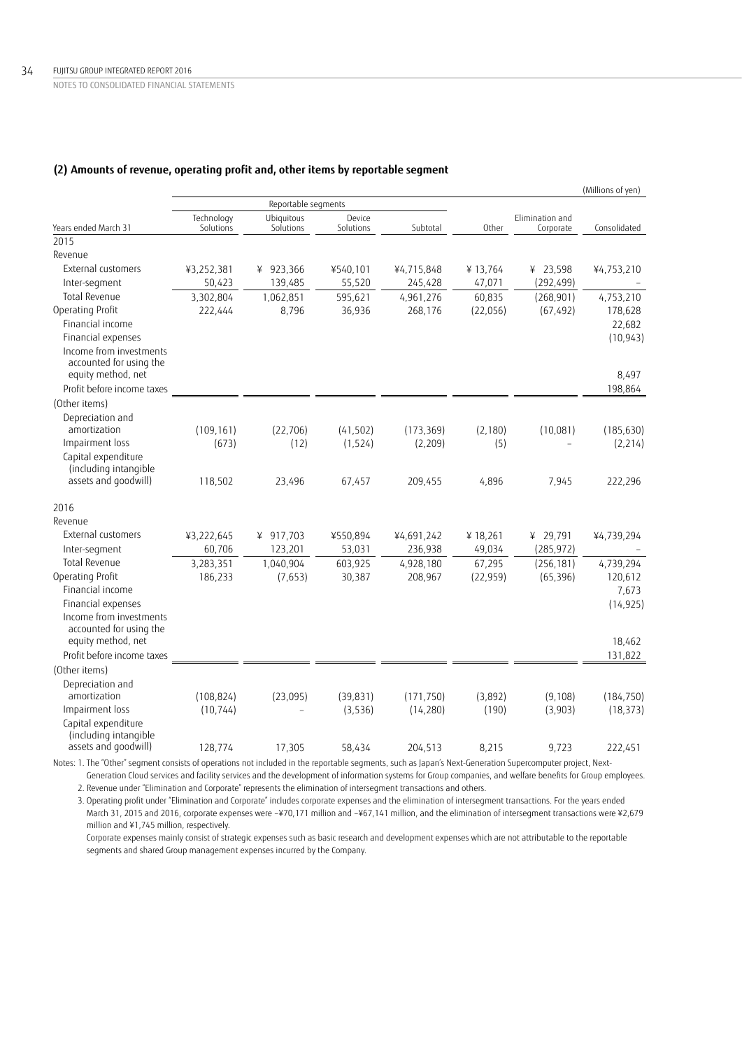# **(2) Amounts of revenue, operating profit and, other items by reportable segment**

|                                               |                         |                         |                     |            |                 |                              | (Millions of yen) |
|-----------------------------------------------|-------------------------|-------------------------|---------------------|------------|-----------------|------------------------------|-------------------|
|                                               |                         | Reportable segments     |                     |            |                 |                              |                   |
| Years ended March 31                          | Technology<br>Solutions | Ubiquitous<br>Solutions | Device<br>Solutions | Subtotal   | Other           | Elimination and<br>Corporate | Consolidated      |
| 2015                                          |                         |                         |                     |            |                 |                              |                   |
| Revenue                                       |                         |                         |                     |            |                 |                              |                   |
| External customers                            | ¥3,252,381              | ¥ 923,366               | ¥540,101            | ¥4,715,848 | ¥13,764         | ¥ 23,598                     | ¥4,753,210        |
| Inter-segment                                 | 50,423                  | 139,485                 | 55,520              | 245,428    | 47,071          | (292, 499)                   |                   |
| Total Revenue                                 | 3,302,804               | 1,062,851               | 595,621             | 4,961,276  | 60,835          | (268, 901)                   | 4,753,210         |
| Operating Profit                              | 222,444                 | 8,796                   | 36,936              | 268,176    | (22,056)        | (67, 492)                    | 178,628           |
| Financial income                              |                         |                         |                     |            |                 |                              | 22,682            |
| Financial expenses                            |                         |                         |                     |            |                 |                              | (10, 943)         |
| Income from investments                       |                         |                         |                     |            |                 |                              |                   |
| accounted for using the                       |                         |                         |                     |            |                 |                              |                   |
| equity method, net                            |                         |                         |                     |            |                 |                              | 8,497             |
| Profit before income taxes                    |                         |                         |                     |            |                 |                              | 198.864           |
| (Other items)                                 |                         |                         |                     |            |                 |                              |                   |
| Depreciation and<br>amortization              |                         |                         |                     |            |                 |                              |                   |
| Impairment loss                               | (109, 161)<br>(673)     | (22, 706)               | (41, 502)           | (173, 369) | (2, 180)<br>(5) | (10,081)                     | (185, 630)        |
| Capital expenditure                           |                         | (12)                    | (1, 524)            | (2, 209)   |                 |                              | (2, 214)          |
| (including intangible                         |                         |                         |                     |            |                 |                              |                   |
| assets and goodwill)                          | 118,502                 | 23,496                  | 67,457              | 209,455    | 4,896           | 7,945                        | 222,296           |
| 2016                                          |                         |                         |                     |            |                 |                              |                   |
| Revenue                                       |                         |                         |                     |            |                 |                              |                   |
| External customers                            | ¥3,222,645              | ¥ 917,703               | ¥550,894            | ¥4,691,242 | ¥ 18,261        | ¥ 29,791                     | ¥4,739,294        |
| Inter-segment                                 | 60,706                  | 123,201                 | 53,031              | 236,938    | 49,034          | (285, 972)                   |                   |
| Total Revenue                                 | 3,283,351               | 1,040,904               | 603,925             | 4,928,180  | 67,295          | (256, 181)                   | 4,739,294         |
| Operating Profit                              | 186,233                 | (7.653)                 | 30,387              | 208,967    | (22, 959)       | (65, 396)                    | 120,612           |
| Financial income                              |                         |                         |                     |            |                 |                              | 7,673             |
| Financial expenses                            |                         |                         |                     |            |                 |                              | (14, 925)         |
| Income from investments                       |                         |                         |                     |            |                 |                              |                   |
| accounted for using the<br>equity method, net |                         |                         |                     |            |                 |                              |                   |
| Profit before income taxes                    |                         |                         |                     |            |                 |                              | 18,462            |
|                                               |                         |                         |                     |            |                 |                              | 131,822           |
| (Other items)                                 |                         |                         |                     |            |                 |                              |                   |
| Depreciation and<br>amortization              | (108, 824)              | (23,095)                | (39, 831)           | (171, 750) | (3,892)         | (9, 108)                     | (184, 750)        |
| Impairment loss                               | (10, 744)               |                         | (3,536)             | (14, 280)  | (190)           | (3,903)                      | (18, 373)         |
| Capital expenditure                           |                         |                         |                     |            |                 |                              |                   |
| (including intangible                         |                         |                         |                     |            |                 |                              |                   |
| assets and goodwill)                          | 128,774                 | 17,305                  | 58,434              | 204,513    | 8,215           | 9,723                        | 222,451           |
|                                               |                         |                         |                     |            |                 |                              |                   |

Notes: 1. The "Other" segment consists of operations not included in the reportable segments, such as Japan's Next-Generation Supercomputer project, Next-Generation Cloud services and facility services and the development of information systems for Group companies, and welfare benefits for Group employees. '

2. Revenue under "Elimination and Corporate" represents the elimination of intersegment transactions and others.

3. Operating profit under "Elimination and Corporate" includes corporate expenses and the elimination of intersegment transactions. For the years ended March 31, 2015 and 2016, corporate expenses were –¥70,171 million and –¥67,141 million, and the elimination of intersegment transactions were ¥2,679 million and ¥1,745 million, respectively.

Corporate expenses mainly consist of strategic expenses such as basic research and development expenses which are not attributable to the reportable segments and shared Group management expenses incurred by the Company.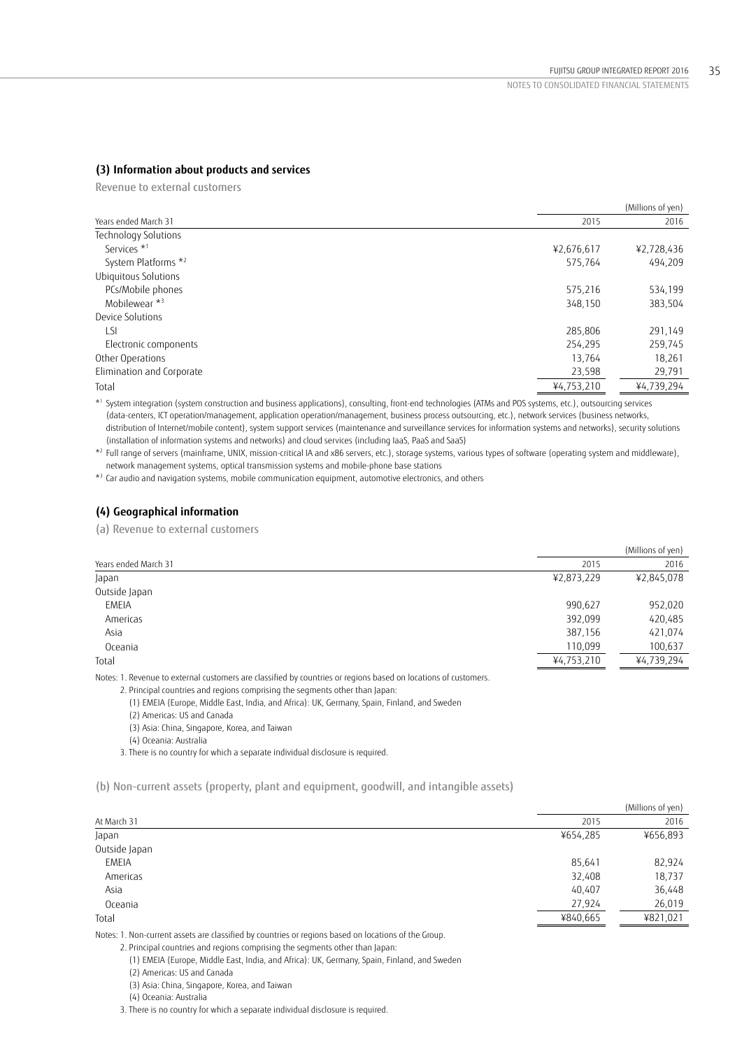# **(3) Information about products and services**

Revenue to external customers

|                           |            | (Millions of yen) |
|---------------------------|------------|-------------------|
| Years ended March 31      | 2015       | 2016              |
| Technology Solutions      |            |                   |
| Services <sup>*1</sup>    | ¥2,676,617 | ¥2,728,436        |
| System Platforms *2       | 575,764    | 494,209           |
| Ubiquitous Solutions      |            |                   |
| PCs/Mobile phones         | 575,216    | 534,199           |
| Mobilewear *3             | 348,150    | 383,504           |
| Device Solutions          |            |                   |
| LSI                       | 285,806    | 291,149           |
| Electronic components     | 254,295    | 259,745           |
| Other Operations          | 13,764     | 18,261            |
| Elimination and Corporate | 23,598     | 29,791            |
| Total                     | ¥4,753,210 | ¥4,739,294        |

\*1 System integration (system construction and business applications), consulting, front-end technologies (ATMs and POS systems, etc.), outsourcing services (data-centers, ICT operation/management, application operation/management, business process outsourcing, etc.), network services (business networks, distribution of Internet/mobile content), system support services (maintenance and surveillance services for information systems and networks), security solutions

(installation of information systems and networks) and cloud services (including IaaS, PaaS and SaaS)

\*2 Full range of servers (mainframe, UNIX, mission-critical IA and x86 servers, etc.), storage systems, various types of software (operating system and middleware), network management systems, optical transmission systems and mobile-phone base stations

\*3 Car audio and navigation systems, mobile communication equipment, automotive electronics, and others

# **(4) Geographical information**

(a) Revenue to external customers

|                      |            | (Millions of yen) |
|----------------------|------------|-------------------|
| Years ended March 31 | 2015       | 2016              |
| Japan                | ¥2,873,229 | ¥2,845,078        |
| Outside Japan        |            |                   |
| <b>EMEIA</b>         | 990,627    | 952,020           |
| Americas             | 392,099    | 420,485           |
| Asia                 | 387,156    | 421,074           |
| Oceania              | 110,099    | 100,637           |
| Total                | ¥4,753,210 | ¥4,739,294        |
|                      |            |                   |

Notes: 1. Revenue to external customers are classified by countries or regions based on locations of customers.

2. Principal countries and regions comprising the segments other than Japan:

(1) EMEIA (Europe, Middle East, India, and Africa): UK, Germany, Spain, Finland, and Sweden

(2) Americas: US and Canada

(3) Asia: China, Singapore, Korea, and Taiwan

(4) Oceania: Australia

3. There is no country for which a separate individual disclosure is required.

(b) Non-current assets (property, plant and equipment, goodwill, and intangible assets)

|               |          | (Millions of yen) |
|---------------|----------|-------------------|
| At March 31   | 2015     | 2016              |
| Japan         | ¥654,285 | ¥656,893          |
| Outside Japan |          |                   |
| <b>EMEIA</b>  | 85,641   | 82,924            |
| Americas      | 32,408   | 18,737            |
| Asia          | 40,407   | 36,448            |
| Oceania       | 27,924   | 26,019            |
| Total         | ¥840,665 | ¥821,021          |
|               |          |                   |

Notes: 1. Non-current assets are classified by countries or regions based on locations of the Group.

2. Principal countries and regions comprising the segments other than Japan:

(1) EMEIA (Europe, Middle East, India, and Africa): UK, Germany, Spain, Finland, and Sweden

(2) Americas: US and Canada

(3) Asia: China, Singapore, Korea, and Taiwan

(4) Oceania: Australia

3. There is no country for which a separate individual disclosure is required.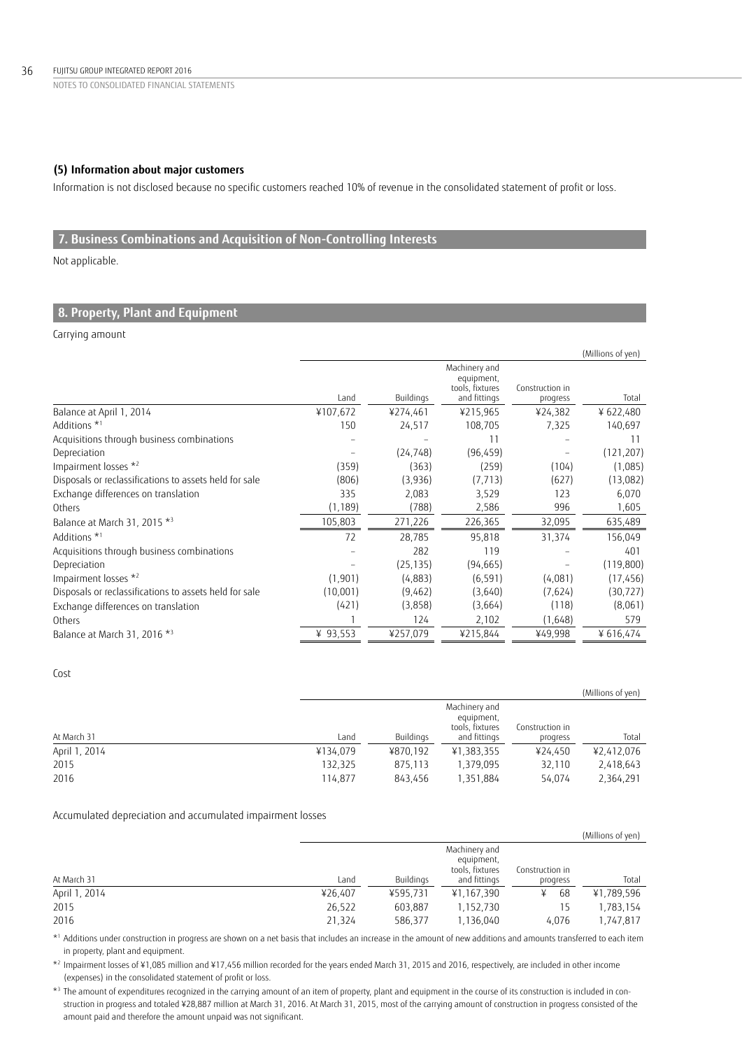# **(5) Information about major customers**

Information is not disclosed because no specific customers reached 10% of revenue in the consolidated statement of profit or loss.

# **7. Business Combinations and Acquisition of Non-Controlling Interests**

Not applicable.

# **8. Property, Plant and Equipment**

### Carrying amount

|                                                        |          |           |                                                                |                             | (Millions of yen) |
|--------------------------------------------------------|----------|-----------|----------------------------------------------------------------|-----------------------------|-------------------|
|                                                        | Land     | Buildings | Machinery and<br>equipment,<br>tools, fixtures<br>and fittings | Construction in<br>progress | Total             |
| Balance at April 1, 2014                               | ¥107,672 | ¥274,461  | ¥215,965                                                       | ¥24,382                     | ¥622,480          |
| Additions *1                                           | 150      | 24,517    | 108,705                                                        | 7,325                       | 140,697           |
| Acquisitions through business combinations             |          |           | 11                                                             |                             | 11                |
| Depreciation                                           |          | (24, 748) | (96, 459)                                                      |                             | (121, 207)        |
| Impairment losses *2                                   | (359)    | (363)     | (259)                                                          | (104)                       | (1,085)           |
| Disposals or reclassifications to assets held for sale | (806)    | (3,936)   | (7, 713)                                                       | (627)                       | (13,082)          |
| Exchange differences on translation                    | 335      | 2,083     | 3,529                                                          | 123                         | 6,070             |
| Others                                                 | (1, 189) | (788)     | 2,586                                                          | 996                         | 1,605             |
| Balance at March 31, 2015 *3                           | 105,803  | 271,226   | 226,365                                                        | 32,095                      | 635,489           |
| Additions *1                                           | 72       | 28,785    | 95,818                                                         | 31,374                      | 156,049           |
| Acquisitions through business combinations             |          | 282       | 119                                                            |                             | 401               |
| Depreciation                                           |          | (25, 135) | (94, 665)                                                      |                             | (119, 800)        |
| Impairment losses *2                                   | (1,901)  | (4,883)   | (6, 591)                                                       | (4,081)                     | (17, 456)         |
| Disposals or reclassifications to assets held for sale | (10,001) | (9,462)   | (3,640)                                                        | (7.624)                     | (30,727)          |
| Exchange differences on translation                    | (421)    | (3,858)   | (3,664)                                                        | (118)                       | (8,061)           |
| Others                                                 |          | 124       | 2,102                                                          | (1,648)                     | 579               |
| Balance at March 31, 2016 *3                           | ¥ 93,553 | ¥257,079  | ¥215,844                                                       | ¥49,998                     | ¥ 616,474         |

### Cost

|               |          |           |                                                |                 | (Millions of yen) |
|---------------|----------|-----------|------------------------------------------------|-----------------|-------------------|
|               |          |           | Machinery and<br>equipment,<br>tools, fixtures | Construction in |                   |
| At March 31   | Land     | Buildings | and fittings                                   | progress        | Total             |
| April 1, 2014 | ¥134,079 | ¥870.192  | ¥1,383,355                                     | ¥24.450         | ¥2,412,076        |
| 2015          | 132,325  | 875.113   | 1.379.095                                      | 32.110          | 2,418,643         |
| 2016          | 114,877  | 843.456   | 1,351,884                                      | 54,074          | 2,364,291         |

## Accumulated depreciation and accumulated impairment losses

|               |         |           |                 |                 | (Millions of yen) |
|---------------|---------|-----------|-----------------|-----------------|-------------------|
|               |         |           | Machinery and   |                 |                   |
|               |         |           | equipment,      |                 |                   |
|               |         |           | tools, fixtures | Construction in |                   |
| At March 31   | Land    | Buildings | and fittings    | progress        | Total             |
| April 1, 2014 | ¥26,407 | ¥595.731  | ¥1,167,390      | 68              | ¥1,789,596        |
| 2015          | 26,522  | 603.887   | 1,152,730       |                 | 1,783,154         |
| 2016          | 21,324  | 586,377   | 1,136,040       | 4.076           | 1.747.817         |

 \*1 Additions under construction in progress are shown on a net basis that includes an increase in the amount of new additions and amounts transferred to each item in property, plant and equipment.

 $^{\star_2}$  Impairment losses of ¥1,085 million and ¥17,456 million recorded for the years ended March 31, 2015 and 2016, respectively, are included in other income (expenses) in the consolidated statement of profit or loss.

 $^{\star}$ 3 The amount of expenditures recognized in the carrying amount of an item of property, plant and equipment in the course of its construction is included in con struction in progress and totaled ¥28,887 million at March 31, 2016. At March 31, 2015, most of the carrying amount of construction in progress consisted of the amount paid and therefore the amount unpaid was not significant.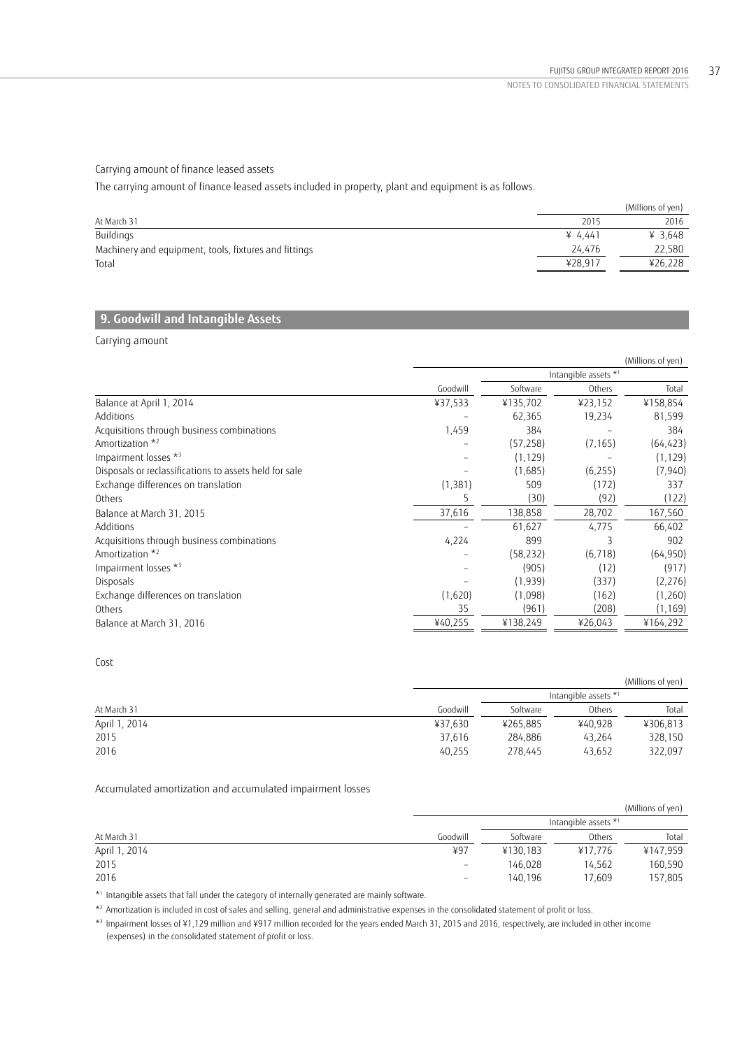# Carrying amount of finance leased assets

The carrying amount of finance leased assets included in property, plant and equipment is as follows.

|                                                       |         | (Millions of yen) |
|-------------------------------------------------------|---------|-------------------|
| At March 31                                           | 2015    | 2016              |
| Buildings                                             | ¥ 4.441 | ¥ 3.648           |
| Machinery and equipment, tools, fixtures and fittings | 24.476  | 22,580            |
| Total                                                 | ¥28.917 | ¥26,228           |

# **9. Goodwill and Intangible Assets**

Carrying amount

|                                                        |          |           |          | (Millions of yen)    |  |
|--------------------------------------------------------|----------|-----------|----------|----------------------|--|
|                                                        |          |           |          | Intangible assets *1 |  |
|                                                        | Goodwill | Software  | Others   | Total                |  |
| Balance at April 1, 2014                               | ¥37,533  | ¥135,702  | ¥23,152  | ¥158,854             |  |
| Additions                                              |          | 62,365    | 19,234   | 81,599               |  |
| Acquisitions through business combinations             | 1,459    | 384       |          | 384                  |  |
| Amortization * <sup>2</sup>                            |          | (57, 258) | (7, 165) | (64, 423)            |  |
| Impairment losses *3                                   |          | (1, 129)  |          | (1, 129)             |  |
| Disposals or reclassifications to assets held for sale |          | (1,685)   | (6, 255) | (7, 940)             |  |
| Exchange differences on translation                    | (1, 381) | 509       | (172)    | 337                  |  |
| Others                                                 |          | (30)      | (92)     | (122)                |  |
| Balance at March 31, 2015                              | 37,616   | 138,858   | 28,702   | 167,560              |  |
| Additions                                              |          | 61,627    | 4,775    | 66,402               |  |
| Acquisitions through business combinations             | 4,224    | 899       |          | 902                  |  |
| Amortization *2                                        |          | (58, 232) | (6, 718) | (64, 950)            |  |
| Impairment losses *3                                   |          | (905)     | (12)     | (917)                |  |
| Disposals                                              |          | (1,939)   | (337)    | (2,276)              |  |
| Exchange differences on translation                    | (1,620)  | (1,098)   | (162)    | (1,260)              |  |
| Others                                                 | 35       | (961)     | (208)    | (1, 169)             |  |
| Balance at March 31, 2016                              | ¥40,255  | ¥138,249  | ¥26,043  | ¥164,292             |  |

# Cost

|               |          |          |                      | (Millions of yen) |
|---------------|----------|----------|----------------------|-------------------|
|               |          |          | Intangible assets *1 |                   |
| At March 31   | Goodwill | Software | Others               | Total             |
| April 1, 2014 | ¥37.630  | ¥265,885 | ¥40.928              | ¥306,813          |
| 2015          | 37.616   | 284.886  | 43.264               | 328,150           |
| 2016          | 40,255   | 278.445  | 43,652               | 322,097           |

Accumulated amortization and accumulated impairment losses

|               |                          |          |                      | (Millions of yen) |
|---------------|--------------------------|----------|----------------------|-------------------|
|               |                          |          | Intangible assets *1 |                   |
| At March 31   | Goodwill                 | Software | Others               | Total             |
| April 1, 2014 | ¥97                      | ¥130,183 | ¥17.776              | ¥147,959          |
| 2015          | $\overline{\phantom{0}}$ | 146,028  | 14.562               | 160,590           |
| 2016          | $\overline{\phantom{a}}$ | 140,196  | 17.609               | 157,805           |

\*1 Intangible assets that fall under the category of internally generated are mainly software.

\*2 Amortization is included in cost of sales and selling, general and administrative expenses in the consolidated statement of profit or loss.

 \*3 Impairment losses of ¥1,129 million and ¥917 million recorded for the years ended March 31, 2015 and 2016, respectively, are included in other income (expenses) in the consolidated statement of profit or loss.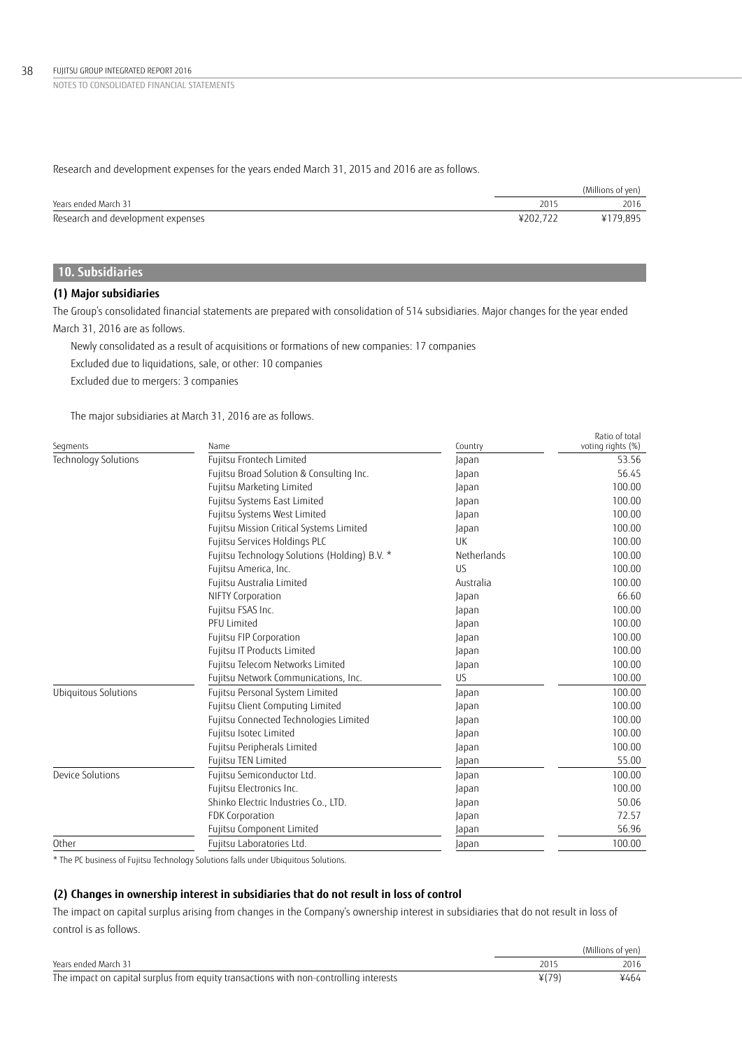Research and development expenses for the years ended March 31, 2015 and 2016 are as follows.

|                                   |          | (Millions of yen) |
|-----------------------------------|----------|-------------------|
| Years ended March 31              | 2015     | 2016              |
| Research and development expenses | ¥202.722 | ¥179,895          |

# **10. Subsidiaries**

# **(1) Major subsidiaries**

The Group's consolidated financial statements are prepared with consolidation of 514 subsidiaries. Major changes for the year ended March 31, 2016 are as follows.

Newly consolidated as a result of acquisitions or formations of new companies: 17 companies Excluded due to liquidations, sale, or other: 10 companies

Excluded due to mergers: 3 companies

The major subsidiaries at March 31, 2016 are as follows.

| Segments             | Name                                          | Country     | Ratio of total<br>voting rights (%) |
|----------------------|-----------------------------------------------|-------------|-------------------------------------|
| Technology Solutions | Fujitsu Frontech Limited                      | Japan       | 53.56                               |
|                      | Fujitsu Broad Solution & Consulting Inc.      | Japan       | 56.45                               |
|                      | Fujitsu Marketing Limited                     | Japan       | 100.00                              |
|                      | Fujitsu Systems East Limited                  | Japan       | 100.00                              |
|                      | Fujitsu Systems West Limited                  | Japan       | 100.00                              |
|                      | Fujitsu Mission Critical Systems Limited      | Japan       | 100.00                              |
|                      | Fujitsu Services Holdings PLC                 | UK          | 100.00                              |
|                      | Fujitsu Technology Solutions (Holding) B.V. * | Netherlands | 100.00                              |
|                      | Fujitsu America, Inc.                         | <b>US</b>   | 100.00                              |
|                      | Fujitsu Australia Limited                     | Australia   | 100.00                              |
|                      | NIFTY Corporation                             | Japan       | 66.60                               |
|                      | Fujitsu FSAS Inc.                             | Japan       | 100.00                              |
|                      | <b>PFU Limited</b>                            | Japan       | 100.00                              |
|                      | Fujitsu FIP Corporation                       | Japan       | 100.00                              |
|                      | Fujitsu IT Products Limited                   | Japan       | 100.00                              |
|                      | Fujitsu Telecom Networks Limited              | Japan       | 100.00                              |
|                      | Fujitsu Network Communications, Inc.          | US          | 100.00                              |
| Ubiquitous Solutions | Fujitsu Personal System Limited               | Japan       | 100.00                              |
|                      | Fujitsu Client Computing Limited              | Japan       | 100.00                              |
|                      | Fujitsu Connected Technologies Limited        | Japan       | 100.00                              |
|                      | Fujitsu Isotec Limited                        | Japan       | 100.00                              |
|                      | Fujitsu Peripherals Limited                   | Japan       | 100.00                              |
|                      | Fujitsu TEN Limited                           | Japan       | 55.00                               |
| Device Solutions     | Fujitsu Semiconductor Ltd.                    | Japan       | 100.00                              |
|                      | Fujitsu Electronics Inc.                      | Japan       | 100.00                              |
|                      | Shinko Electric Industries Co., LTD.          | Japan       | 50.06                               |
|                      | FDK Corporation                               | Japan       | 72.57                               |
|                      | Fujitsu Component Limited                     | Japan       | 56.96                               |
| Other                | Fujitsu Laboratories Ltd.                     | Japan       | 100.00                              |

\* The PC business of Fujitsu Technology Solutions falls under Ubiquitous Solutions.

# **(2) Changes in ownership interest in subsidiaries that do not result in loss of control**

The impact on capital surplus arising from changes in the Company's ownership interest in subsidiaries that do not result in loss of control is as follows.

|                                                                                       |         | (Millions of ven) |
|---------------------------------------------------------------------------------------|---------|-------------------|
| Years ended March 31                                                                  |         | 2016              |
| The impact on capital surplus from equity transactions with non-controlling interests | $*(79)$ | ¥464              |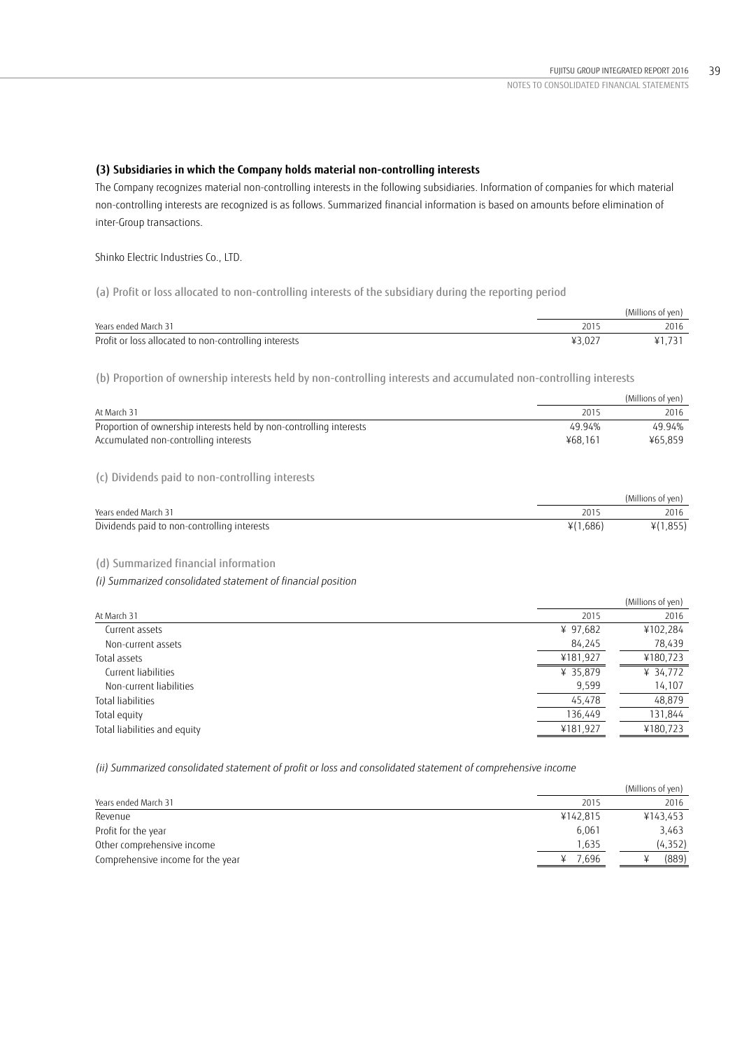# **(3) Subsidiaries in which the Company holds material non-controlling interests**

The Company recognizes material non-controlling interests in the following subsidiaries. Information of companies for which material non-controlling interests are recognized is as follows. Summarized financial information is based on amounts before elimination of inter-Group transactions.

Shinko Electric Industries Co., LTD.

(a) Profit or loss allocated to non-controlling interests of the subsidiary during the reporting period

|                                                       |        | (Millions of yen) |
|-------------------------------------------------------|--------|-------------------|
| Years ended March 31                                  | 101'   | 2016              |
| Profit or loss allocated to non-controlling interests | ¥3.027 |                   |

(b) Proportion of ownership interests held by non-controlling interests and accumulated non-controlling interests

|                                                                     |         | (Millions of ven) |
|---------------------------------------------------------------------|---------|-------------------|
| At March 31                                                         | 2015    | 2016              |
| Proportion of ownership interests held by non-controlling interests | 49.94%  | 49.94%            |
| Accumulated non-controlling interests                               | ¥68.161 | ¥65.859           |
|                                                                     |         |                   |

(c) Dividends paid to non-controlling interests

|                                             |          | (Millions of yen) |
|---------------------------------------------|----------|-------------------|
| Years ended March 31                        | 201      | 2016              |
| Dividends paid to non-controlling interests | ¥(1,686) | ¥(1,855)          |

# (d) Summarized financial information

*(i) Summarized consolidated statement of financial position* 

|                              |          | (Millions of yen) |
|------------------------------|----------|-------------------|
| At March 31                  | 2015     | 2016              |
| Current assets               | ¥ 97,682 | ¥102,284          |
| Non-current assets           | 84,245   | 78,439            |
| Total assets                 | ¥181,927 | ¥180,723          |
| Current liabilities          | ¥ 35,879 | ¥ 34,772          |
| Non-current liabilities      | 9,599    | 14,107            |
| Total liabilities            | 45,478   | 48,879            |
| Total equity                 | 136,449  | 131,844           |
| Total liabilities and equity | ¥181,927 | ¥180,723          |
|                              |          |                   |

*(ii) Summarized consolidated statement of profit or loss and consolidated statement of comprehensive income* 

|                                   |          | (Millions of yen) |
|-----------------------------------|----------|-------------------|
| Years ended March 31              | 2015     | 2016              |
| Revenue                           | ¥142.815 | ¥143.453          |
| Profit for the year               | 6.061    | 3,463             |
| Other comprehensive income        | 1.635    | (4, 352)          |
| Comprehensive income for the year | 7.696    | (889)             |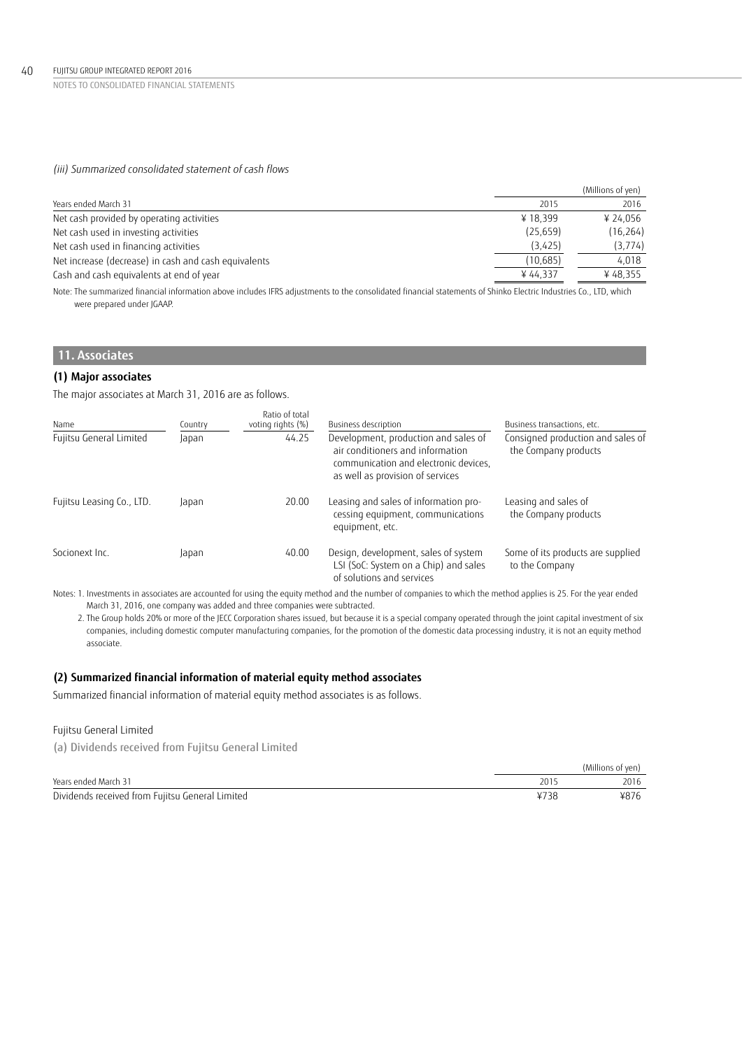# *(iii) Summarized consolidated statement of cash flows*

|                                                      |           | (Millions of yen) |
|------------------------------------------------------|-----------|-------------------|
| Years ended March 31                                 | 2015      | 2016              |
| Net cash provided by operating activities            | ¥18.399   | ¥ 24.056          |
| Net cash used in investing activities                | (25, 659) | (16, 264)         |
| Net cash used in financing activities                | (3,425)   | (3, 774)          |
| Net increase (decrease) in cash and cash equivalents | (10, 685) | 4,018             |
| Cash and cash equivalents at end of year             | ¥44.337   | ¥48,355           |
|                                                      |           |                   |

Note: The summarized financial information above includes IFRS adjustments to the consolidated financial statements of Shinko Electric Industries Co., LTD, which were prepared under JGAAP.

# **11. Associates**

### **(1) Major associates**

The major associates at March 31, 2016 are as follows.

| Name                      | Country | Ratio of total<br>voting rights (%) | Business description                                                                                                                                  | Business transactions, etc.                               |
|---------------------------|---------|-------------------------------------|-------------------------------------------------------------------------------------------------------------------------------------------------------|-----------------------------------------------------------|
| Fujitsu General Limited   | Japan   | 44.25                               | Development, production and sales of<br>air conditioners and information<br>communication and electronic devices,<br>as well as provision of services | Consigned production and sales of<br>the Company products |
| Fujitsu Leasing Co., LTD. | Japan   | 20.00                               | Leasing and sales of information pro-<br>cessing equipment, communications<br>equipment, etc.                                                         | Leasing and sales of<br>the Company products              |
| Socionext Inc.            | Japan   | 40.00                               | Design, development, sales of system<br>LSI (SoC: System on a Chip) and sales<br>of solutions and services                                            | Some of its products are supplied<br>to the Company       |

 Notes: 1. Investments in associates are accounted for using the equity method and the number of companies to which the method applies is 25. For the year ended March 31, 2016, one company was added and three companies were subtracted.

2. The Group holds 20% or more of the JECC Corporation shares issued, but because it is a special company operated through the joint capital investment of six companies, including domestic computer manufacturing companies, for the promotion of the domestic data processing industry, it is not an equity method associate.

# **(2) Summarized financial information of material equity method associates**

Summarized financial information of material equity method associates is as follows.

# Fujitsu General Limited

(a) Dividends received from Fujitsu General Limited

|                                                 |      | (Millions of ven) |
|-------------------------------------------------|------|-------------------|
| Years ended March 31                            | 101  | 2016              |
| Dividends received from Fujitsu General Limited | ¥738 | ¥876              |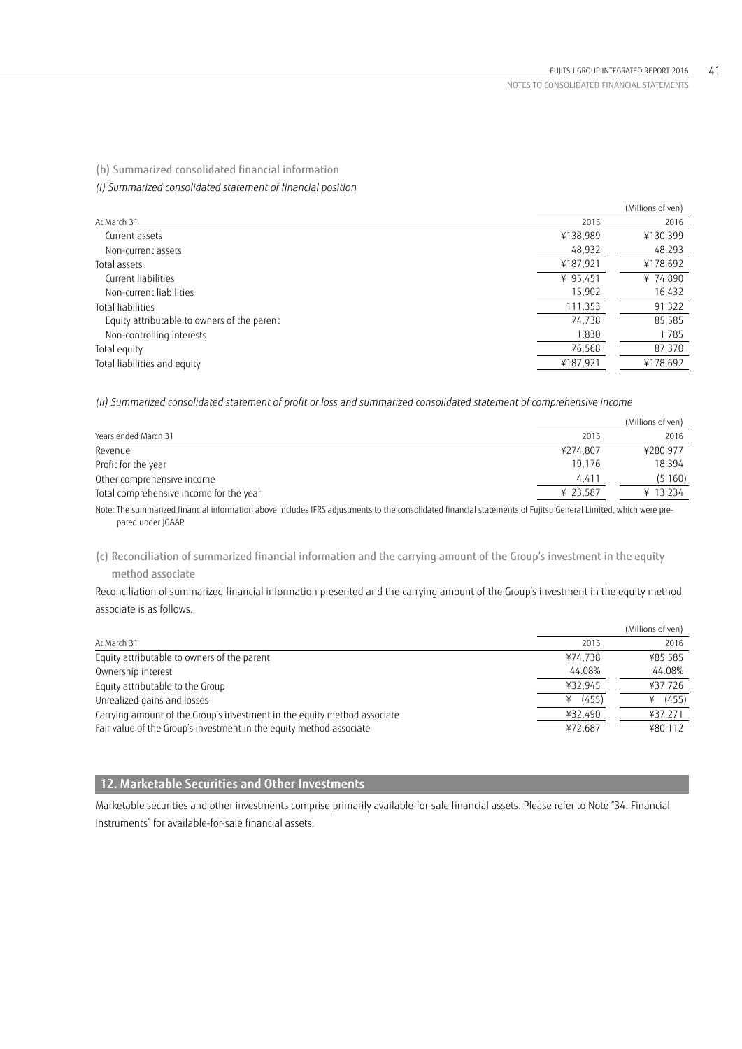(b) Summarized consolidated financial information

*(i) Summarized consolidated statement of financial position* 

|                                             |            | (Millions of yen) |
|---------------------------------------------|------------|-------------------|
| At March 31                                 | 2015       | 2016              |
| Current assets                              | ¥138,989   | ¥130,399          |
| Non-current assets                          | 48,932     | 48,293            |
| Total assets                                | ¥187,921   | ¥178,692          |
| Current liabilities                         | ¥ $95,451$ | ¥ 74,890          |
| Non-current liabilities                     | 15,902     | 16,432            |
| Total liabilities                           | 111,353    | 91,322            |
| Equity attributable to owners of the parent | 74,738     | 85,585            |
| Non-controlling interests                   | 1,830      | 1,785             |
| Total equity                                | 76,568     | 87,370            |
| Total liabilities and equity                | ¥187,921   | ¥178,692          |

*(ii) Summarized consolidated statement of profit or loss and summarized consolidated statement of comprehensive income* 

|                                                                                                                                                                 |          | (Millions of yen) |
|-----------------------------------------------------------------------------------------------------------------------------------------------------------------|----------|-------------------|
| Years ended March 31                                                                                                                                            | 2015     | 2016              |
| Revenue                                                                                                                                                         | ¥274.807 | ¥280.977          |
| Profit for the year                                                                                                                                             | 19.176   | 18.394            |
| Other comprehensive income                                                                                                                                      | 4.411    | (5, 160)          |
| Total comprehensive income for the year                                                                                                                         | ¥ 23.587 | ¥ 13.234          |
| Note: The summarized financial information above includes JERS adjustments to the consolidated financial statements of Eujitsu General Limited, which were pre- |          |                   |

Note: The summarized financial information above includes IFRS adjustments to the consolidated financial statements of Fujitsu General Limited, which were prepared under JGAAP.

(c) Reconciliation of summarized financial information and the carrying amount of the Group's investment in the equity method associate

Reconciliation of summarized financial information presented and the carrying amount of the Group's investment in the equity method associate is as follows.

|                                                                          |         | (Millions of yen) |
|--------------------------------------------------------------------------|---------|-------------------|
| At March 31                                                              | 2015    | 2016              |
| Equity attributable to owners of the parent                              | ¥74.738 | ¥85.585           |
| Ownership interest                                                       | 44.08%  | 44.08%            |
| Equity attributable to the Group                                         | ¥32,945 | ¥37,726           |
| Unrealized gains and losses                                              | (455)   | (455)             |
| Carrying amount of the Group's investment in the equity method associate | ¥32,490 | ¥37,271           |
| Fair value of the Group's investment in the equity method associate      | ¥72.687 | ¥80,112           |

# **12. Marketable Securities and Other Investments**

Marketable securities and other investments comprise primarily available-for-sale financial assets. Please refer to Note "34. Financial Instruments" for available-for-sale financial assets.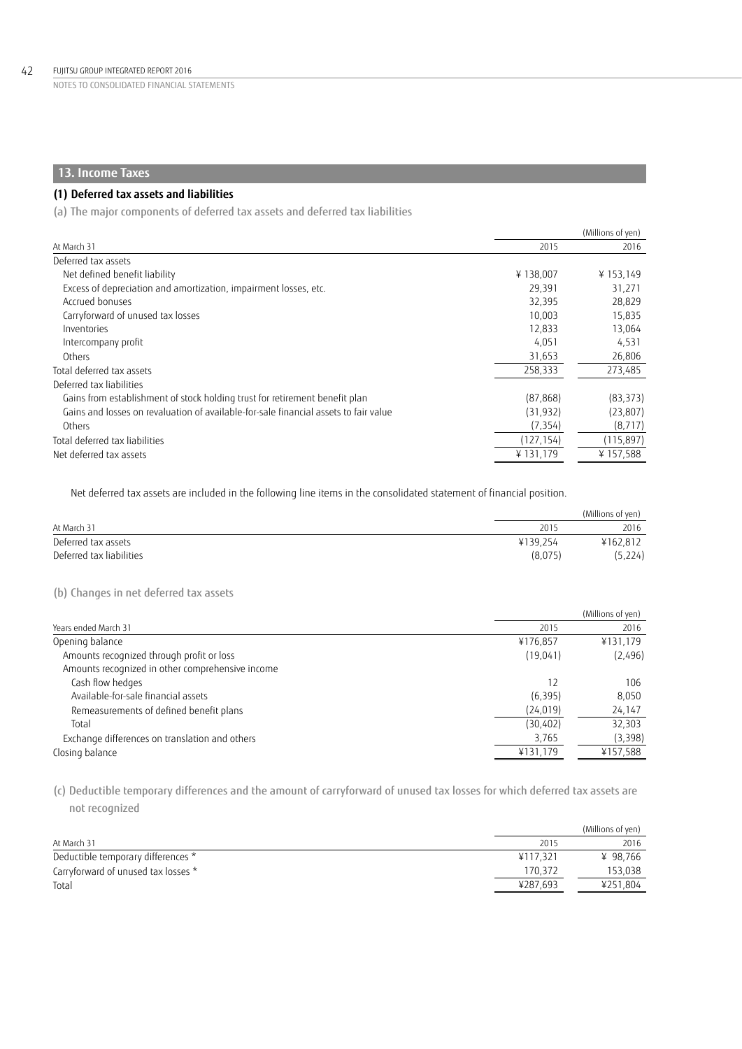# **13. Income Taxes**

# **(1) Deferred tax assets and liabilities**

(a) The major components of deferred tax assets and deferred tax liabilities

|                                                                                      |            | (Millions of yen) |
|--------------------------------------------------------------------------------------|------------|-------------------|
| At March 31                                                                          | 2015       | 2016              |
| Deferred tax assets                                                                  |            |                   |
| Net defined benefit liability                                                        | ¥138,007   | ¥153,149          |
| Excess of depreciation and amortization, impairment losses, etc.                     | 29,391     | 31,271            |
| Accrued bonuses                                                                      | 32,395     | 28,829            |
| Carryforward of unused tax losses                                                    | 10.003     | 15,835            |
| Inventories                                                                          | 12.833     | 13,064            |
| Intercompany profit                                                                  | 4,051      | 4,531             |
| Others                                                                               | 31,653     | 26,806            |
| Total deferred tax assets                                                            | 258,333    | 273,485           |
| Deferred tax liabilities                                                             |            |                   |
| Gains from establishment of stock holding trust for retirement benefit plan          | (87, 868)  | (83, 373)         |
| Gains and losses on revaluation of available-for-sale financial assets to fair value | (31, 932)  | (23, 807)         |
| Others                                                                               | (7, 354)   | (8, 717)          |
| Total deferred tax liabilities                                                       | (127, 154) | (115, 897)        |
| Net deferred tax assets                                                              | ¥131,179   | ¥157,588          |

Net deferred tax assets are included in the following line items in the consolidated statement of financial position.

|                          |          | (Millions of yen) |  |
|--------------------------|----------|-------------------|--|
| At March 31              | 2015     | 2016              |  |
| Deferred tax assets      | ¥139.254 | ¥162.812          |  |
| Deferred tax liabilities | (8,075)  | (5,224)           |  |

# (b) Changes in net deferred tax assets

|                                                  |           | (Millions of yen) |
|--------------------------------------------------|-----------|-------------------|
| Years ended March 31                             | 2015      | 2016              |
| Opening balance                                  | ¥176,857  | ¥131,179          |
| Amounts recognized through profit or loss        | (19,041)  | (2,496)           |
| Amounts recognized in other comprehensive income |           |                   |
| Cash flow hedges                                 | 12        | 106               |
| Available-for-sale financial assets              | (6, 395)  | 8,050             |
| Remeasurements of defined benefit plans          | (24, 019) | 24,147            |
| Total                                            | (30, 402) | 32,303            |
| Exchange differences on translation and others   | 3,765     | (3,398)           |
| Closing balance                                  | ¥131,179  | ¥157,588          |

(c) Deductible temporary differences and the amount of carryforward of unused tax losses for which deferred tax assets are not recognized

|                                     |          | (Millions of yen) |
|-------------------------------------|----------|-------------------|
| At March 31                         | 2015     | 2016              |
| Deductible temporary differences *  | ¥117.321 | ¥ 98.766          |
| Carryforward of unused tax losses * | 170.372  | 153,038           |
| Total                               | ¥287.693 | ¥251,804          |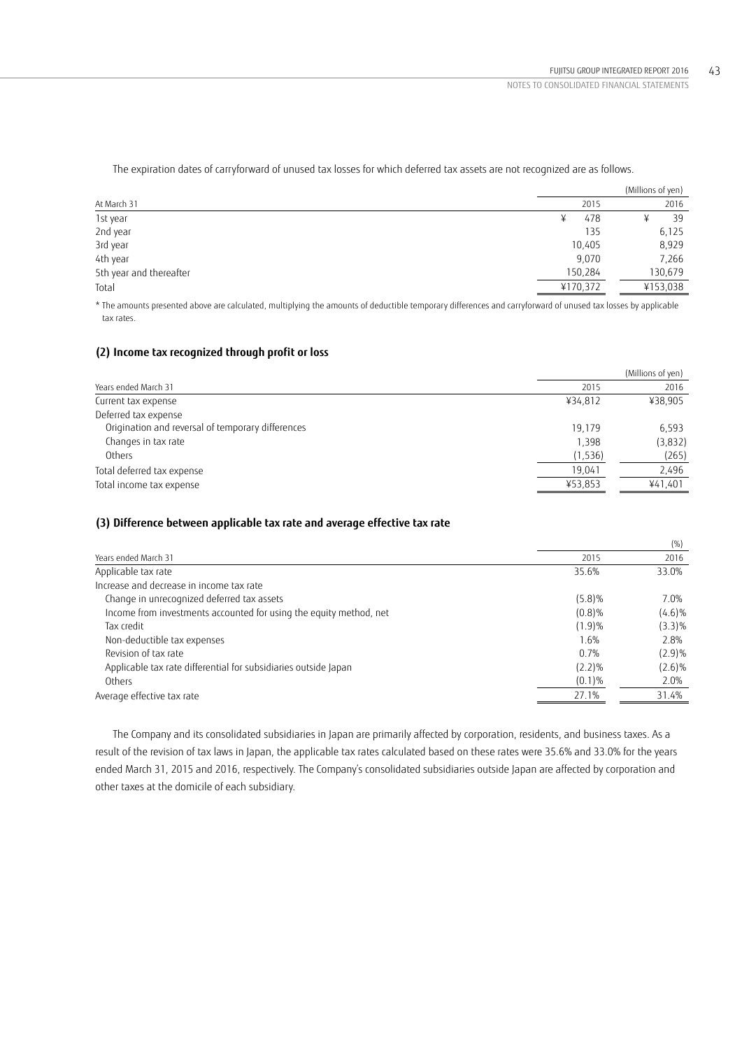|                         |          | (Millions of yen) |
|-------------------------|----------|-------------------|
| At March 31             | 2015     | 2016              |
| 1st year                | 478      | 39                |
| 2nd year                | 135      | 6,125             |
| 3rd year                | 10,405   | 8,929             |
| 4th year                | 9,070    | 7,266             |
| 5th year and thereafter | 150,284  | 130,679           |
| Total                   | ¥170,372 | ¥153,038          |
|                         |          |                   |

The expiration dates of carryforward of unused tax losses for which deferred tax assets are not recognized are as follows.

\* The amounts presented above are calculated, multiplying the amounts of deductible temporary differences and carryforward of unused tax losses by applicable tax rates.

### **(2) Income tax recognized through profit or loss**

|                                                   |          | (Millions of yen) |
|---------------------------------------------------|----------|-------------------|
| Years ended March 31                              | 2015     | 2016              |
| Current tax expense                               | ¥34.812  | ¥38,905           |
| Deferred tax expense                              |          |                   |
| Origination and reversal of temporary differences | 19.179   | 6.593             |
| Changes in tax rate                               | 1,398    | (3,832)           |
| Others                                            | (1, 536) | (265)             |
| Total deferred tax expense                        | 19.041   | 2,496             |
| Total income tax expense                          | ¥53,853  | ¥41,401           |

# **(3) Difference between applicable tax rate and average effective tax rate**

|                                                                    |           | (%)       |
|--------------------------------------------------------------------|-----------|-----------|
| Years ended March 31                                               | 2015      | 2016      |
| Applicable tax rate                                                | 35.6%     | 33.0%     |
| Increase and decrease in income tax rate                           |           |           |
| Change in unrecognized deferred tax assets                         | (5.8)%    | 7.0%      |
| Income from investments accounted for using the equity method, net | (0.8)%    | $(4.6)\%$ |
| Tax credit                                                         | (1.9)%    | $(3.3)\%$ |
| Non-deductible tax expenses                                        | 1.6%      | 2.8%      |
| Revision of tax rate                                               | 0.7%      | (2.9)%    |
| Applicable tax rate differential for subsidiaries outside Japan    | $(2.2)\%$ | $(2.6)\%$ |
| Others                                                             | (0.1)%    | 2.0%      |
| Average effective tax rate                                         | 27.1%     | 31.4%     |

The Company and its consolidated subsidiaries in Japan are primarily affected by corporation, residents, and business taxes. As a result of the revision of tax laws in Japan, the applicable tax rates calculated based on these rates were 35.6% and 33.0% for the years ended March 31, 2015 and 2016, respectively. The Company's consolidated subsidiaries outside Japan are affected by corporation and other taxes at the domicile of each subsidiary.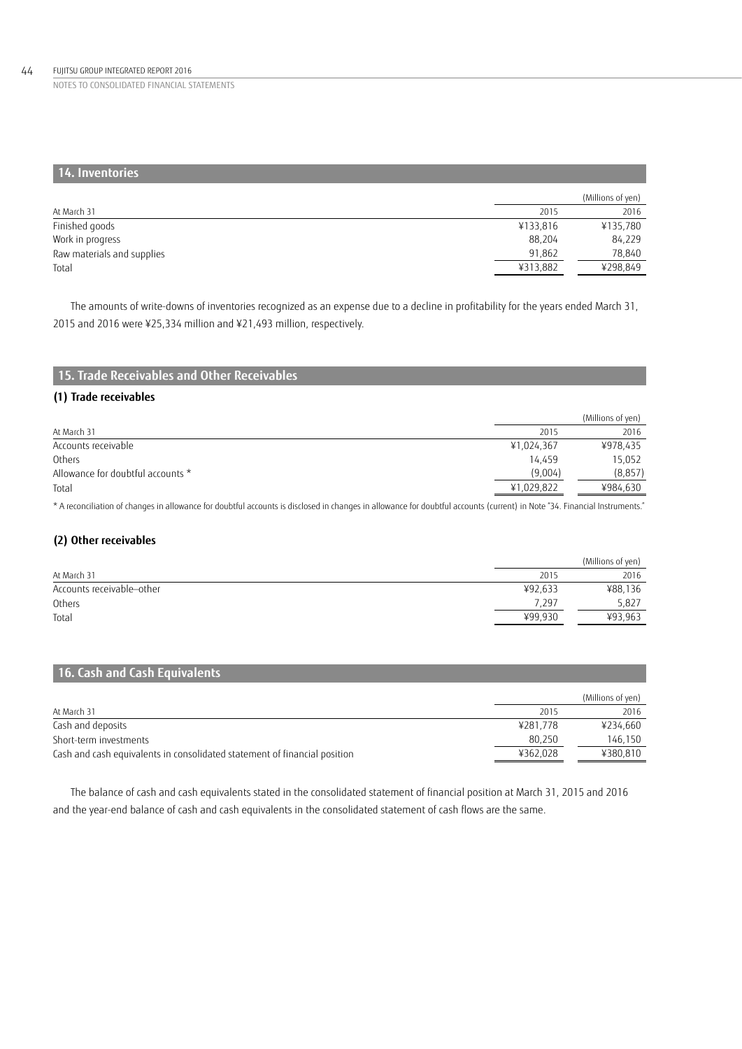### FUJITSU GROUP INTEGRATED REPORT 2016 44

NOTES TO CONSOLIDATED FINANCIAL STATEMENTS

| 14. Inventories            |          |                   |
|----------------------------|----------|-------------------|
|                            |          | (Millions of yen) |
| At March 31                | 2015     | 2016              |
| Finished goods             | ¥133,816 | ¥135,780          |
| Work in progress           | 88,204   | 84,229            |
| Raw materials and supplies | 91,862   | 78,840            |
| Total                      | ¥313,882 | ¥298,849          |

The amounts of write-downs of inventories recognized as an expense due to a decline in profitability for the years ended March 31, 2015 and 2016 were ¥25,334 million and ¥21,493 million, respectively.

# **(1) Trade receivables**

|                                   |            | (Millions of yen) |
|-----------------------------------|------------|-------------------|
| At March 31                       | 2015       | 2016              |
| Accounts receivable               | ¥1,024,367 | ¥978,435          |
| Others                            | 14.459     | 15,052            |
| Allowance for doubtful accounts * | (9.004)    | (8, 857)          |
| Total                             | ¥1,029,822 | ¥984.630          |

\* A reconciliation of changes in allowance for doubtful accounts is disclosed in changes in allowance for doubtful accounts (current) in Note "34. Financial Instruments."

# **(2) Other receivables**

|                           |         | (Millions of yen) |
|---------------------------|---------|-------------------|
| At March 31               | 2015    | 2016              |
| Accounts receivable-other | ¥92,633 | ¥88,136           |
| Others                    | 7.297   | 5,827             |
| Total                     | ¥99,930 | ¥93,963           |

# **16. Cash and Cash Equivalents**

|                                                                           |          | (Millions of yen) |
|---------------------------------------------------------------------------|----------|-------------------|
| At March 31                                                               | 2015     | 2016              |
| Cash and deposits                                                         | ¥281.778 | ¥234.660          |
| Short-term investments                                                    | 80.250   | 146.150           |
| Cash and cash equivalents in consolidated statement of financial position | ¥362.028 | ¥380.810          |

The balance of cash and cash equivalents stated in the consolidated statement of financial position at March 31, 2015 and 2016 and the year-end balance of cash and cash equivalents in the consolidated statement of cash flows are the same.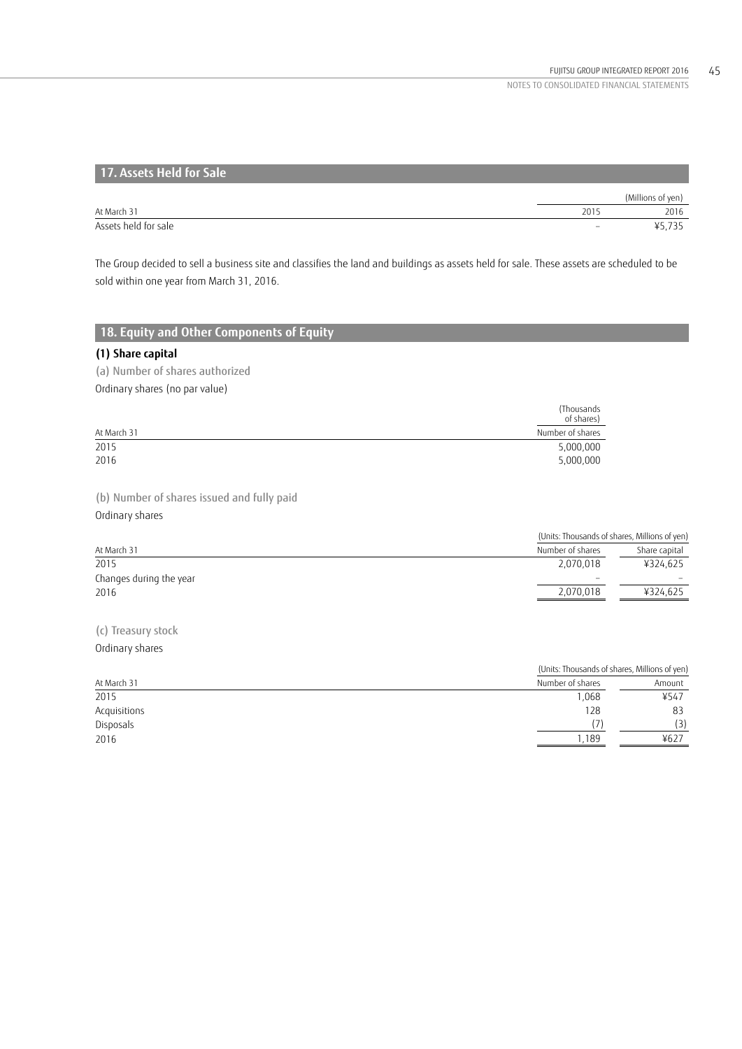| 17. Assets Held for Sale |                          |                   |
|--------------------------|--------------------------|-------------------|
|                          |                          | (Millions of yen) |
| At March 31              | 2015                     | 2016              |
| Assets held for sale     | $\overline{\phantom{a}}$ | ¥5.735            |

The Group decided to sell a business site and classifies the land and buildings as assets held for sale. These assets are scheduled to be sold within one year from March 31, 2016.

# **18. Equity and Other Components of Equity**

# **(1) Share capital**

(a) Number of shares authorized Ordinary shares (no par value)

|             | (Thousands<br>of shares) |
|-------------|--------------------------|
| At March 31 | Number of shares         |
| 2015        | 5,000,000                |
| 2016        | 5,000,000                |

(b) Number of shares issued and fully paid

Ordinary shares

|                         | (Units: Thousands of shares, Millions of yen) |               |
|-------------------------|-----------------------------------------------|---------------|
| At March 31             | Number of shares                              | Share capital |
| 2015                    | 2.070.018                                     | ¥324.625      |
| Changes during the year | $\overline{\phantom{a}}$                      |               |
| 2016                    | 2,070,018                                     | ¥324.625      |
|                         |                                               |               |

(c) Treasury stock Ordinary shares

|              | (Units: Thousands of shares, Millions of yen) |        |  |
|--------------|-----------------------------------------------|--------|--|
| At March 31  | Number of shares                              | Amount |  |
| 2015         | 0.068                                         | ¥547   |  |
| Acquisitions | 128                                           | 83     |  |
| Disposals    |                                               | (3)    |  |
| 2016         | .189                                          | ¥627   |  |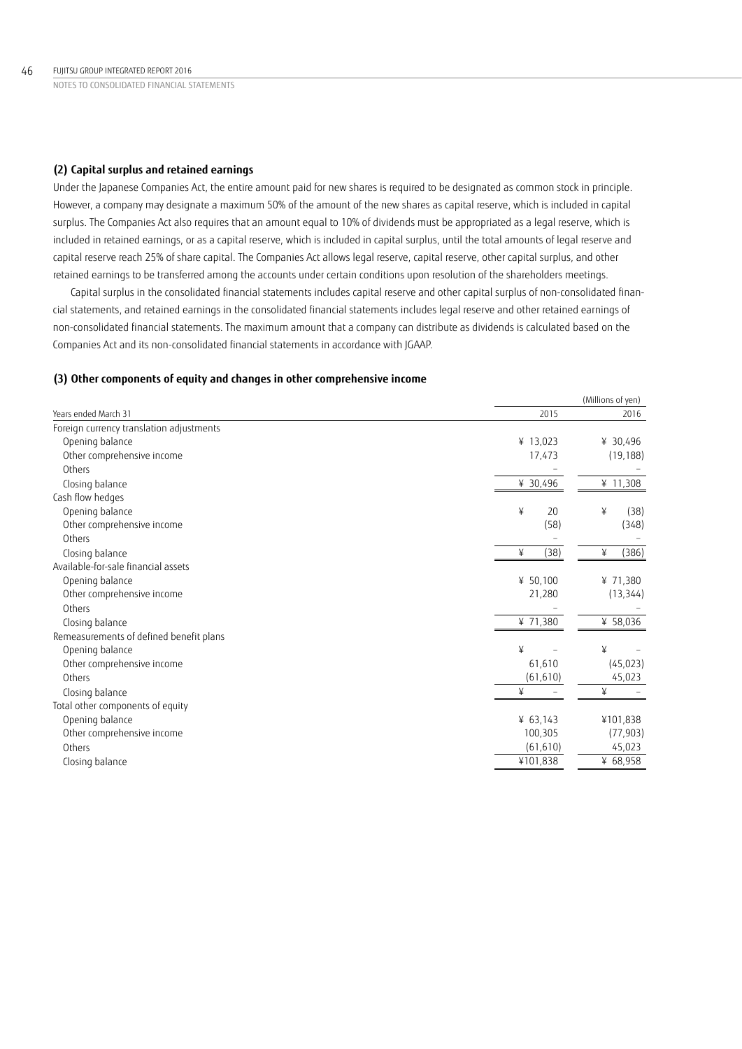### **(2) Capital surplus and retained earnings**

Under the Japanese Companies Act, the entire amount paid for new shares is required to be designated as common stock in principle. However, a company may designate a maximum 50% of the amount of the new shares as capital reserve, which is included in capital surplus. The Companies Act also requires that an amount equal to 10% of dividends must be appropriated as a legal reserve, which is included in retained earnings, or as a capital reserve, which is included in capital surplus, until the total amounts of legal reserve and capital reserve reach 25% of share capital. The Companies Act allows legal reserve, capital reserve, other capital surplus, and other retained earnings to be transferred among the accounts under certain conditions upon resolution of the shareholders meetings.

Capital surplus in the consolidated financial statements includes capital reserve and other capital surplus of non-consolidated financial statements, and retained earnings in the consolidated financial statements includes legal reserve and other retained earnings of non-consolidated financial statements. The maximum amount that a company can distribute as dividends is calculated based on the Companies Act and its non-consolidated financial statements in accordance with JGAAP.

### **(3) Other components of equity and changes in other comprehensive income**

|                                          |            | (Millions of yen) |
|------------------------------------------|------------|-------------------|
| Years ended March 31                     | 2015       | 2016              |
| Foreign currency translation adjustments |            |                   |
| Opening balance                          | ¥ 13,023   | ¥ 30,496          |
| Other comprehensive income               | 17,473     | (19, 188)         |
| Others                                   |            |                   |
| Closing balance                          | ¥ 30,496   | ¥ 11,308          |
| Cash flow hedges                         |            |                   |
| Opening balance                          | ¥<br>20    | ¥<br>(38)         |
| Other comprehensive income               | (58)       | (348)             |
| Others                                   |            |                   |
| Closing balance                          | (38)<br>¥  | ¥<br>(386)        |
| Available-for-sale financial assets      |            |                   |
| Opening balance                          | ¥ 50,100   | ¥ 71,380          |
| Other comprehensive income               | 21,280     | (13, 344)         |
| Others                                   |            |                   |
| Closing balance                          | ¥ 71,380   | ¥ 58,036          |
| Remeasurements of defined benefit plans  |            |                   |
| Opening balance                          | ¥          | ¥                 |
| Other comprehensive income               | 61,610     | (45, 023)         |
| Others                                   | (61, 610)  | 45,023            |
| Closing balance                          | ¥          | ¥                 |
| Total other components of equity         |            |                   |
| Opening balance                          | ¥ $63,143$ | ¥101,838          |
| Other comprehensive income               | 100,305    | (77, 903)         |
| Others                                   | (61, 610)  | 45,023            |
| Closing balance                          | ¥101,838   | ¥ 68,958          |
|                                          |            |                   |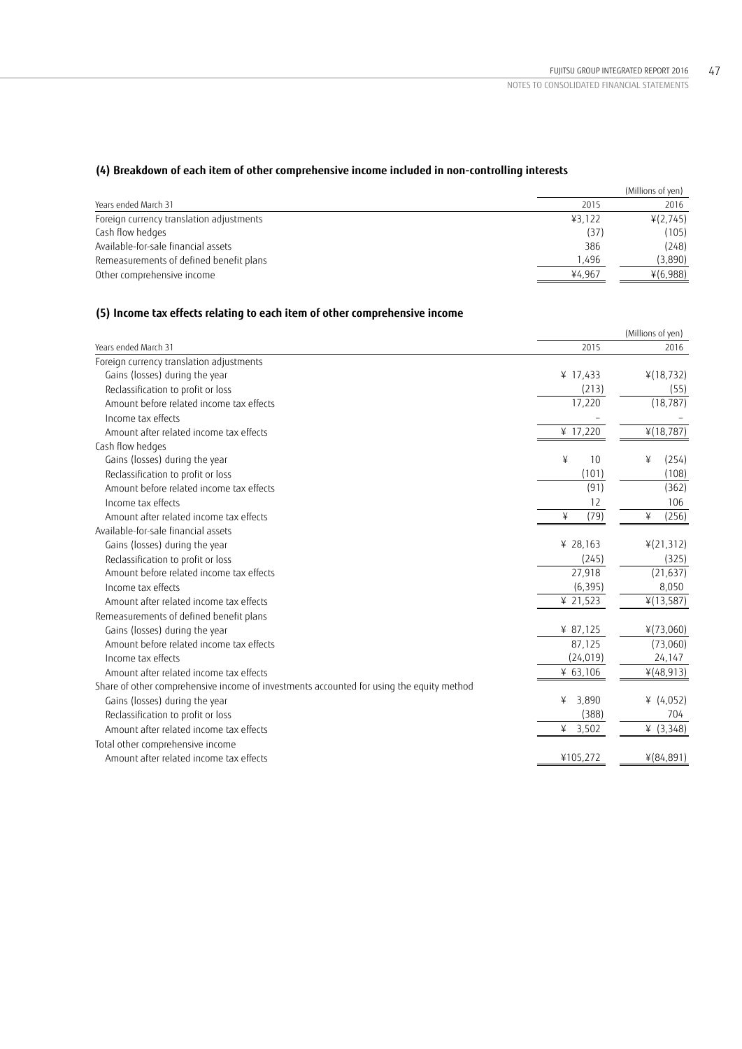# **(4) Breakdown of each item of other comprehensive income included in non-controlling interests**

|        | (Millions of yen) |
|--------|-------------------|
| 2015   | 2016              |
| 43,122 | ¥(2,745)          |
| (37)   | (105)             |
| 386    | (248)             |
| 1.496  | (3,890)           |
| ¥4.967 | $*(6,988)$        |
|        |                   |

# **(5) Income tax effects relating to each item of other comprehensive income**

| Years ended March 31<br>2015<br>Foreign currency translation adjustments<br>Gains (losses) during the year<br>¥ 17,433<br>$*(18, 732)$<br>(213)<br>Reclassification to profit or loss<br>17,220<br>(18, 787)<br>Amount before related income tax effects<br>Income tax effects<br>¥ 17,220<br>¥(18,787)<br>Amount after related income tax effects | 2016<br>(55)<br>(254)<br>(108) |
|----------------------------------------------------------------------------------------------------------------------------------------------------------------------------------------------------------------------------------------------------------------------------------------------------------------------------------------------------|--------------------------------|
|                                                                                                                                                                                                                                                                                                                                                    |                                |
|                                                                                                                                                                                                                                                                                                                                                    |                                |
|                                                                                                                                                                                                                                                                                                                                                    |                                |
|                                                                                                                                                                                                                                                                                                                                                    |                                |
|                                                                                                                                                                                                                                                                                                                                                    |                                |
|                                                                                                                                                                                                                                                                                                                                                    |                                |
|                                                                                                                                                                                                                                                                                                                                                    |                                |
| Cash flow hedges                                                                                                                                                                                                                                                                                                                                   |                                |
| Gains (losses) during the year<br>10<br>¥<br>¥                                                                                                                                                                                                                                                                                                     |                                |
| Reclassification to profit or loss<br>(101)                                                                                                                                                                                                                                                                                                        |                                |
| (91)<br>Amount before related income tax effects                                                                                                                                                                                                                                                                                                   | (362)                          |
| Income tax effects<br>12                                                                                                                                                                                                                                                                                                                           | 106                            |
| (79)<br>¥<br>¥<br>Amount after related income tax effects                                                                                                                                                                                                                                                                                          | (256)                          |
| Available-for-sale financial assets                                                                                                                                                                                                                                                                                                                |                                |
| ¥ 28,163<br>4(21,312)<br>Gains (losses) during the year                                                                                                                                                                                                                                                                                            |                                |
| (245)<br>Reclassification to profit or loss                                                                                                                                                                                                                                                                                                        | (325)                          |
| Amount before related income tax effects<br>27,918<br>(21, 637)                                                                                                                                                                                                                                                                                    |                                |
| Income tax effects<br>(6, 395)                                                                                                                                                                                                                                                                                                                     | 8,050                          |
| Amount after related income tax effects<br>¥ 21,523<br>¥(13,587)                                                                                                                                                                                                                                                                                   |                                |
| Remeasurements of defined benefit plans                                                                                                                                                                                                                                                                                                            |                                |
| Gains (losses) during the year<br>¥ 87,125<br>$*(73,060)$                                                                                                                                                                                                                                                                                          |                                |
| Amount before related income tax effects<br>87,125<br>(73,060)                                                                                                                                                                                                                                                                                     |                                |
| (24, 019)<br>24,147<br>Income tax effects                                                                                                                                                                                                                                                                                                          |                                |
| Amount after related income tax effects<br>¥ $63,106$<br>4(48, 913)                                                                                                                                                                                                                                                                                |                                |
| Share of other comprehensive income of investments accounted for using the equity method                                                                                                                                                                                                                                                           |                                |
| 3,890<br>¥ $(4,052)$<br>Gains (losses) during the year<br>¥                                                                                                                                                                                                                                                                                        |                                |
| (388)<br>Reclassification to profit or loss                                                                                                                                                                                                                                                                                                        | 704                            |
| Amount after related income tax effects<br>¥ 3,502<br>¥ $(3,348)$                                                                                                                                                                                                                                                                                  |                                |
| Total other comprehensive income                                                                                                                                                                                                                                                                                                                   |                                |
| Amount after related income tax effects<br>¥105,272<br>$*(84,891)$                                                                                                                                                                                                                                                                                 |                                |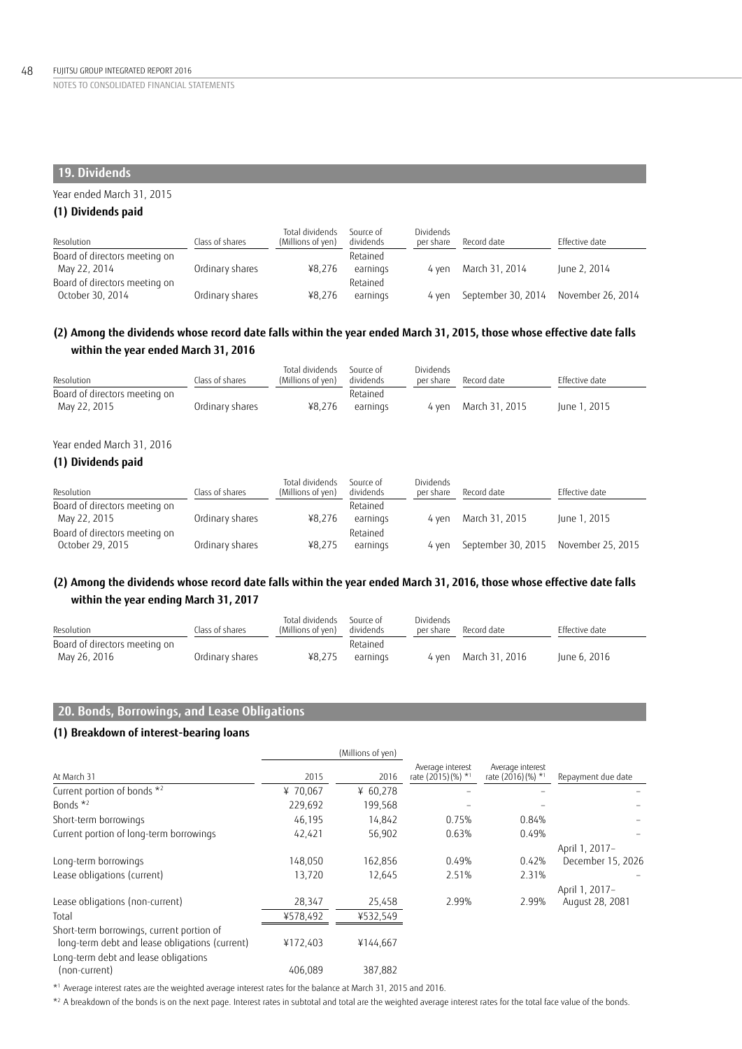# **19. Dividends**

# Year ended March 31, 2015

# **(1) Dividends paid**

| Resolution                    | Class of shares | Total dividends<br>(Millions of yen) | Source of<br>dividends | Dividends<br>per share | Record date                          | Effective date |
|-------------------------------|-----------------|--------------------------------------|------------------------|------------------------|--------------------------------------|----------------|
| Board of directors meeting on |                 |                                      | Retained               |                        |                                      |                |
| May 22, 2014                  | Ordinary shares | ¥8.276                               | earnings               | 4 ven                  | March 31, 2014                       | June 2, 2014   |
| Board of directors meeting on |                 |                                      | Retained               |                        |                                      |                |
| October 30, 2014              | Ordinary shares | ¥8.276                               | earnings               | 4 ven                  | September 30, 2014 November 26, 2014 |                |

# **(2) Among the dividends whose record date falls within the year ended March 31, 2015, those whose effective date falls within the year ended March 31, 2016**

| Resolution                    | Class of shares | Total dividends<br>(Millions of yen) | Source of<br>dividends | Dividends<br>per share | Record date          | Effective date |
|-------------------------------|-----------------|--------------------------------------|------------------------|------------------------|----------------------|----------------|
| Board of directors meeting on |                 |                                      | Retained               |                        |                      |                |
| May 22, 2015                  | Ordinary shares | ¥8.276                               | earnings               |                        | 4 yen March 31, 2015 | June 1, 2015   |

# Year ended March 31, 2016

# **(1) Dividends paid**

| Resolution                    | Class of shares | Total dividends<br>(Millions of yen) | Source of<br>dividends | Dividends<br>per share | Record date                          | Effective date |
|-------------------------------|-----------------|--------------------------------------|------------------------|------------------------|--------------------------------------|----------------|
| Board of directors meeting on |                 |                                      | Retained               |                        |                                      |                |
| May 22, 2015                  | Ordinary shares | ¥8.276                               | earnings               | 4 ven                  | March 31, 2015                       | June 1, 2015   |
| Board of directors meeting on |                 |                                      | Retained               |                        |                                      |                |
| October 29, 2015              | Ordinary shares | ¥8.275                               | earnings               | 4 ven                  | September 30, 2015 November 25, 2015 |                |

# **(2) Among the dividends whose record date falls within the year ended March 31, 2016, those whose effective date falls within the year ending March 31, 2017**

| Resolution                    | Class of shares | Total dividends<br>(Millions of yen) | Source of<br>dividends | Dividends<br>per share | Record date          | Effective date |
|-------------------------------|-----------------|--------------------------------------|------------------------|------------------------|----------------------|----------------|
| Board of directors meeting on |                 |                                      | Retained               |                        |                      |                |
| May 26, 2016                  | Ordinary shares | ¥8,275                               | earnings               |                        | 4 yen March 31, 2016 | June 6, 2016   |

# **20. Bonds, Borrowings, and Lease Obligations**

# **(1) Breakdown of interest-bearing loans**

|                                                                                             |          | (Millions of yen) |                                                    |                                                    |                                   |
|---------------------------------------------------------------------------------------------|----------|-------------------|----------------------------------------------------|----------------------------------------------------|-----------------------------------|
| At March 31                                                                                 | 2015     | 2016              | Average interest<br>rate (2015) (%) * <sup>1</sup> | Average interest<br>rate (2016) (%) * <sup>1</sup> | Repayment due date                |
| Current portion of bonds *2                                                                 | ¥ 70,067 | ¥ $60,278$        |                                                    |                                                    |                                   |
| Bonds $*^2$                                                                                 | 229,692  | 199,568           |                                                    |                                                    |                                   |
| Short-term borrowings                                                                       | 46,195   | 14,842            | 0.75%                                              | 0.84%                                              |                                   |
| Current portion of long-term borrowings                                                     | 42,421   | 56,902            | 0.63%                                              | 0.49%                                              |                                   |
|                                                                                             |          |                   |                                                    |                                                    | April 1, 2017-                    |
| Long-term borrowings                                                                        | 148,050  | 162.856           | 0.49%                                              | 0.42%                                              | December 15, 2026                 |
| Lease obligations (current)                                                                 | 13,720   | 12,645            | 2.51%                                              | 2.31%                                              |                                   |
| Lease obligations (non-current)                                                             | 28,347   | 25,458            | 2.99%                                              | 2.99%                                              | April 1, 2017-<br>August 28, 2081 |
| Total                                                                                       | ¥578,492 | ¥532,549          |                                                    |                                                    |                                   |
| Short-term borrowings, current portion of<br>long-term debt and lease obligations (current) | ¥172,403 | ¥144,667          |                                                    |                                                    |                                   |
| Long-term debt and lease obligations<br>(non-current)                                       | 406.089  | 387.882           |                                                    |                                                    |                                   |

\*1 Average interest rates are the weighted average interest rates for the balance at March 31, 2015 and 2016.

 $^{\star2}$  A breakdown of the bonds is on the next page. Interest rates in subtotal and total are the weighted average interest rates for the total face value of the bonds.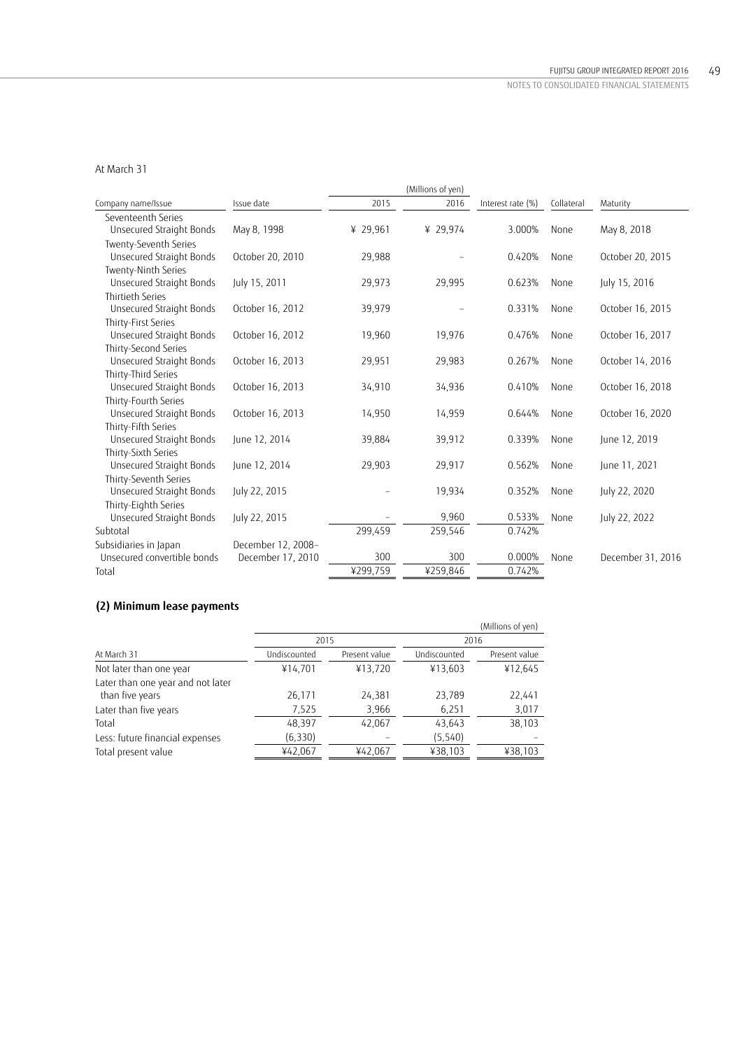# At March 31

|                                                   |                    |          | (Millions of yen) |                   |            |                   |
|---------------------------------------------------|--------------------|----------|-------------------|-------------------|------------|-------------------|
| Company name/Issue                                | Issue date         | 2015     | 2016              | Interest rate (%) | Collateral | Maturity          |
| Seventeenth Series                                |                    |          |                   |                   |            |                   |
| Unsecured Straight Bonds                          | May 8, 1998        | ¥ 29,961 | ¥ 29,974          | 3.000%            | None       | May 8, 2018       |
| Twenty-Seventh Series                             |                    |          |                   |                   |            |                   |
| Unsecured Straight Bonds                          | October 20, 2010   | 29,988   |                   | 0.420%            | None       | October 20, 2015  |
| Twenty-Ninth Series                               |                    |          |                   |                   |            |                   |
| Unsecured Straight Bonds                          | July 15, 2011      | 29,973   | 29,995            | 0.623%            | None       | July 15, 2016     |
| <b>Thirtieth Series</b>                           |                    |          |                   |                   |            |                   |
| Unsecured Straight Bonds                          | October 16, 2012   | 39,979   |                   | 0.331%            | None       | October 16, 2015  |
| Thirty-First Series                               |                    |          |                   |                   |            |                   |
| Unsecured Straight Bonds                          | October 16, 2012   | 19,960   | 19,976            | 0.476%            | None       | October 16, 2017  |
| Thirty-Second Series                              |                    |          |                   |                   |            |                   |
| Unsecured Straight Bonds                          | October 16, 2013   | 29,951   | 29,983            | 0.267%            | None       | October 14, 2016  |
| Thirty-Third Series                               |                    |          |                   |                   |            |                   |
| Unsecured Straight Bonds                          | October 16, 2013   | 34,910   | 34,936            | 0.410%            | None       | October 16, 2018  |
| Thirty-Fourth Series                              |                    |          |                   |                   |            |                   |
| Unsecured Straight Bonds                          | October 16, 2013   | 14,950   | 14,959            | 0.644%            | None       | October 16, 2020  |
| Thirty-Fifth Series                               |                    |          |                   |                   |            |                   |
| Unsecured Straight Bonds                          | June 12, 2014      | 39,884   | 39,912            | 0.339%            | None       | June 12, 2019     |
| Thirty-Sixth Series                               |                    |          |                   |                   |            |                   |
| Unsecured Straight Bonds                          | June 12, 2014      | 29,903   | 29,917            | 0.562%            | None       | June 11, 2021     |
| Thirty-Seventh Series<br>Unsecured Straight Bonds | July 22, 2015      |          | 19,934            | 0.352%            | None       | July 22, 2020     |
|                                                   |                    |          |                   |                   |            |                   |
| Thirty-Eighth Series<br>Unsecured Straight Bonds  | July 22, 2015      |          | 9,960             | 0.533%            | None       | July 22, 2022     |
| Subtotal                                          |                    | 299,459  | 259,546           | 0.742%            |            |                   |
| Subsidiaries in Japan                             | December 12, 2008- |          |                   |                   |            |                   |
| Unsecured convertible bonds                       | December 17, 2010  | 300      | 300               | 0.000%            | None       | December 31, 2016 |
| Total                                             |                    | ¥299,759 | ¥259,846          | 0.742%            |            |                   |
|                                                   |                    |          |                   |                   |            |                   |

# **(2) Minimum lease payments**

|                                   |              |               |              | (Millions of yen) |
|-----------------------------------|--------------|---------------|--------------|-------------------|
|                                   | 2015         |               | 2016         |                   |
| At March 31                       | Undiscounted | Present value | Undiscounted | Present value     |
| Not later than one year           | ¥14,701      | ¥13,720       | ¥13,603      | ¥12,645           |
| Later than one year and not later |              |               |              |                   |
| than five years                   | 26,171       | 24,381        | 23,789       | 22,441            |
| Later than five years             | 7,525        | 3,966         | 6,251        | 3,017             |
| Total                             | 48,397       | 42,067        | 43,643       | 38,103            |
| Less: future financial expenses   | (6, 330)     |               | (5,540)      |                   |
| Total present value               | ¥42,067      | ¥42,067       | ¥38,103      | ¥38,103           |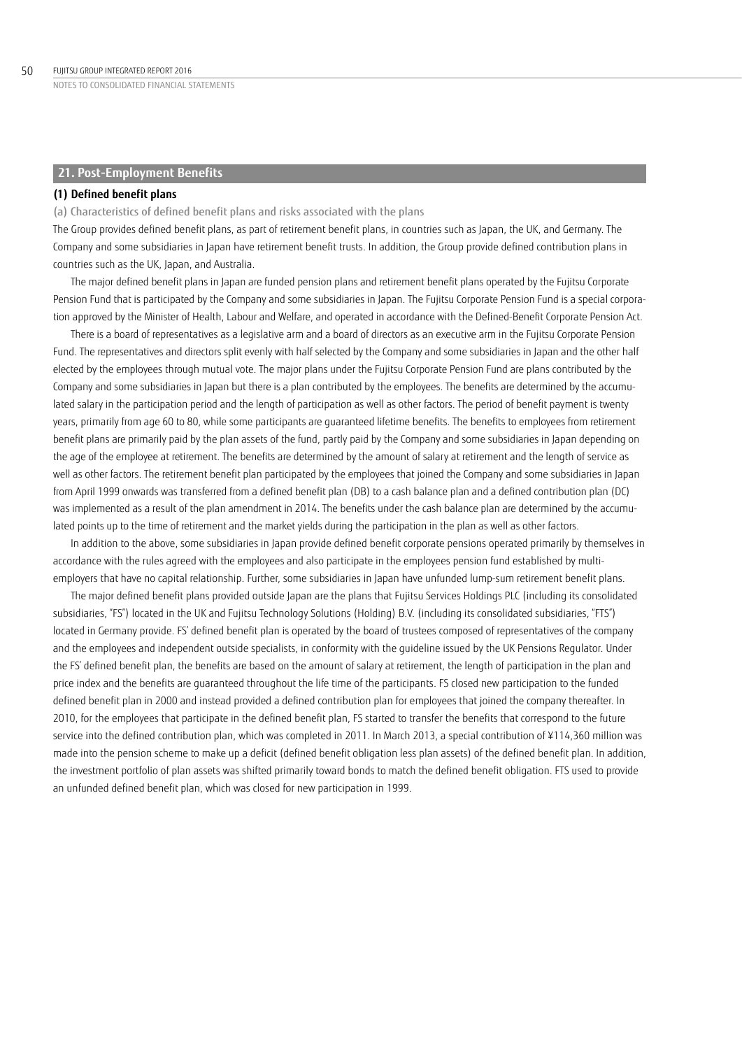# **21. Post-Employment Benefits**

### **(1) Defined benefit plans**

(a) Characteristics of defined benefit plans and risks associated with the plans

The Group provides defined benefit plans, as part of retirement benefit plans, in countries such as Japan, the UK, and Germany. The Company and some subsidiaries in Japan have retirement benefit trusts. In addition, the Group provide defined contribution plans in countries such as the UK, Japan, and Australia.

The major defined benefit plans in Japan are funded pension plans and retirement benefit plans operated by the Fujitsu Corporate Pension Fund that is participated by the Company and some subsidiaries in Japan. The Fujitsu Corporate Pension Fund is a special corporation approved by the Minister of Health, Labour and Welfare, and operated in accordance with the Defined-Benefit Corporate Pension Act.

There is a board of representatives as a legislative arm and a board of directors as an executive arm in the Fujitsu Corporate Pension Fund. The representatives and directors split evenly with half selected by the Company and some subsidiaries in Japan and the other half elected by the employees through mutual vote. The major plans under the Fujitsu Corporate Pension Fund are plans contributed by the Company and some subsidiaries in Japan but there is a plan contributed by the employees. The benefits are determined by the accumulated salary in the participation period and the length of participation as well as other factors. The period of benefit payment is twenty years, primarily from age 60 to 80, while some participants are guaranteed lifetime benefits. The benefits to employees from retirement benefit plans are primarily paid by the plan assets of the fund, partly paid by the Company and some subsidiaries in Japan depending on the age of the employee at retirement. The benefits are determined by the amount of salary at retirement and the length of service as well as other factors. The retirement benefit plan participated by the employees that joined the Company and some subsidiaries in Japan from April 1999 onwards was transferred from a defined benefit plan (DB) to a cash balance plan and a defined contribution plan (DC) was implemented as a result of the plan amendment in 2014. The benefits under the cash balance plan are determined by the accumulated points up to the time of retirement and the market yields during the participation in the plan as well as other factors.

In addition to the above, some subsidiaries in Japan provide defined benefit corporate pensions operated primarily by themselves in accordance with the rules agreed with the employees and also participate in the employees pension fund established by multiemployers that have no capital relationship. Further, some subsidiaries in Japan have unfunded lump-sum retirement benefit plans.

The major defined benefit plans provided outside Japan are the plans that Fujitsu Services Holdings PLC (including its consolidated subsidiaries, "FS") located in the UK and Fujitsu Technology Solutions (Holding) B.V. (including its consolidated subsidiaries, "FTS") located in Germany provide. FS' defined benefit plan is operated by the board of trustees composed of representatives of the company and the employees and independent outside specialists, in conformity with the guideline issued by the UK Pensions Regulator. Under the FS' defined benefit plan, the benefits are based on the amount of salary at retirement, the length of participation in the plan and price index and the benefits are guaranteed throughout the life time of the participants. FS closed new participation to the funded defined benefit plan in 2000 and instead provided a defined contribution plan for employees that joined the company thereafter. In 2010, for the employees that participate in the defined benefit plan, FS started to transfer the benefits that correspond to the future service into the defined contribution plan, which was completed in 2011. In March 2013, a special contribution of ¥114,360 million was made into the pension scheme to make up a deficit (defined benefit obligation less plan assets) of the defined benefit plan. In addition, the investment portfolio of plan assets was shifted primarily toward bonds to match the defined benefit obligation. FTS used to provide an unfunded defined benefit plan, which was closed for new participation in 1999.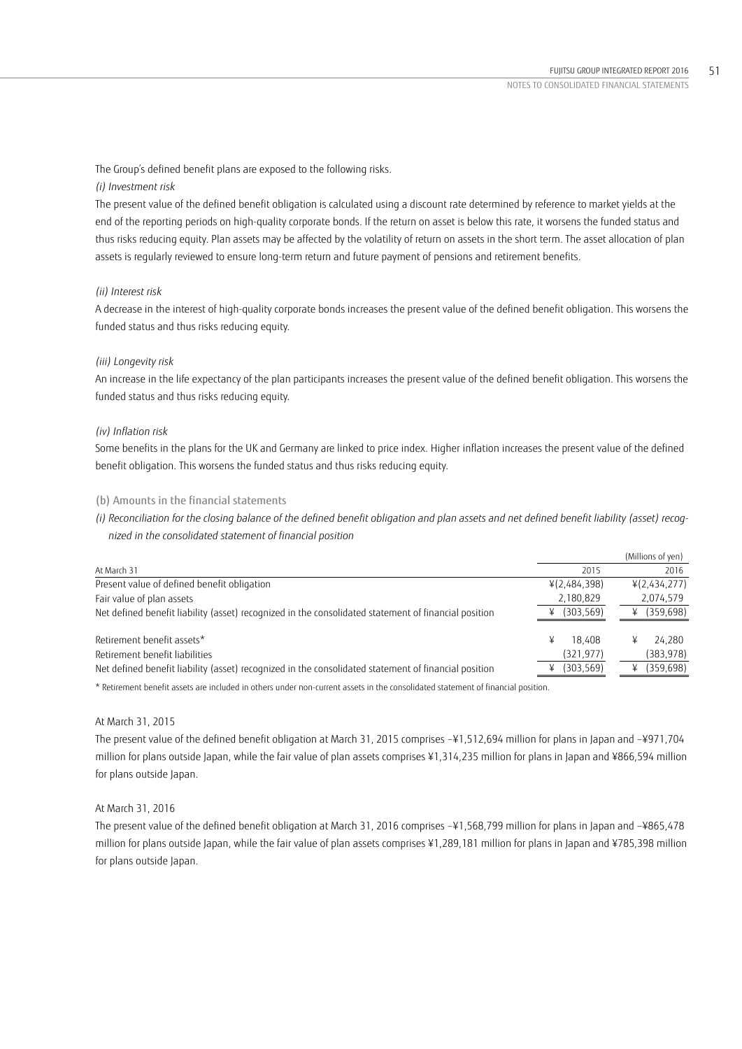The Group's defined benefit plans are exposed to the following risks.

# *(i) Investment risk*

The present value of the defined benefit obligation is calculated using a discount rate determined by reference to market yields at the end of the reporting periods on high-quality corporate bonds. If the return on asset is below this rate, it worsens the funded status and thus risks reducing equity. Plan assets may be affected by the volatility of return on assets in the short term. The asset allocation of plan assets is regularly reviewed to ensure long-term return and future payment of pensions and retirement benefits.

# *(ii) Interest risk*

A decrease in the interest of high-quality corporate bonds increases the present value of the defined benefit obligation. This worsens the funded status and thus risks reducing equity.

# *(iii) Longevity risk*

An increase in the life expectancy of the plan participants increases the present value of the defined benefit obligation. This worsens the funded status and thus risks reducing equity.

# *(iv) Inflation risk*

Some benefits in the plans for the UK and Germany are linked to price index. Higher inflation increases the present value of the defined benefit obligation. This worsens the funded status and thus risks reducing equity.

# (b) Amounts in the financial statements

*(i) Reconciliation for the closing balance of the defined benefit obligation and plan assets and net defined benefit liability (asset) recognized in the consolidated statement of financial position* 

|                                                                                                      |                           | (Millions of yen) |
|------------------------------------------------------------------------------------------------------|---------------------------|-------------------|
| At March 31                                                                                          | 2015                      | 2016              |
| Present value of defined benefit obligation                                                          | ¥(2,484,398)              | ¥(2,434,277)      |
| Fair value of plan assets                                                                            | 2,180,829                 | 2,074,579         |
| Net defined benefit liability (asset) recognized in the consolidated statement of financial position | (303, 569)                | (359, 698)<br>¥   |
| Retirement benefit assets*                                                                           |                           |                   |
|                                                                                                      | 18.408<br>¥<br>(321, 977) | 24.280<br>¥       |
| Retirement benefit liabilities                                                                       |                           | (383, 978)        |
| Net defined benefit liability (asset) recognized in the consolidated statement of financial position | (303, 569)                | (359, 698)<br>¥   |

\* Retirement benefit assets are included in others under non-current assets in the consolidated statement of financial position.

# At March 31, 2015

The present value of the defined benefit obligation at March 31, 2015 comprises –¥1,512,694 million for plans in Japan and –¥971,704 million for plans outside Japan, while the fair value of plan assets comprises ¥1,314,235 million for plans in Japan and ¥866,594 million for plans outside Japan.

# At March 31, 2016

The present value of the defined benefit obligation at March 31, 2016 comprises –¥1,568,799 million for plans in Japan and –¥865,478 million for plans outside Japan, while the fair value of plan assets comprises ¥1,289,181 million for plans in Japan and ¥785,398 million for plans outside Japan.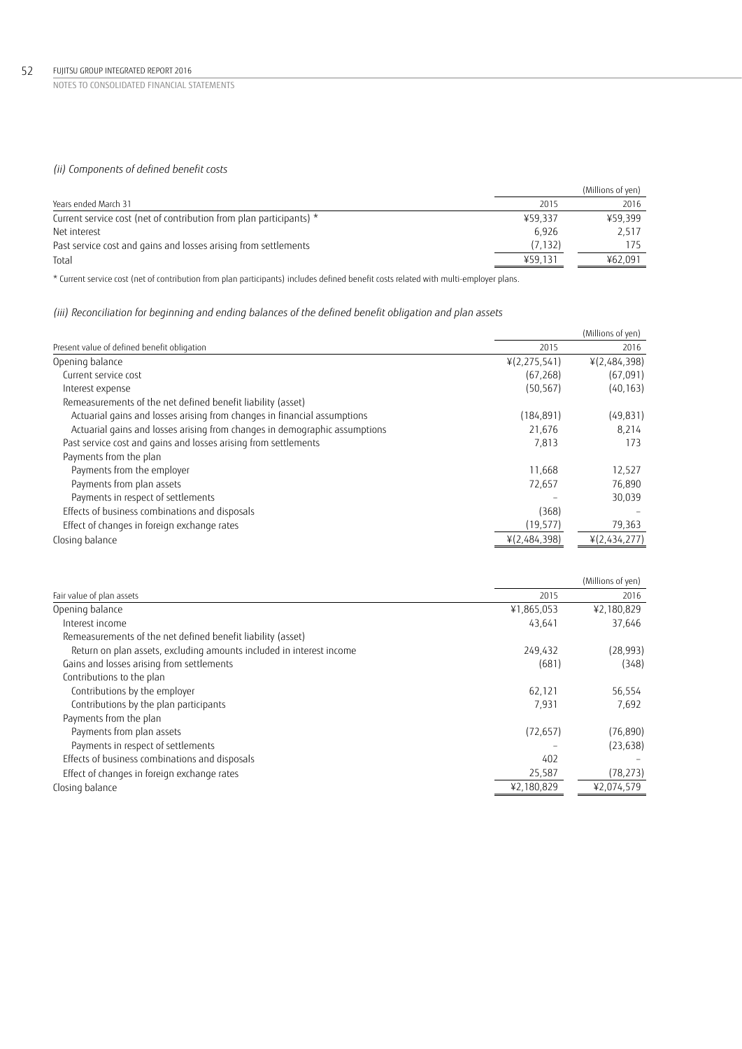### 52 FUJITSU GROUP INTEGRATED REPORT 2016

NOTES TO CONSOLIDATED FINANCIAL STATEMENTS

# *(ii) Components of defined benefit costs*

|                                                                     |         | (Millions of yen) |
|---------------------------------------------------------------------|---------|-------------------|
| Years ended March 31                                                | 2015    | 2016              |
| Current service cost (net of contribution from plan participants) * | ¥59.337 | ¥59.399           |
| Net interest                                                        | 6.926   | 2.517             |
| Past service cost and gains and losses arising from settlements     | (7,132) |                   |
| Total                                                               | ¥59,131 | ¥62,091           |

\* Current service cost (net of contribution from plan participants) includes defined benefit costs related with multi-employer plans.

# *(iii) Reconciliation for beginning and ending balances of the defined benefit obligation and plan assets*

|                                                                            |                | (Millions of yen) |
|----------------------------------------------------------------------------|----------------|-------------------|
| Present value of defined benefit obligation                                | 2015           | 2016              |
| Opening balance                                                            | 4(2, 275, 541) | ¥(2,484,398)      |
| Current service cost                                                       | (67, 268)      | (67,091)          |
| Interest expense                                                           | (50, 567)      | (40, 163)         |
| Remeasurements of the net defined benefit liability (asset)                |                |                   |
| Actuarial gains and losses arising from changes in financial assumptions   | (184, 891)     | (49, 831)         |
| Actuarial gains and losses arising from changes in demographic assumptions | 21,676         | 8.214             |
| Past service cost and gains and losses arising from settlements            | 7,813          | 173               |
| Payments from the plan                                                     |                |                   |
| Payments from the employer                                                 | 11.668         | 12,527            |
| Payments from plan assets                                                  | 72,657         | 76,890            |
| Payments in respect of settlements                                         |                | 30,039            |
| Effects of business combinations and disposals                             | (368)          |                   |
| Effect of changes in foreign exchange rates                                | (19, 577)      | 79,363            |
| Closing balance                                                            | ¥(2,484,398)   | ¥(2,434,277)      |

| 2015<br>2016<br>¥2,180,829<br>¥1,865,053<br>43,641<br>37,646<br>Interest income<br>Remeasurements of the net defined benefit liability (asset)<br>Return on plan assets, excluding amounts included in interest income<br>(28, 993)<br>249.432<br>Gains and losses arising from settlements<br>(681)<br>(348)<br>Contributions to the plan<br>Contributions by the employer<br>56,554<br>62,121<br>Contributions by the plan participants<br>7,931<br>7,692<br>Payments from the plan<br>Payments from plan assets<br>(76, 890)<br>(72, 657)<br>Payments in respect of settlements<br>(23, 638)<br>Effects of business combinations and disposals<br>402<br>(78, 273)<br>Effect of changes in foreign exchange rates<br>25,587<br>¥2,180,829<br>¥2,074,579 |                           | (Millions of yen) |
|------------------------------------------------------------------------------------------------------------------------------------------------------------------------------------------------------------------------------------------------------------------------------------------------------------------------------------------------------------------------------------------------------------------------------------------------------------------------------------------------------------------------------------------------------------------------------------------------------------------------------------------------------------------------------------------------------------------------------------------------------------|---------------------------|-------------------|
|                                                                                                                                                                                                                                                                                                                                                                                                                                                                                                                                                                                                                                                                                                                                                            | Fair value of plan assets |                   |
|                                                                                                                                                                                                                                                                                                                                                                                                                                                                                                                                                                                                                                                                                                                                                            | Opening balance           |                   |
|                                                                                                                                                                                                                                                                                                                                                                                                                                                                                                                                                                                                                                                                                                                                                            |                           |                   |
|                                                                                                                                                                                                                                                                                                                                                                                                                                                                                                                                                                                                                                                                                                                                                            |                           |                   |
|                                                                                                                                                                                                                                                                                                                                                                                                                                                                                                                                                                                                                                                                                                                                                            |                           |                   |
|                                                                                                                                                                                                                                                                                                                                                                                                                                                                                                                                                                                                                                                                                                                                                            |                           |                   |
|                                                                                                                                                                                                                                                                                                                                                                                                                                                                                                                                                                                                                                                                                                                                                            |                           |                   |
|                                                                                                                                                                                                                                                                                                                                                                                                                                                                                                                                                                                                                                                                                                                                                            |                           |                   |
|                                                                                                                                                                                                                                                                                                                                                                                                                                                                                                                                                                                                                                                                                                                                                            |                           |                   |
|                                                                                                                                                                                                                                                                                                                                                                                                                                                                                                                                                                                                                                                                                                                                                            |                           |                   |
|                                                                                                                                                                                                                                                                                                                                                                                                                                                                                                                                                                                                                                                                                                                                                            |                           |                   |
|                                                                                                                                                                                                                                                                                                                                                                                                                                                                                                                                                                                                                                                                                                                                                            |                           |                   |
|                                                                                                                                                                                                                                                                                                                                                                                                                                                                                                                                                                                                                                                                                                                                                            |                           |                   |
|                                                                                                                                                                                                                                                                                                                                                                                                                                                                                                                                                                                                                                                                                                                                                            |                           |                   |
|                                                                                                                                                                                                                                                                                                                                                                                                                                                                                                                                                                                                                                                                                                                                                            | Closing balance           |                   |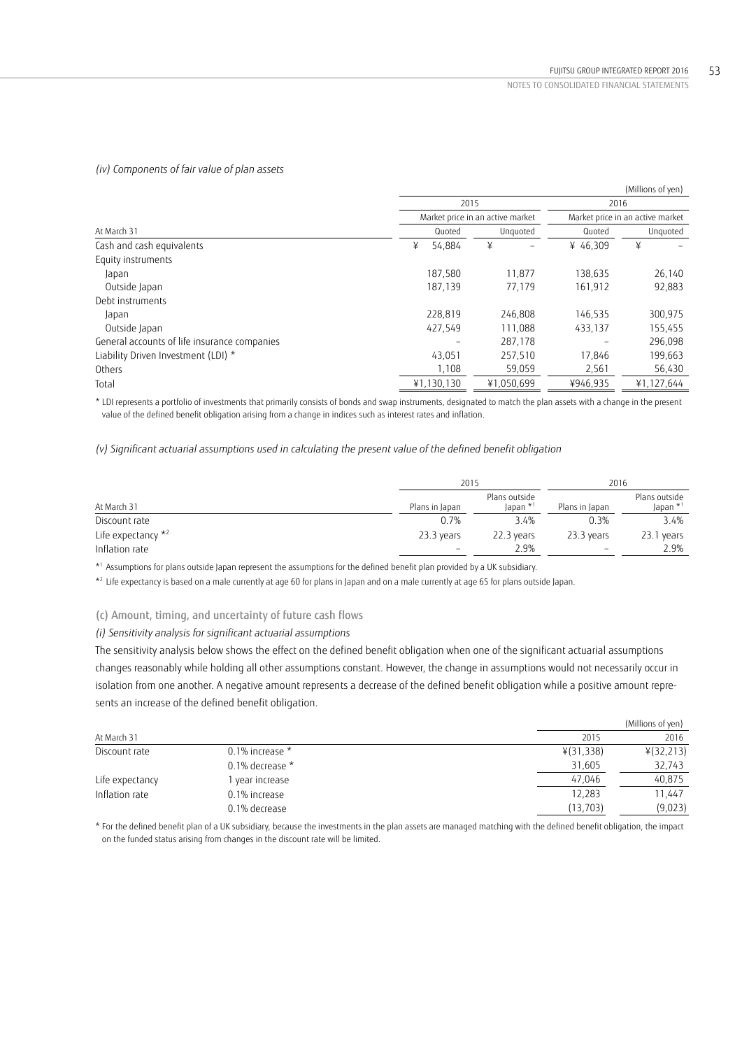# *(iv) Components of fair value of plan assets*

|                                              |             |                                  |          | (Millions of yen)                |
|----------------------------------------------|-------------|----------------------------------|----------|----------------------------------|
|                                              | 2015        |                                  | 2016     |                                  |
|                                              |             | Market price in an active market |          | Market price in an active market |
| At March 31                                  | Quoted      | Unguoted                         | Quoted   | Unquoted                         |
| Cash and cash equivalents                    | ¥<br>54,884 | ¥                                | ¥ 46.309 | ¥                                |
| Equity instruments                           |             |                                  |          |                                  |
| Japan                                        | 187,580     | 11,877                           | 138,635  | 26,140                           |
| Outside Japan                                | 187,139     | 77.179                           | 161,912  | 92,883                           |
| Debt instruments                             |             |                                  |          |                                  |
| Japan                                        | 228,819     | 246,808                          | 146,535  | 300,975                          |
| Outside Japan                                | 427,549     | 111.088                          | 433,137  | 155,455                          |
| General accounts of life insurance companies |             | 287,178                          |          | 296,098                          |
| Liability Driven Investment (LDI) *          | 43,051      | 257,510                          | 17,846   | 199,663                          |
| Others                                       | 1,108       | 59,059                           | 2,561    | 56,430                           |
| Total                                        | ¥1,130,130  | ¥1,050,699                       | ¥946,935 | ¥1,127,644                       |

\* LDI represents a portfolio of investments that primarily consists of bonds and swap instruments, designated to match the plan assets with a change in the present value of the defined benefit obligation arising from a change in indices such as interest rates and inflation.

*(v) Significant actuarial assumptions used in calculating the present value of the defined benefit obligation* 

|                       | 2015                     | 2016                                  |                |                                       |
|-----------------------|--------------------------|---------------------------------------|----------------|---------------------------------------|
| At March 31           | Plans in Japan           | Plans outside<br>Japan * <sup>1</sup> | Plans in Japan | Plans outside<br>Japan * <sup>1</sup> |
| Discount rate         | 0.7%                     | 3.4%                                  | 0.3%           | 3.4%                                  |
| Life expectancy $*^2$ | 23.3 years               | 22.3 years                            | 23.3 years     | 23.1 years                            |
| Inflation rate        | $\overline{\phantom{m}}$ | 2.9%                                  | -              | 2.9%                                  |

\*1 Assumptions for plans outside Japan represent the assumptions for the defined benefit plan provided by a UK subsidiary.

\*2 Life expectancy is based on a male currently at age 60 for plans in Japan and on a male currently at age 65 for plans outside Japan.

### (c) Amount, timing, and uncertainty of future cash flows

# *(i) Sensitivity analysis for significant actuarial assumptions*

The sensitivity analysis below shows the effect on the defined benefit obligation when one of the significant actuarial assumptions changes reasonably while holding all other assumptions constant. However, the change in assumptions would not necessarily occur in isolation from one another. A negative amount represents a decrease of the defined benefit obligation while a positive amount represents an increase of the defined benefit obligation.

|                 |                      |           | (Millions of yen) |
|-----------------|----------------------|-----------|-------------------|
| At March 31     |                      | 2015      | 2016              |
| Discount rate   | $0.1\%$ increase $*$ | ¥(31,338) | ¥(32,213)         |
|                 | 0.1% decrease $*$    | 31,605    | 32,743            |
| Life expectancy | l year increase      | 47,046    | 40,875            |
| Inflation rate  | 0.1% increase        | 12,283    | 11,447            |
|                 | 0.1% decrease        | (13, 703) | (9,023)           |

\* For the defined benefit plan of a UK subsidiary, because the investments in the plan assets are managed matching with the defined benefit obligation, the impact on the funded status arising from changes in the discount rate will be limited.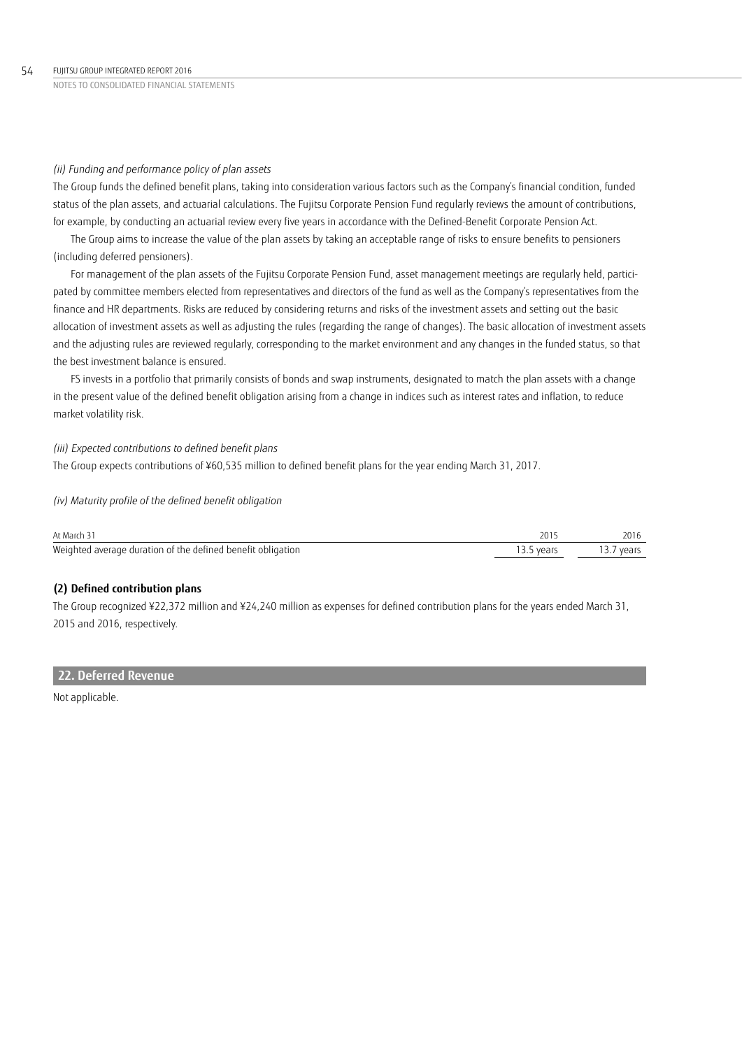### *(ii) Funding and performance policy of plan assets*

The Group funds the defined benefit plans, taking into consideration various factors such as the Company's financial condition, funded status of the plan assets, and actuarial calculations. The Fujitsu Corporate Pension Fund regularly reviews the amount of contributions, for example, by conducting an actuarial review every five years in accordance with the Defined-Benefit Corporate Pension Act.

The Group aims to increase the value of the plan assets by taking an acceptable range of risks to ensure benefits to pensioners (including deferred pensioners).

For management of the plan assets of the Fujitsu Corporate Pension Fund, asset management meetings are regularly held, participated by committee members elected from representatives and directors of the fund as well as the Company's representatives from the finance and HR departments. Risks are reduced by considering returns and risks of the investment assets and setting out the basic allocation of investment assets as well as adjusting the rules (regarding the range of changes). The basic allocation of investment assets and the adjusting rules are reviewed regularly, corresponding to the market environment and any changes in the funded status, so that the best investment balance is ensured.

FS invests in a portfolio that primarily consists of bonds and swap instruments, designated to match the plan assets with a change in the present value of the defined benefit obligation arising from a change in indices such as interest rates and inflation, to reduce market volatility risk.

### *(iii) Expected contributions to defined benefit plans*

The Group expects contributions of ¥60,535 million to defined benefit plans for the year ending March 31, 2017.

### *(iv) Maturity profile of the defined benefit obligation*

| At March 31                                                 |            |            |
|-------------------------------------------------------------|------------|------------|
| Weighted average duration of the defined benefit obligation | 13.5 vears | 13.7 years |

### **(2) Defined contribution plans**

The Group recognized ¥22,372 million and ¥24,240 million as expenses for defined contribution plans for the years ended March 31, 2015 and 2016, respectively.

### **22. Deferred Revenue**

Not applicable.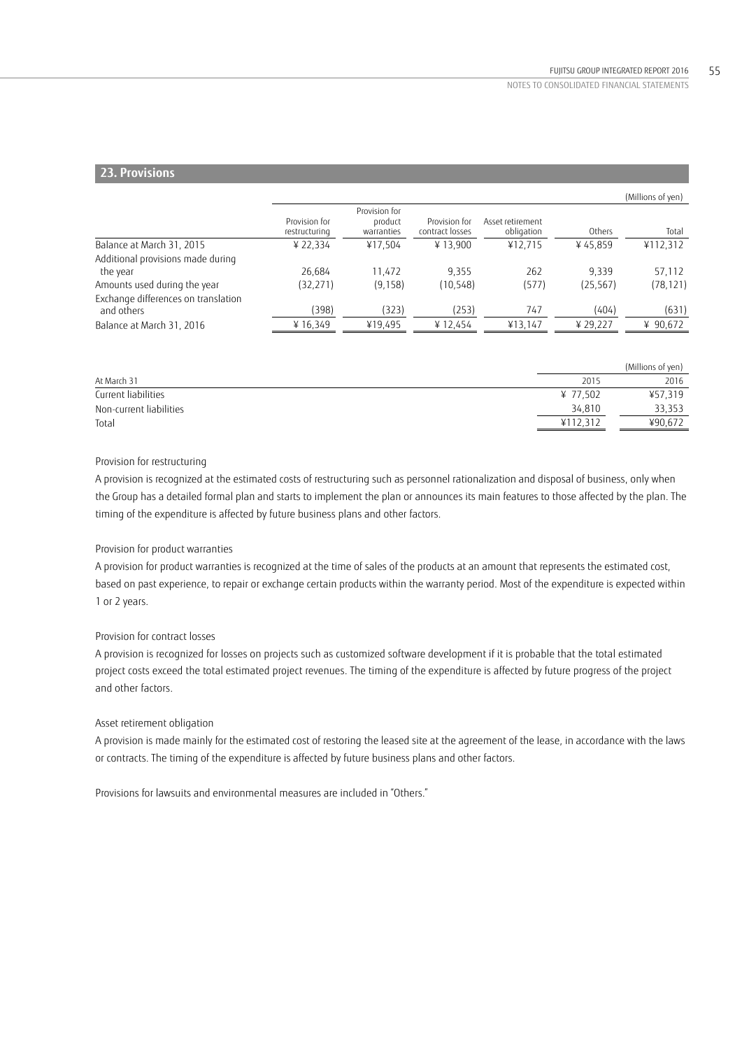# **23. Provisions**

|                                                   |                                |                                        |                                  |                                |           | (Millions of yen) |
|---------------------------------------------------|--------------------------------|----------------------------------------|----------------------------------|--------------------------------|-----------|-------------------|
|                                                   | Provision for<br>restructuring | Provision for<br>product<br>warranties | Provision for<br>contract losses | Asset retirement<br>obligation | Others    | Total             |
| Balance at March 31, 2015                         | ¥ 22.334                       | ¥17.504                                | ¥13.900                          | ¥12.715                        | ¥45.859   | ¥112,312          |
| Additional provisions made during<br>the year     | 26.684                         | 11.472                                 | 9.355                            | 262                            | 9.339     | 57,112            |
| Amounts used during the year                      | (32, 271)                      | (9, 158)                               | (10, 548)                        | (577)                          | (25, 567) | (78, 121)         |
| Exchange differences on translation<br>and others | (398)                          | (323)                                  | (253)                            | 747                            | (404)     | (631)             |
| Balance at March 31, 2016                         | ¥ 16,349                       | ¥19,495                                | ¥12,454                          | ¥13,147                        | ¥ 29,227  | ¥ 90,672          |
|                                                   |                                |                                        |                                  |                                |           |                   |

|                         |          | (Millions of yen) |
|-------------------------|----------|-------------------|
| At March 31             | 2015     | 2016              |
| Current liabilities     | ¥ 77,502 | ¥57,319           |
| Non-current liabilities | 34,810   | 33,353            |
| Total                   | ¥112,312 | ¥90,672           |

### Provision for restructuring

A provision is recognized at the estimated costs of restructuring such as personnel rationalization and disposal of business, only when the Group has a detailed formal plan and starts to implement the plan or announces its main features to those affected by the plan. The timing of the expenditure is affected by future business plans and other factors.

### Provision for product warranties

A provision for product warranties is recognized at the time of sales of the products at an amount that represents the estimated cost, based on past experience, to repair or exchange certain products within the warranty period. Most of the expenditure is expected within 1 or 2 years.

### Provision for contract losses

A provision is recognized for losses on projects such as customized software development if it is probable that the total estimated project costs exceed the total estimated project revenues. The timing of the expenditure is affected by future progress of the project and other factors.

### Asset retirement obligation

A provision is made mainly for the estimated cost of restoring the leased site at the agreement of the lease, in accordance with the laws or contracts. The timing of the expenditure is affected by future business plans and other factors.

Provisions for lawsuits and environmental measures are included in "Others."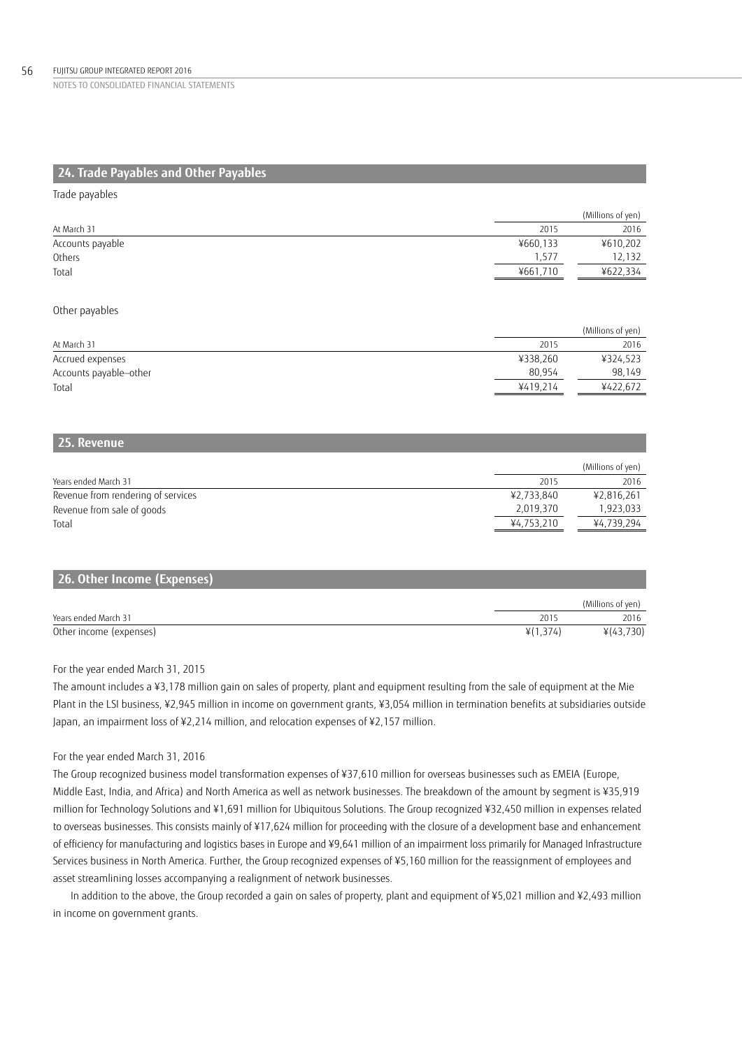# **24. Trade Payables and Other Payables**

### Trade payables

|                  |          | (Millions of yen) |
|------------------|----------|-------------------|
| At March 31      | 2015     | 2016              |
| Accounts payable | ¥660,133 | ¥610,202          |
| Others           | .577     | 12,132            |
| Total            | ¥661,710 | ¥622.334          |

### Other payables

|                        |          | (Millions of yen) |
|------------------------|----------|-------------------|
| At March 31            | 2015     | 2016              |
| Accrued expenses       | ¥338,260 | ¥324,523          |
| Accounts payable-other | 80.954   | 98.149            |
| Total                  | ¥419.214 | ¥422.672          |
|                        |          |                   |

# **25. Revenue**

|                                    |            | (Millions of yen) |
|------------------------------------|------------|-------------------|
| Years ended March 31               | 2015       | 2016              |
| Revenue from rendering of services | ¥2,733,840 | ¥2,816,261        |
| Revenue from sale of goods         | 2,019,370  | 1,923,033         |
| Total                              | ¥4,753,210 | ¥4,739,294        |

| 26. Other Income (Expenses) |          |                   |
|-----------------------------|----------|-------------------|
|                             |          | (Millions of yen) |
| Years ended March 31        | 2015     | 2016              |
| Other income (expenses)     | ¥(1,374) | ¥(43,730)         |

### For the year ended March 31, 2015

The amount includes a ¥3,178 million gain on sales of property, plant and equipment resulting from the sale of equipment at the Mie Plant in the LSI business, ¥2,945 million in income on government grants, ¥3,054 million in termination benefits at subsidiaries outside Japan, an impairment loss of ¥2,214 million, and relocation expenses of ¥2,157 million.

### For the year ended March 31, 2016

The Group recognized business model transformation expenses of ¥37,610 million for overseas businesses such as EMEIA (Europe, Middle East, India, and Africa) and North America as well as network businesses. The breakdown of the amount by segment is ¥35,919 million for Technology Solutions and ¥1,691 million for Ubiquitous Solutions. The Group recognized ¥32,450 million in expenses related to overseas businesses. This consists mainly of ¥17,624 million for proceeding with the closure of a development base and enhancement of efficiency for manufacturing and logistics bases in Europe and ¥9,641 million of an impairment loss primarily for Managed Infrastructure Services business in North America. Further, the Group recognized expenses of ¥5,160 million for the reassignment of employees and asset streamlining losses accompanying a realignment of network businesses.

In addition to the above, the Group recorded a gain on sales of property, plant and equipment of ¥5,021 million and ¥2,493 million in income on government grants.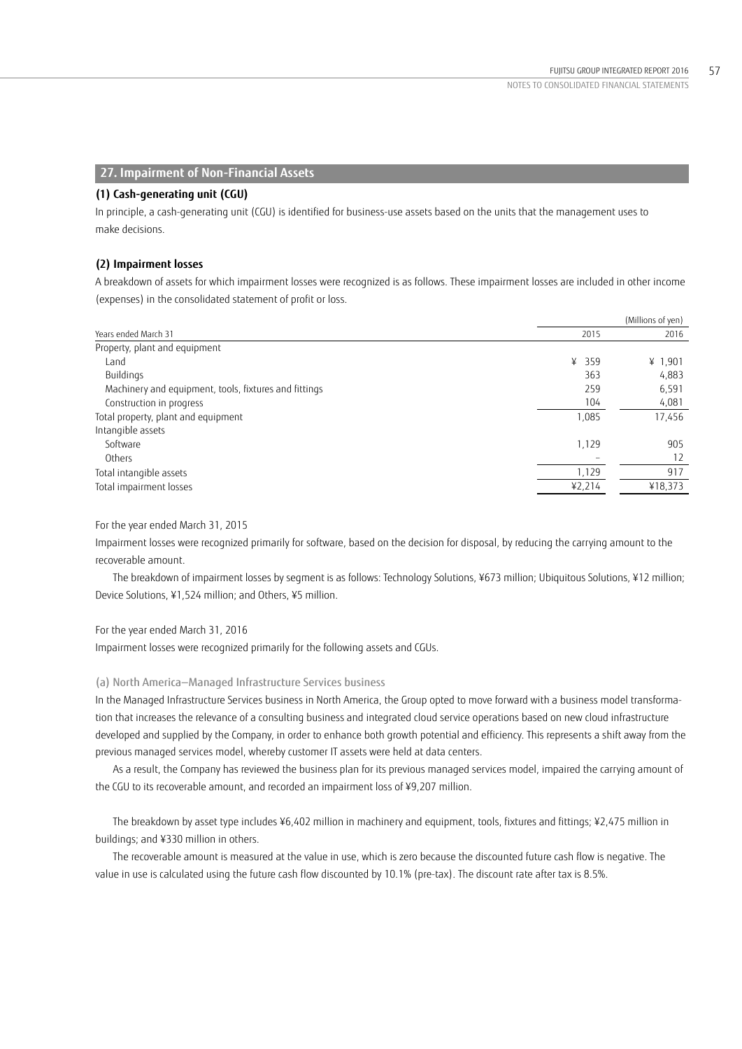# **27. Impairment of Non-Financial Assets**

### **(1) Cash-generating unit (CGU)**

In principle, a cash-generating unit (CGU) is identified for business-use assets based on the units that the management uses to make decisions.

### **(2) Impairment losses**

A breakdown of assets for which impairment losses were recognized is as follows. These impairment losses are included in other income (expenses) in the consolidated statement of profit or loss.

|                                                       |        | (Millions of yen) |
|-------------------------------------------------------|--------|-------------------|
| Years ended March 31                                  | 2015   | 2016              |
| Property, plant and equipment                         |        |                   |
| Land                                                  | ¥ 359  | ¥ $1,901$         |
| Buildings                                             | 363    | 4,883             |
| Machinery and equipment, tools, fixtures and fittings | 259    | 6,591             |
| Construction in progress                              | 104    | 4,081             |
| Total property, plant and equipment                   | 1,085  | 17,456            |
| Intangible assets                                     |        |                   |
| Software                                              | 1,129  | 905               |
| Others                                                |        | 12                |
| Total intangible assets                               | 1,129  | 917               |
| Total impairment losses                               | 42,214 | ¥18,373           |

### For the year ended March 31, 2015

Impairment losses were recognized primarily for software, based on the decision for disposal, by reducing the carrying amount to the recoverable amount.

 The breakdown of impairment losses by segment is as follows: Technology Solutions, ¥673 million; Ubiquitous Solutions, ¥12 million; Device Solutions, ¥1,524 million; and Others, ¥5 million.

### For the year ended March 31, 2016

Impairment losses were recognized primarily for the following assets and CGUs.

### (a) North America — Managed Infrastructure Services business

In the Managed Infrastructure Services business in North America, the Group opted to move forward with a business model transformation that increases the relevance of a consulting business and integrated cloud service operations based on new cloud infrastructure developed and supplied by the Company, in order to enhance both growth potential and efficiency. This represents a shift away from the previous managed services model, whereby customer IT assets were held at data centers.

As a result, the Company has reviewed the business plan for its previous managed services model, impaired the carrying amount of the CGU to its recoverable amount, and recorded an impairment loss of ¥9,207 million.

The breakdown by asset type includes ¥6,402 million in machinery and equipment, tools, fixtures and fittings; ¥2,475 million in buildings; and ¥330 million in others.

The recoverable amount is measured at the value in use, which is zero because the discounted future cash flow is negative. The value in use is calculated using the future cash flow discounted by 10.1% (pre-tax). The discount rate after tax is 8.5%.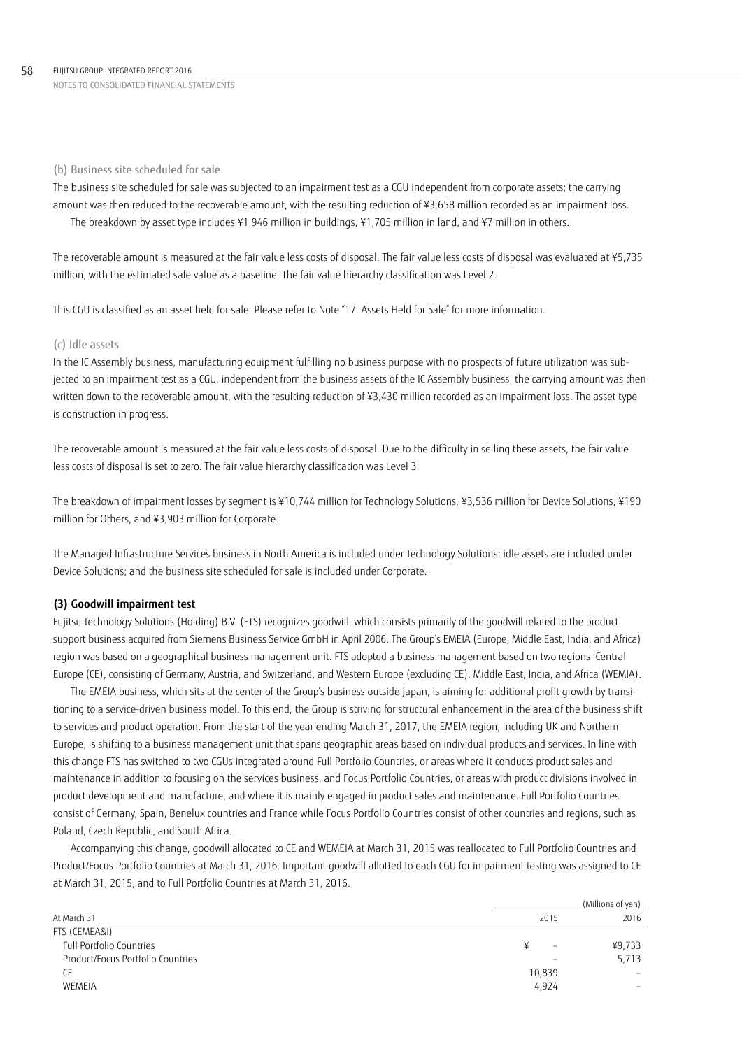### (b) Business site scheduled for sale

The business site scheduled for sale was subjected to an impairment test as a CGU independent from corporate assets; the carrying amount was then reduced to the recoverable amount, with the resulting reduction of ¥3,658 million recorded as an impairment loss. The breakdown by asset type includes ¥1,946 million in buildings, ¥1,705 million in land, and ¥7 million in others.

The recoverable amount is measured at the fair value less costs of disposal. The fair value less costs of disposal was evaluated at ¥5,735 million, with the estimated sale value as a baseline. The fair value hierarchy classification was Level 2.

This CGU is classified as an asset held for sale. Please refer to Note "17. Assets Held for Sale" for more information.

### (c) Idle assets

In the IC Assembly business, manufacturing equipment fulfilling no business purpose with no prospects of future utilization was subjected to an impairment test as a CGU, independent from the business assets of the IC Assembly business; the carrying amount was then written down to the recoverable amount, with the resulting reduction of ¥3,430 million recorded as an impairment loss. The asset type is construction in progress.

The recoverable amount is measured at the fair value less costs of disposal. Due to the difficulty in selling these assets, the fair value less costs of disposal is set to zero. The fair value hierarchy classification was Level 3.

The breakdown of impairment losses by segment is ¥10,744 million for Technology Solutions, ¥3,536 million for Device Solutions, ¥190 million for Others, and ¥3,903 million for Corporate.

The Managed Infrastructure Services business in North America is included under Technology Solutions; idle assets are included under Device Solutions; and the business site scheduled for sale is included under Corporate.

### **(3) Goodwill impairment test**

Fujitsu Technology Solutions (Holding) B.V. (FTS) recognizes goodwill, which consists primarily of the goodwill related to the product support business acquired from Siemens Business Service GmbH in April 2006. The Group's EMEIA (Europe, Middle East, India, and Africa) region was based on a geographical business management unit. FTS adopted a business management based on two regions—Central Europe (CE), consisting of Germany, Austria, and Switzerland, and Western Europe (excluding CE), Middle East, India, and Africa (WEMIA).

The EMEIA business, which sits at the center of the Group's business outside Japan, is aiming for additional profit growth by transitioning to a service-driven business model. To this end, the Group is striving for structural enhancement in the area of the business shift to services and product operation. From the start of the year ending March 31, 2017, the EMEIA region, including UK and Northern Europe, is shifting to a business management unit that spans geographic areas based on individual products and services. In line with this change FTS has switched to two CGUs integrated around Full Portfolio Countries, or areas where it conducts product sales and maintenance in addition to focusing on the services business, and Focus Portfolio Countries, or areas with product divisions involved in product development and manufacture, and where it is mainly engaged in product sales and maintenance. Full Portfolio Countries consist of Germany, Spain, Benelux countries and France while Focus Portfolio Countries consist of other countries and regions, such as Poland, Czech Republic, and South Africa.

Accompanying this change, goodwill allocated to CE and WEMEIA at March 31, 2015 was reallocated to Full Portfolio Countries and Product/Focus Portfolio Countries at March 31, 2016. Important goodwill allotted to each CGU for impairment testing was assigned to CE at March 31, 2015, and to Full Portfolio Countries at March 31, 2016.

|                                   |                               | (Millions of yen) |
|-----------------------------------|-------------------------------|-------------------|
| At March 31                       | 2015                          | 2016              |
| FTS (CEMEA&I)                     |                               |                   |
| Full Portfolio Countries          | ¥<br>$\overline{\phantom{a}}$ | ¥9,733            |
| Product/Focus Portfolio Countries | $\overline{\phantom{a}}$      | 5,713             |
| СE                                | 10,839                        |                   |
| WEMEIA                            | 4,924                         | $\hspace{0.05cm}$ |
|                                   |                               |                   |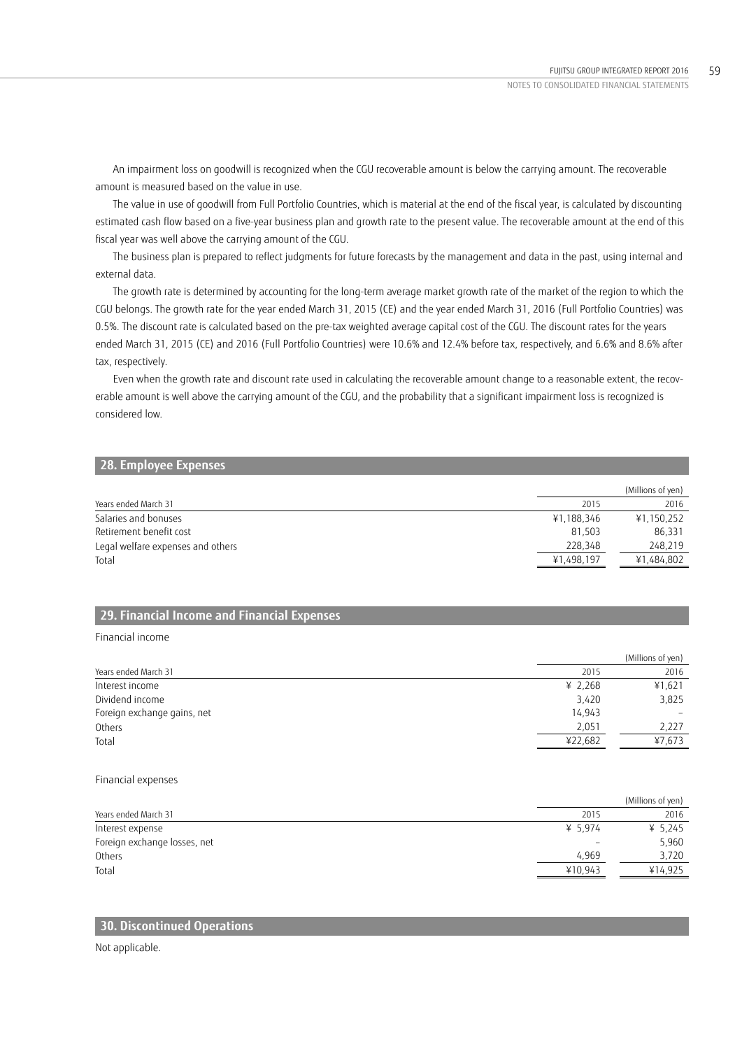An impairment loss on goodwill is recognized when the CGU recoverable amount is below the carrying amount. The recoverable amount is measured based on the value in use.

The value in use of goodwill from Full Portfolio Countries, which is material at the end of the fiscal year, is calculated by discounting estimated cash flow based on a five-year business plan and growth rate to the present value. The recoverable amount at the end of this fiscal year was well above the carrying amount of the CGU.

The business plan is prepared to reflect judgments for future forecasts by the management and data in the past, using internal and external data.

The growth rate is determined by accounting for the long-term average market growth rate of the market of the region to which the CGU belongs. The growth rate for the year ended March 31, 2015 (CE) and the year ended March 31, 2016 (Full Portfolio Countries) was 0.5%. The discount rate is calculated based on the pre-tax weighted average capital cost of the CGU. The discount rates for the years ended March 31, 2015 (CE) and 2016 (Full Portfolio Countries) were 10.6% and 12.4% before tax, respectively, and 6.6% and 8.6% after tax, respectively.

Even when the growth rate and discount rate used in calculating the recoverable amount change to a reasonable extent, the recoverable amount is well above the carrying amount of the CGU, and the probability that a significant impairment loss is recognized is considered low.

## **28. Employee Expenses**

|                                   |            | (Millions of yen) |
|-----------------------------------|------------|-------------------|
| Years ended March 31              | 2015       | 2016              |
| Salaries and bonuses              | ¥1,188,346 | ¥1,150,252        |
| Retirement benefit cost           | 81.503     | 86,331            |
| Legal welfare expenses and others | 228.348    | 248,219           |
| Total                             | ¥1,498,197 | ¥1,484,802        |

# **29. Financial Income and Financial Expenses**

### Financial income

|                             |         | (Millions of yen) |
|-----------------------------|---------|-------------------|
| Years ended March 31        | 2015    | 2016              |
| Interest income             | ¥ 2,268 | ¥1,621            |
| Dividend income             | 3,420   | 3,825             |
| Foreign exchange gains, net | 14,943  |                   |
| Others                      | 2,051   | 2,227             |
| Total                       | ¥22,682 | ¥7,673            |

### Financial expenses

|         | (Millions of yen) |
|---------|-------------------|
| 2015    | 2016              |
| ¥ 5.974 | ¥ 5,245           |
|         | 5,960             |
| 4.969   | 3,720             |
| ¥10.943 | ¥14.925           |
|         |                   |

# **30. Discontinued Operations**

Not applicable.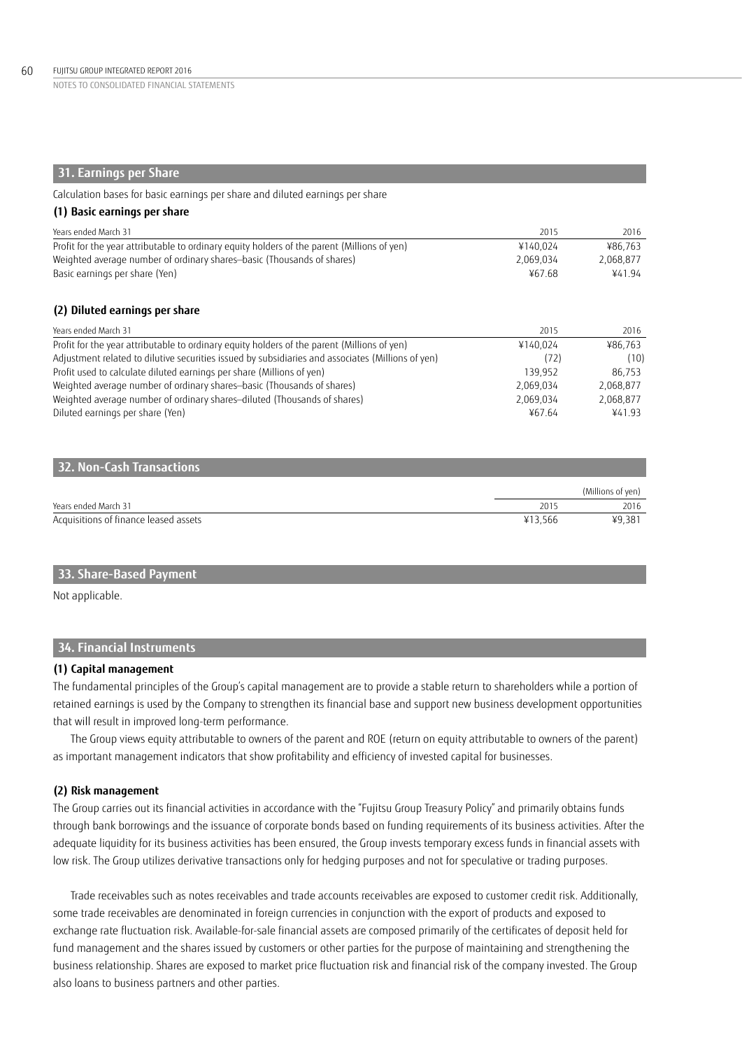# **31. Earnings per Share**

Calculation bases for basic earnings per share and diluted earnings per share

| (1) Basic earnings per share                                                                      |           |           |
|---------------------------------------------------------------------------------------------------|-----------|-----------|
| Years ended March 31                                                                              | 2015      | 2016      |
| Profit for the year attributable to ordinary equity holders of the parent (Millions of yen)       | ¥140,024  | ¥86,763   |
| Weighted average number of ordinary shares-basic (Thousands of shares)                            | 2.069.034 | 2,068,877 |
| Basic earnings per share (Yen)                                                                    | ¥67.68    | ¥41.94    |
| (2) Diluted earnings per share                                                                    |           |           |
| Years ended March 31                                                                              | 2015      | 2016      |
| Profit for the year attributable to ordinary equity holders of the parent (Millions of yen)       | ¥140.024  | ¥86.763   |
| Adjustment related to dilutive securities issued by subsidiaries and associates (Millions of yen) | (72)      | (10)      |
| Profit used to calculate diluted earnings per share (Millions of yen)                             | 139,952   | 86,753    |
| Weighted average number of ordinary shares-basic (Thousands of shares)                            | 2,069,034 | 2,068,877 |
| Weighted average number of ordinary shares-diluted (Thousands of shares)                          | 2,069,034 | 2,068,877 |
| Diluted earnings per share (Yen)                                                                  | ¥67.64    | ¥41.93    |
|                                                                                                   |           |           |
| 32. Non-Cash Transactions                                                                         |           |           |

|                                       |         | (Millions of ven) |
|---------------------------------------|---------|-------------------|
| Years ended March 31                  | 201     | 2016              |
| Acquisitions of finance leased assets | ¥13.566 | ¥9,381            |

# **33. Share-Based Payment**

Not applicable.

# **34. Financial Instruments**

# **(1) Capital management**

The fundamental principles of the Group's capital management are to provide a stable return to shareholders while a portion of retained earnings is used by the Company to strengthen its financial base and support new business development opportunities that will result in improved long-term performance.

The Group views equity attributable to owners of the parent and ROE (return on equity attributable to owners of the parent) as important management indicators that show profitability and efficiency of invested capital for businesses.

# **(2) Risk management**

The Group carries out its financial activities in accordance with the "Fujitsu Group Treasury Policy" and primarily obtains funds through bank borrowings and the issuance of corporate bonds based on funding requirements of its business activities. After the adequate liquidity for its business activities has been ensured, the Group invests temporary excess funds in financial assets with low risk. The Group utilizes derivative transactions only for hedging purposes and not for speculative or trading purposes.

Trade receivables such as notes receivables and trade accounts receivables are exposed to customer credit risk. Additionally, some trade receivables are denominated in foreign currencies in conjunction with the export of products and exposed to exchange rate fluctuation risk. Available-for-sale financial assets are composed primarily of the certificates of deposit held for fund management and the shares issued by customers or other parties for the purpose of maintaining and strengthening the business relationship. Shares are exposed to market price fluctuation risk and financial risk of the company invested. The Group also loans to business partners and other parties.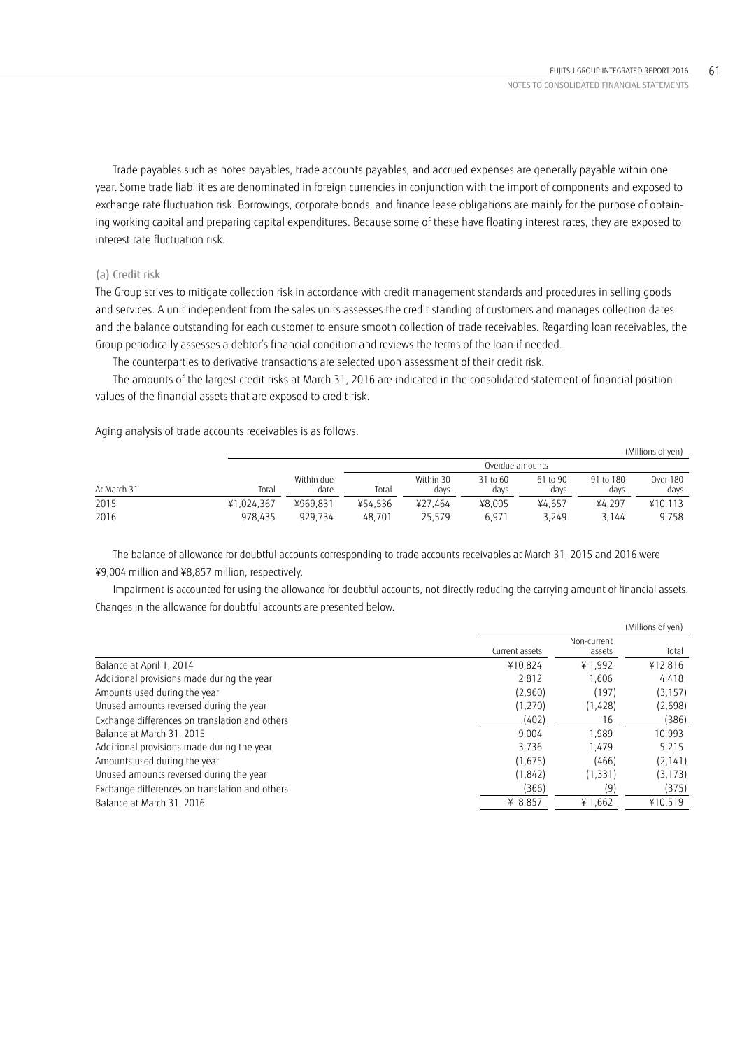Trade payables such as notes payables, trade accounts payables, and accrued expenses are generally payable within one year. Some trade liabilities are denominated in foreign currencies in conjunction with the import of components and exposed to exchange rate fluctuation risk. Borrowings, corporate bonds, and finance lease obligations are mainly for the purpose of obtaining working capital and preparing capital expenditures. Because some of these have floating interest rates, they are exposed to interest rate fluctuation risk.

# (a) Credit risk

The Group strives to mitigate collection risk in accordance with credit management standards and procedures in selling goods and services. A unit independent from the sales units assesses the credit standing of customers and manages collection dates and the balance outstanding for each customer to ensure smooth collection of trade receivables. Regarding loan receivables, the Group periodically assesses a debtor's financial condition and reviews the terms of the loan if needed.

The counterparties to derivative transactions are selected upon assessment of their credit risk.

The amounts of the largest credit risks at March 31, 2016 are indicated in the consolidated statement of financial position values of the financial assets that are exposed to credit risk.

Aging analysis of trade accounts receivables is as follows.

|             |            |                    |                 |                   |                  |                  |                   | (Millions of yen)       |
|-------------|------------|--------------------|-----------------|-------------------|------------------|------------------|-------------------|-------------------------|
|             |            |                    | Overdue amounts |                   |                  |                  |                   |                         |
| At March 31 | Total      | Within due<br>date | Total           | Within 30<br>days | 31 to 60<br>days | 61 to 90<br>days | 91 to 180<br>days | <b>Over 180</b><br>days |
| 2015        | ¥1.024.367 | ¥969.831           | ¥54.536         | ¥27.464           | ¥8.005           | ¥4.657           | ¥4.297            | ¥10.113                 |
| 2016        | 978.435    | 929.734            | 48.701          | 25.579            | 6.971            | 3.249            | 3.144             | 9,758                   |

The balance of allowance for doubtful accounts corresponding to trade accounts receivables at March 31, 2015 and 2016 were ¥9,004 million and ¥8,857 million, respectively.

Impairment is accounted for using the allowance for doubtful accounts, not directly reducing the carrying amount of financial assets. Changes in the allowance for doubtful accounts are presented below.

|                                                |                |                       | (Millions of yen) |
|------------------------------------------------|----------------|-----------------------|-------------------|
|                                                | Current assets | Non-current<br>assets | Total             |
| Balance at April 1, 2014                       | ¥10.824        | ¥1.992                | ¥12,816           |
| Additional provisions made during the year     | 2.812          | 1.606                 | 4,418             |
| Amounts used during the year                   | (2,960)        | (197)                 | (3, 157)          |
| Unused amounts reversed during the year        | (1,270)        | (1,428)               | (2,698)           |
| Exchange differences on translation and others | (402)          | 16                    | (386)             |
| Balance at March 31, 2015                      | 9.004          | 1.989                 | 10,993            |
| Additional provisions made during the year     | 3.736          | 1.479                 | 5,215             |
| Amounts used during the year                   | (1,675)        | (466)                 | (2, 141)          |
| Unused amounts reversed during the year        | (1, 842)       | (1, 331)              | (3, 173)          |
| Exchange differences on translation and others | (366)          | (9)                   | (375)             |
| Balance at March 31, 2016                      | ¥ $8,857$      | ¥ 1,662               | ¥10,519           |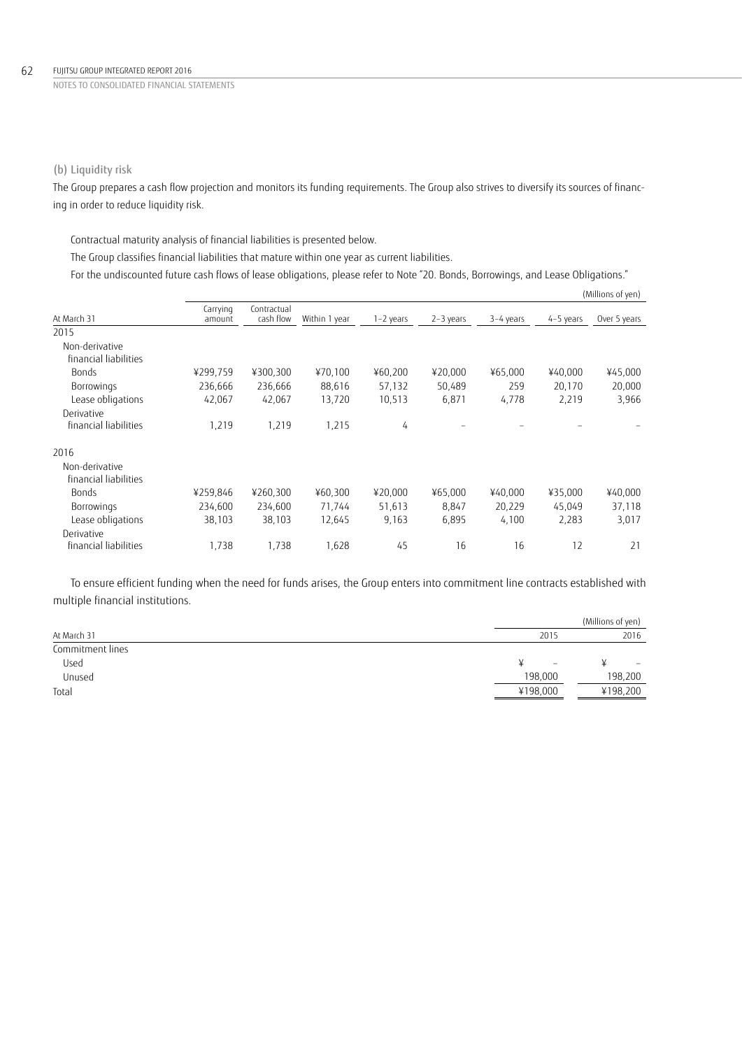# (b) Liquidity risk

The Group prepares a cash flow projection and monitors its funding requirements. The Group also strives to diversify its sources of financing in order to reduce liquidity risk.

Contractual maturity analysis of financial liabilities is presented below.

The Group classifies financial liabilities that mature within one year as current liabilities.

For the undiscounted future cash flows of lease obligations, please refer to Note "20. Bonds, Borrowings, and Lease Obligations."

|                       |                    |                          |               |           |           |           |           | (Millions of yen) |
|-----------------------|--------------------|--------------------------|---------------|-----------|-----------|-----------|-----------|-------------------|
| At March 31           | Carrying<br>amount | Contractual<br>cash flow | Within 1 year | 1-2 years | 2-3 years | 3-4 years | 4-5 years | Over 5 years      |
| 2015                  |                    |                          |               |           |           |           |           |                   |
| Non-derivative        |                    |                          |               |           |           |           |           |                   |
| financial liabilities |                    |                          |               |           |           |           |           |                   |
| <b>Bonds</b>          | ¥299,759           | ¥300,300                 | ¥70,100       | ¥60,200   | ¥20,000   | ¥65,000   | ¥40,000   | ¥45,000           |
| Borrowings            | 236,666            | 236,666                  | 88,616        | 57,132    | 50,489    | 259       | 20,170    | 20,000            |
| Lease obligations     | 42,067             | 42,067                   | 13,720        | 10,513    | 6,871     | 4,778     | 2,219     | 3,966             |
| Derivative            |                    |                          |               |           |           |           |           |                   |
| financial liabilities | 1,219              | 1,219                    | 1,215         | 4         |           |           |           |                   |
| 2016                  |                    |                          |               |           |           |           |           |                   |
| Non-derivative        |                    |                          |               |           |           |           |           |                   |
| financial liabilities |                    |                          |               |           |           |           |           |                   |
| <b>Bonds</b>          | ¥259,846           | ¥260,300                 | ¥60,300       | ¥20,000   | ¥65,000   | ¥40,000   | ¥35,000   | ¥40,000           |
| Borrowings            | 234,600            | 234,600                  | 71,744        | 51,613    | 8,847     | 20,229    | 45,049    | 37,118            |
| Lease obligations     | 38,103             | 38,103                   | 12,645        | 9,163     | 6,895     | 4,100     | 2,283     | 3,017             |
| Derivative            |                    |                          |               |           |           |           |           |                   |
| financial liabilities | 1,738              | 1,738                    | 1,628         | 45        | 16        | 16        | 12        | 21                |

To ensure efficient funding when the need for funds arises, the Group enters into commitment line contracts established with multiple financial institutions.

|                  |                   | (Millions of yen) |
|------------------|-------------------|-------------------|
| At March 31      | 2015              | 2016              |
| Commitment lines |                   |                   |
| Used             | $\qquad \qquad -$ | -                 |
| Unused           | 198,000           | 198,200           |
| Total            | ¥198,000          | ¥198,200          |
|                  |                   |                   |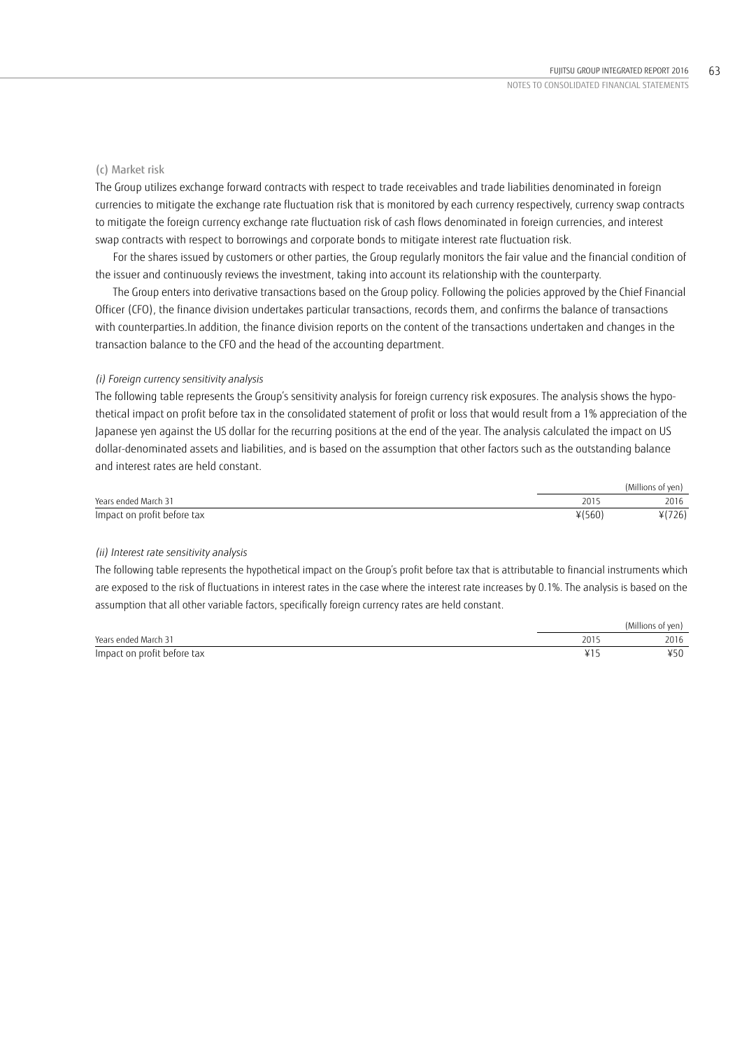# (c) Market risk

The Group utilizes exchange forward contracts with respect to trade receivables and trade liabilities denominated in foreign currencies to mitigate the exchange rate fluctuation risk that is monitored by each currency respectively, currency swap contracts to mitigate the foreign currency exchange rate fluctuation risk of cash flows denominated in foreign currencies, and interest swap contracts with respect to borrowings and corporate bonds to mitigate interest rate fluctuation risk.

For the shares issued by customers or other parties, the Group regularly monitors the fair value and the financial condition of the issuer and continuously reviews the investment, taking into account its relationship with the counterparty.

The Group enters into derivative transactions based on the Group policy. Following the policies approved by the Chief Financial Officer (CFO), the finance division undertakes particular transactions, records them, and confirms the balance of transactions with counterparties.In addition, the finance division reports on the content of the transactions undertaken and changes in the transaction balance to the CFO and the head of the accounting department.

### *(i) Foreign currency sensitivity analysis*

The following table represents the Group's sensitivity analysis for foreign currency risk exposures. The analysis shows the hypothetical impact on profit before tax in the consolidated statement of profit or loss that would result from a 1% appreciation of the Japanese yen against the US dollar for the recurring positions at the end of the year. The analysis calculated the impact on US dollar-denominated assets and liabilities, and is based on the assumption that other factors such as the outstanding balance and interest rates are held constant.

|                             |        | (Millions of yen) |
|-----------------------------|--------|-------------------|
| Years ended March 31        | 2015   | 2016              |
| Impact on profit before tax | ¥(560) | 4(726)            |

### *(ii) Interest rate sensitivity analysis*

The following table represents the hypothetical impact on the Group's profit before tax that is attributable to financial instruments which are exposed to the risk of fluctuations in interest rates in the case where the interest rate increases by 0.1%. The analysis is based on the assumption that all other variable factors, specifically foreign currency rates are held constant.

|                             |     | (Millions of yen) |
|-----------------------------|-----|-------------------|
| Years ended March 31        | 201 | 2016              |
| Impact on profit before tax |     | キノし               |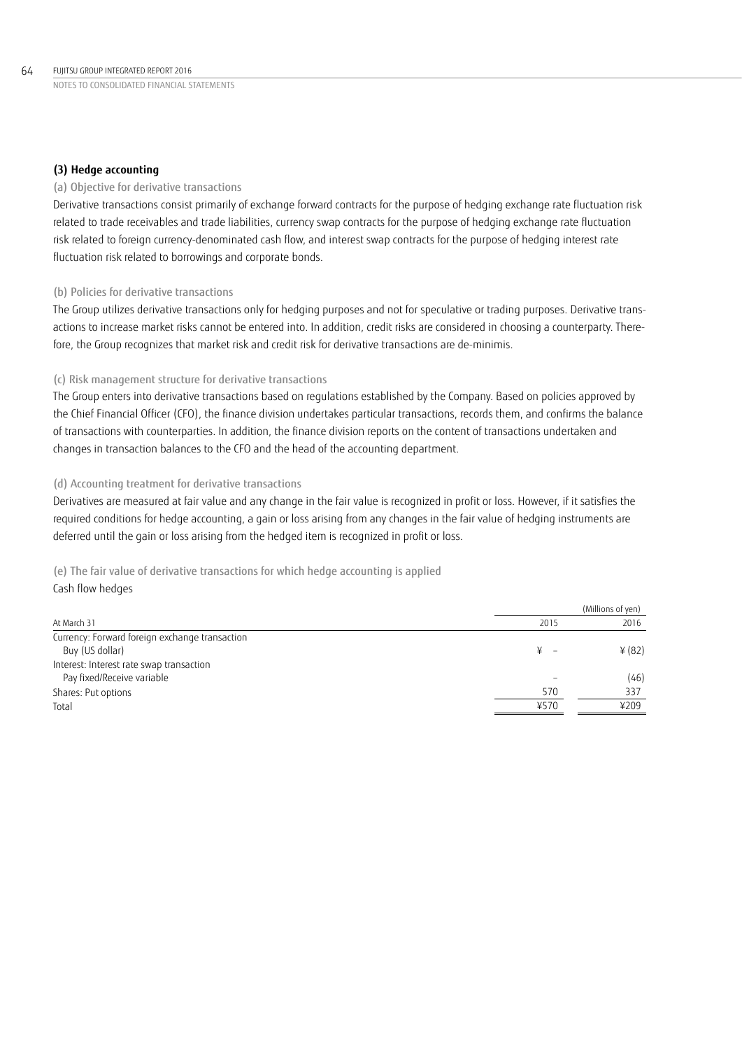# **(3) Hedge accounting**

# (a) Objective for derivative transactions

Derivative transactions consist primarily of exchange forward contracts for the purpose of hedging exchange rate fluctuation risk related to trade receivables and trade liabilities, currency swap contracts for the purpose of hedging exchange rate fluctuation risk related to foreign currency-denominated cash flow, and interest swap contracts for the purpose of hedging interest rate fluctuation risk related to borrowings and corporate bonds.

# (b) Policies for derivative transactions

The Group utilizes derivative transactions only for hedging purposes and not for speculative or trading purposes. Derivative transactions to increase market risks cannot be entered into. In addition, credit risks are considered in choosing a counterparty. Therefore, the Group recognizes that market risk and credit risk for derivative transactions are de-minimis.

# (c) Risk management structure for derivative transactions

The Group enters into derivative transactions based on regulations established by the Company. Based on policies approved by the Chief Financial Officer (CFO), the finance division undertakes particular transactions, records them, and confirms the balance of transactions with counterparties. In addition, the finance division reports on the content of transactions undertaken and changes in transaction balances to the CFO and the head of the accounting department.

# (d) Accounting treatment for derivative transactions

Derivatives are measured at fair value and any change in the fair value is recognized in profit or loss. However, if it satisfies the required conditions for hedge accounting, a gain or loss arising from any changes in the fair value of hedging instruments are deferred until the gain or loss arising from the hedged item is recognized in profit or loss.

(e) The fair value of derivative transactions for which hedge accounting is applied Cash flow hedges

|                                                |      | (Millions of yen) |
|------------------------------------------------|------|-------------------|
| At March 31                                    | 2015 | 2016              |
| Currency: Forward foreign exchange transaction |      |                   |
| Buy (US dollar)                                |      | 4(82)             |
| Interest: Interest rate swap transaction       |      |                   |
| Pay fixed/Receive variable                     |      | (46)              |
| Shares: Put options                            | 570  | 337               |
| Total                                          | ¥570 | ¥209              |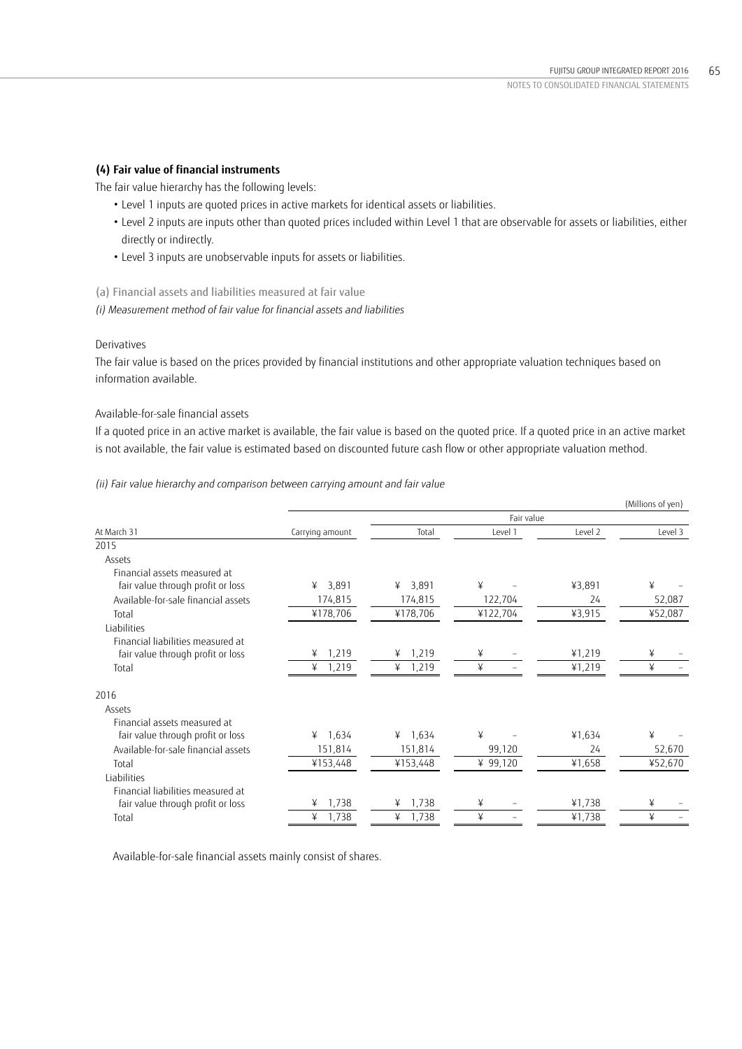# **(4) Fair value of financial instruments**

The fair value hierarchy has the following levels:

- Level 1 inputs are quoted prices in active markets for identical assets or liabilities.
- Level 2 inputs are inputs other than quoted prices included within Level 1 that are observable for assets or liabilities, either directly or indirectly.
- Level 3 inputs are unobservable inputs for assets or liabilities.

(a) Financial assets and liabilities measured at fair value

*(i) Measurement method of fair value for financial assets and liabilities* 

## Derivatives

The fair value is based on the prices provided by financial institutions and other appropriate valuation techniques based on information available.

# Available-for-sale financial assets

If a quoted price in an active market is available, the fair value is based on the quoted price. If a quoted price in an active market is not available, the fair value is estimated based on discounted future cash flow or other appropriate valuation method.

# *(ii) Fair value hierarchy and comparison between carrying amount and fair value*

|                                     |                 |            |            |         | (Millions of yen) |  |
|-------------------------------------|-----------------|------------|------------|---------|-------------------|--|
|                                     |                 |            | Fair value |         |                   |  |
| At March 31                         | Carrying amount | Total      | Level 1    | Level 2 | Level 3           |  |
| 2015                                |                 |            |            |         |                   |  |
| Assets                              |                 |            |            |         |                   |  |
| Financial assets measured at        |                 |            |            |         |                   |  |
| fair value through profit or loss   | 3,891<br>¥      | 3,891<br>¥ | ¥          | ¥3,891  | ¥                 |  |
| Available-for-sale financial assets | 174,815         | 174,815    | 122,704    | 24      | 52,087            |  |
| Total                               | ¥178,706        | ¥178,706   | ¥122,704   | ¥3,915  | ¥52,087           |  |
| Liabilities                         |                 |            |            |         |                   |  |
| Financial liabilities measured at   |                 |            |            |         |                   |  |
| fair value through profit or loss   | 1,219<br>¥      | 1,219<br>¥ | ¥          | ¥1,219  | ¥                 |  |
| Total                               | ¥<br>1,219      | ¥<br>1,219 | ¥          | ¥1,219  | ¥                 |  |
| 2016                                |                 |            |            |         |                   |  |
| Assets                              |                 |            |            |         |                   |  |
| Financial assets measured at        |                 |            |            |         |                   |  |
| fair value through profit or loss   | 1,634<br>¥      | 1,634<br>¥ | ¥          | ¥1,634  | ¥                 |  |
| Available-for-sale financial assets | 151,814         | 151,814    | 99,120     | 24      | 52,670            |  |
| Total                               | ¥153,448        | ¥153,448   | ¥ 99,120   | ¥1,658  | ¥52,670           |  |
| Liabilities                         |                 |            |            |         |                   |  |
| Financial liabilities measured at   |                 |            |            |         |                   |  |
| fair value through profit or loss   | 1,738<br>¥      | 1,738<br>¥ | ¥          | ¥1,738  | ¥                 |  |
| Total                               | ¥<br>1,738      | ¥<br>1,738 | ¥          | ¥1,738  | ¥                 |  |

Available-for-sale financial assets mainly consist of shares.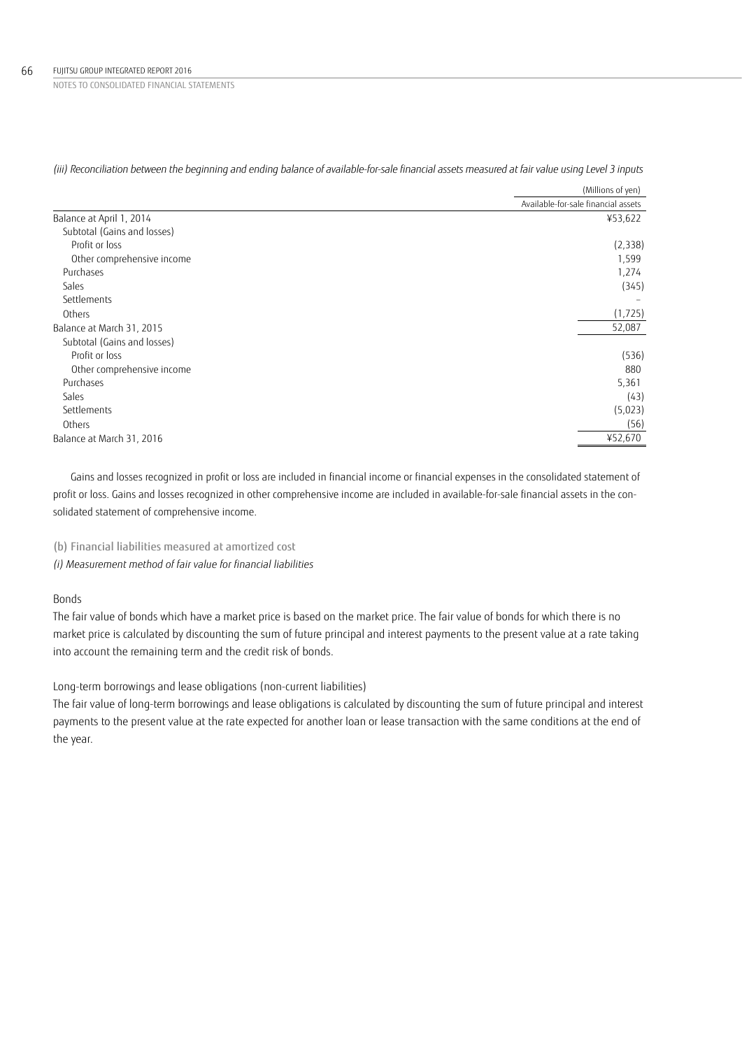|                             | (Millions of yen)                   |
|-----------------------------|-------------------------------------|
|                             | Available-for-sale financial assets |
| Balance at April 1, 2014    | ¥53,622                             |
| Subtotal (Gains and losses) |                                     |
| Profit or loss              | (2, 338)                            |
| Other comprehensive income  | 1,599                               |
| Purchases                   | 1,274                               |
| Sales                       | (345)                               |
| Settlements                 |                                     |
| Others                      | (1, 725)                            |
| Balance at March 31, 2015   | 52,087                              |
| Subtotal (Gains and losses) |                                     |
| Profit or loss              | (536)                               |
| Other comprehensive income  | 880                                 |
| Purchases                   | 5,361                               |
| Sales                       | (43)                                |
| Settlements                 | (5,023)                             |
| Others                      | (56)                                |
| Balance at March 31, 2016   | ¥52,670                             |

*(iii) Reconciliation between the beginning and ending balance of available-for-sale financial assets measured at fair value using Level 3 inputs* 

Gains and losses recognized in profit or loss are included in financial income or financial expenses in the consolidated statement of profit or loss. Gains and losses recognized in other comprehensive income are included in available-for-sale financial assets in the consolidated statement of comprehensive income.

### (b) Financial liabilities measured at amortized cost

*(i) Measurement method of fair value for financial liabilities* 

# Bonds

The fair value of bonds which have a market price is based on the market price. The fair value of bonds for which there is no market price is calculated by discounting the sum of future principal and interest payments to the present value at a rate taking into account the remaining term and the credit risk of bonds.

Long-term borrowings and lease obligations (non-current liabilities)

The fair value of long-term borrowings and lease obligations is calculated by discounting the sum of future principal and interest payments to the present value at the rate expected for another loan or lease transaction with the same conditions at the end of the year.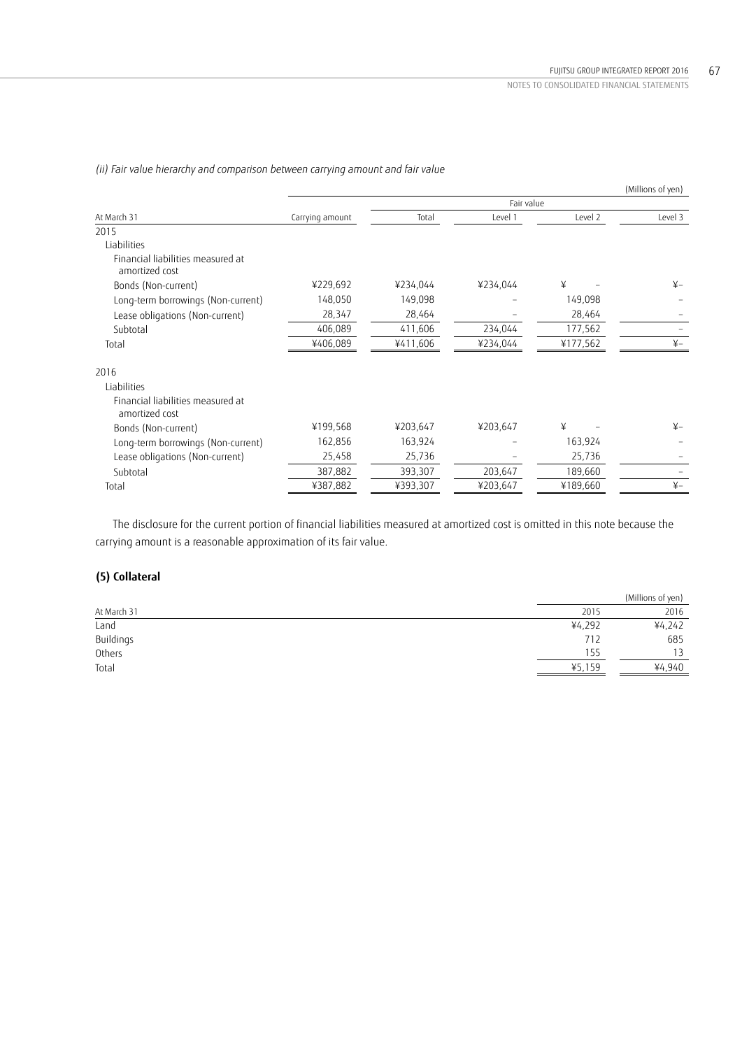|                                                     |                 |          |          |          | (Millions of yen) |
|-----------------------------------------------------|-----------------|----------|----------|----------|-------------------|
|                                                     |                 |          |          |          |                   |
| At March 31                                         | Carrying amount | Total    | Level 1  | Level 2  | Level 3           |
| 2015                                                |                 |          |          |          |                   |
| Liabilities                                         |                 |          |          |          |                   |
| Financial liabilities measured at<br>amortized cost |                 |          |          |          |                   |
| Bonds (Non-current)                                 | ¥229,692        | ¥234,044 | ¥234,044 | ¥        | $\frac{1}{2}$     |
| Long-term borrowings (Non-current)                  | 148,050         | 149,098  |          | 149,098  |                   |
| Lease obligations (Non-current)                     | 28,347          | 28,464   |          | 28,464   |                   |
| Subtotal                                            | 406,089         | 411,606  | 234,044  | 177,562  |                   |
| Total                                               | ¥406,089        | ¥411,606 | ¥234,044 | ¥177,562 | $\frac{1}{2}$     |
| 2016                                                |                 |          |          |          |                   |
| Liabilities                                         |                 |          |          |          |                   |
| Financial liabilities measured at<br>amortized cost |                 |          |          |          |                   |
| Bonds (Non-current)                                 | ¥199,568        | ¥203,647 | ¥203,647 | ¥        | $\frac{1}{2}$     |
| Long-term borrowings (Non-current)                  | 162,856         | 163,924  |          | 163,924  |                   |
| Lease obligations (Non-current)                     | 25,458          | 25,736   |          | 25,736   |                   |
| Subtotal                                            | 387,882         | 393,307  | 203,647  | 189,660  |                   |
| Total                                               | ¥387,882        | ¥393,307 | ¥203,647 | ¥189,660 | $\frac{1}{2}$     |

*(ii) Fair value hierarchy and comparison between carrying amount and fair value* 

The disclosure for the current portion of financial liabilities measured at amortized cost is omitted in this note because the carrying amount is a reasonable approximation of its fair value.

# **(5) Collateral**

|             |        | (Millions of yen) |
|-------------|--------|-------------------|
| At March 31 | 2015   | 2016              |
| Land        | ¥4,292 | ¥4,242            |
| Buildings   | 712    | 685               |
| Others      | 155    |                   |
| Total       | ¥5,159 | ¥4,940            |